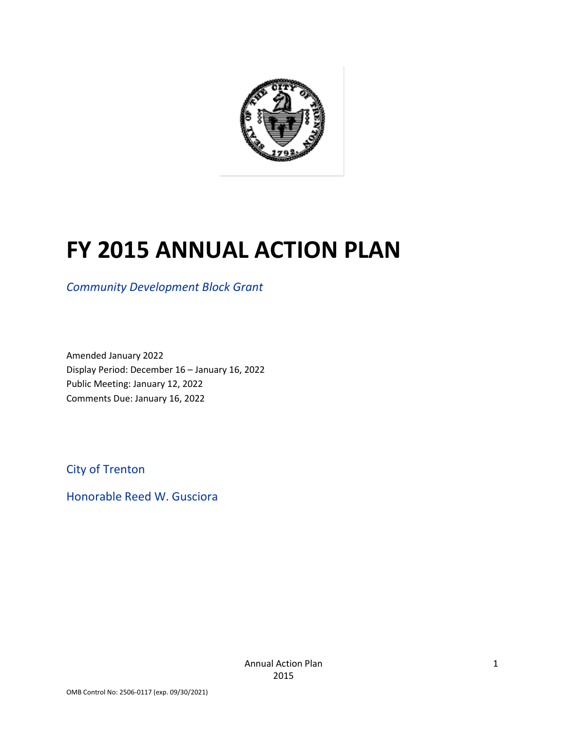

# **FY 2015 ANNUAL ACTION PLAN**

*Community Development Block Grant*

Amended January 2022 Display Period: December 16 – January 16, 2022 Public Meeting: January 12, 2022 Comments Due: January 16, 2022

City of Trenton

Honorable Reed W. Gusciora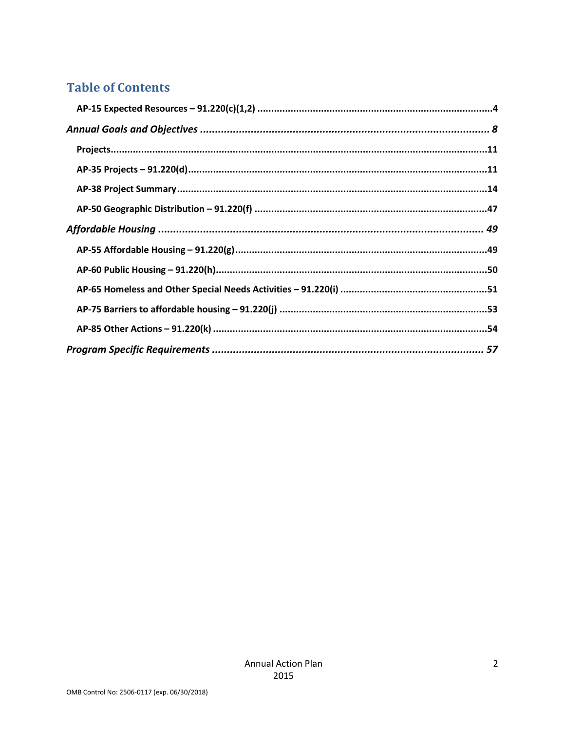# **Table of Contents**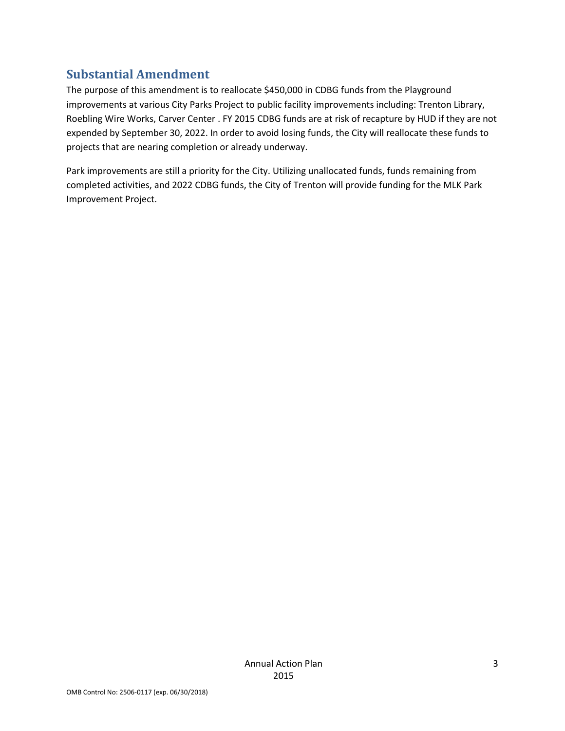# **Substantial Amendment**

The purpose of this amendment is to reallocate \$450,000 in CDBG funds from the Playground improvements at various City Parks Project to public facility improvements including: Trenton Library, Roebling Wire Works, Carver Center . FY 2015 CDBG funds are at risk of recapture by HUD if they are not expended by September 30, 2022. In order to avoid losing funds, the City will reallocate these funds to projects that are nearing completion or already underway.

Park improvements are still a priority for the City. Utilizing unallocated funds, funds remaining from completed activities, and 2022 CDBG funds, the City of Trenton will provide funding for the MLK Park Improvement Project.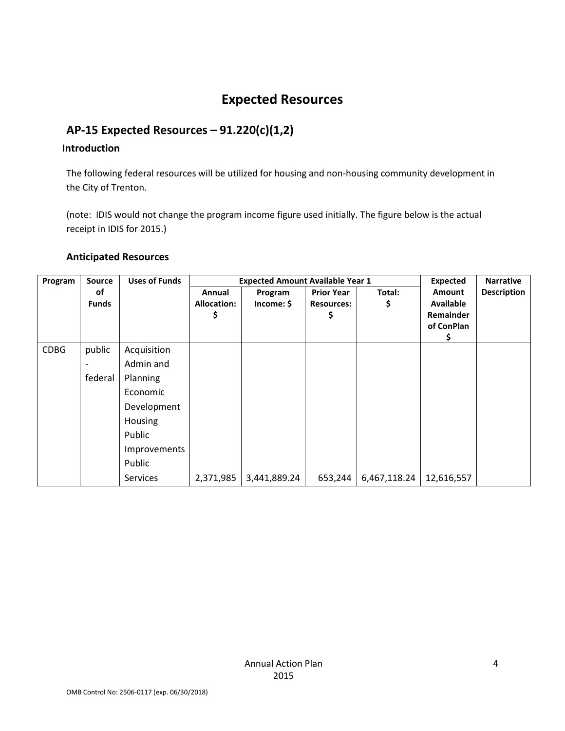# **Expected Resources**

### <span id="page-3-0"></span>**AP-15 Expected Resources – 91.220(c)(1,2)**

### **Introduction**

The following federal resources will be utilized for housing and non-housing community development in the City of Trenton.

(note: IDIS would not change the program income figure used initially. The figure below is the actual receipt in IDIS for 2015.)

#### **Anticipated Resources**

| Program     | <b>Source</b> | <b>Uses of Funds</b> |                    | <b>Expected Amount Available Year 1</b> |                   |              |                  | <b>Narrative</b>   |
|-------------|---------------|----------------------|--------------------|-----------------------------------------|-------------------|--------------|------------------|--------------------|
|             | of            |                      | Annual             | Program                                 | <b>Prior Year</b> | Total:       | <b>Amount</b>    | <b>Description</b> |
|             | <b>Funds</b>  |                      | <b>Allocation:</b> | Income: \$                              | <b>Resources:</b> | \$           | <b>Available</b> |                    |
|             |               |                      |                    |                                         | \$                |              | Remainder        |                    |
|             |               |                      |                    |                                         |                   |              | of ConPlan       |                    |
|             |               |                      |                    |                                         |                   |              | s                |                    |
| <b>CDBG</b> | public        | Acquisition          |                    |                                         |                   |              |                  |                    |
|             |               | Admin and            |                    |                                         |                   |              |                  |                    |
|             | federal       | Planning             |                    |                                         |                   |              |                  |                    |
|             |               | Economic             |                    |                                         |                   |              |                  |                    |
|             |               | Development          |                    |                                         |                   |              |                  |                    |
|             |               | Housing              |                    |                                         |                   |              |                  |                    |
|             |               | Public               |                    |                                         |                   |              |                  |                    |
|             |               | Improvements         |                    |                                         |                   |              |                  |                    |
|             |               | Public               |                    |                                         |                   |              |                  |                    |
|             |               | Services             | 2,371,985          | 3,441,889.24                            | 653,244           | 6,467,118.24 | 12,616,557       |                    |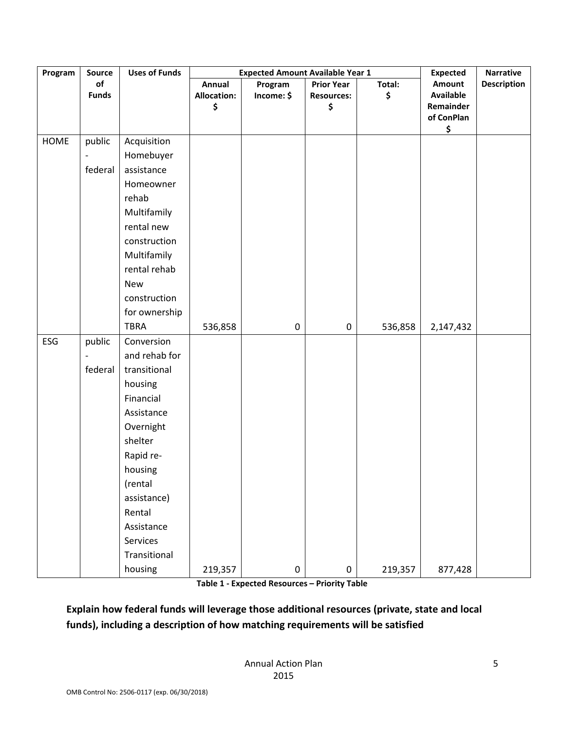| Program | Source                       | <b>Uses of Funds</b> |                                    | <b>Expected Amount Available Year 1</b> |                                              |              | <b>Expected</b>                                                    | <b>Narrative</b>   |
|---------|------------------------------|----------------------|------------------------------------|-----------------------------------------|----------------------------------------------|--------------|--------------------------------------------------------------------|--------------------|
|         | of<br><b>Funds</b>           |                      | Annual<br><b>Allocation:</b><br>\$ | Program<br>Income: \$                   | <b>Prior Year</b><br><b>Resources:</b><br>\$ | Total:<br>\$ | <b>Amount</b><br><b>Available</b><br>Remainder<br>of ConPlan<br>\$ | <b>Description</b> |
| HOME    | public                       | Acquisition          |                                    |                                         |                                              |              |                                                                    |                    |
|         | $\qquad \qquad \blacksquare$ | Homebuyer            |                                    |                                         |                                              |              |                                                                    |                    |
|         | federal                      | assistance           |                                    |                                         |                                              |              |                                                                    |                    |
|         |                              | Homeowner            |                                    |                                         |                                              |              |                                                                    |                    |
|         |                              | rehab                |                                    |                                         |                                              |              |                                                                    |                    |
|         |                              | Multifamily          |                                    |                                         |                                              |              |                                                                    |                    |
|         |                              | rental new           |                                    |                                         |                                              |              |                                                                    |                    |
|         |                              | construction         |                                    |                                         |                                              |              |                                                                    |                    |
|         |                              | Multifamily          |                                    |                                         |                                              |              |                                                                    |                    |
|         |                              | rental rehab         |                                    |                                         |                                              |              |                                                                    |                    |
|         |                              | <b>New</b>           |                                    |                                         |                                              |              |                                                                    |                    |
|         |                              | construction         |                                    |                                         |                                              |              |                                                                    |                    |
|         |                              | for ownership        |                                    |                                         |                                              |              |                                                                    |                    |
|         |                              | <b>TBRA</b>          | 536,858                            | 0                                       | 0                                            | 536,858      | 2,147,432                                                          |                    |
| ESG     | public                       | Conversion           |                                    |                                         |                                              |              |                                                                    |                    |
|         | $\overline{a}$               | and rehab for        |                                    |                                         |                                              |              |                                                                    |                    |
|         | federal                      | transitional         |                                    |                                         |                                              |              |                                                                    |                    |
|         |                              | housing              |                                    |                                         |                                              |              |                                                                    |                    |
|         |                              | Financial            |                                    |                                         |                                              |              |                                                                    |                    |
|         |                              | Assistance           |                                    |                                         |                                              |              |                                                                    |                    |
|         |                              | Overnight            |                                    |                                         |                                              |              |                                                                    |                    |
|         |                              | shelter              |                                    |                                         |                                              |              |                                                                    |                    |
|         |                              | Rapid re-            |                                    |                                         |                                              |              |                                                                    |                    |
|         |                              | housing              |                                    |                                         |                                              |              |                                                                    |                    |
|         |                              | (rental              |                                    |                                         |                                              |              |                                                                    |                    |
|         |                              | assistance)          |                                    |                                         |                                              |              |                                                                    |                    |
|         |                              | Rental               |                                    |                                         |                                              |              |                                                                    |                    |
|         |                              | Assistance           |                                    |                                         |                                              |              |                                                                    |                    |
|         |                              | Services             |                                    |                                         |                                              |              |                                                                    |                    |
|         |                              | Transitional         |                                    |                                         |                                              |              |                                                                    |                    |
|         |                              | housing              | 219,357                            | $\pmb{0}$                               | 0                                            | 219,357      | 877,428                                                            |                    |

**Table 1 - Expected Resources – Priority Table**

**Explain how federal funds will leverage those additional resources (private, state and local funds), including a description of how matching requirements will be satisfied**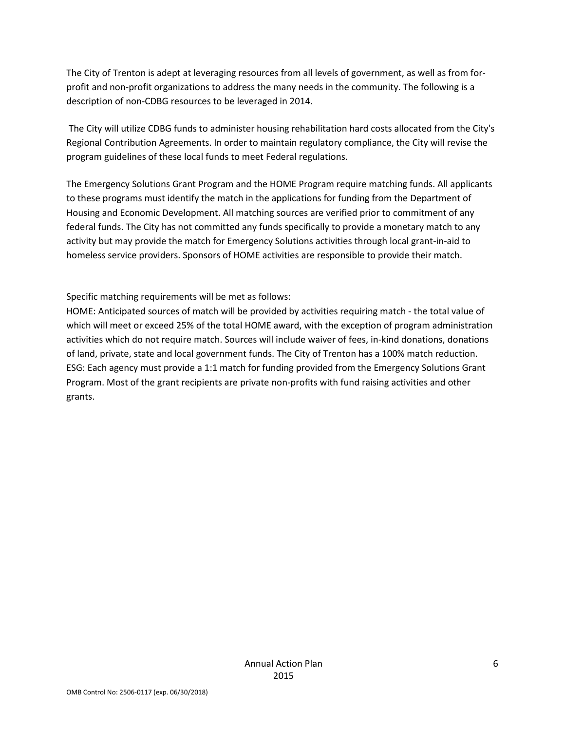The City of Trenton is adept at leveraging resources from all levels of government, as well as from forprofit and non-profit organizations to address the many needs in the community. The following is a description of non-CDBG resources to be leveraged in 2014.

The City will utilize CDBG funds to administer housing rehabilitation hard costs allocated from the City's Regional Contribution Agreements. In order to maintain regulatory compliance, the City will revise the program guidelines of these local funds to meet Federal regulations.

The Emergency Solutions Grant Program and the HOME Program require matching funds. All applicants to these programs must identify the match in the applications for funding from the Department of Housing and Economic Development. All matching sources are verified prior to commitment of any federal funds. The City has not committed any funds specifically to provide a monetary match to any activity but may provide the match for Emergency Solutions activities through local grant-in-aid to homeless service providers. Sponsors of HOME activities are responsible to provide their match.

Specific matching requirements will be met as follows:

HOME: Anticipated sources of match will be provided by activities requiring match - the total value of which will meet or exceed 25% of the total HOME award, with the exception of program administration activities which do not require match. Sources will include waiver of fees, in-kind donations, donations of land, private, state and local government funds. The City of Trenton has a 100% match reduction. ESG: Each agency must provide a 1:1 match for funding provided from the Emergency Solutions Grant Program. Most of the grant recipients are private non-profits with fund raising activities and other grants.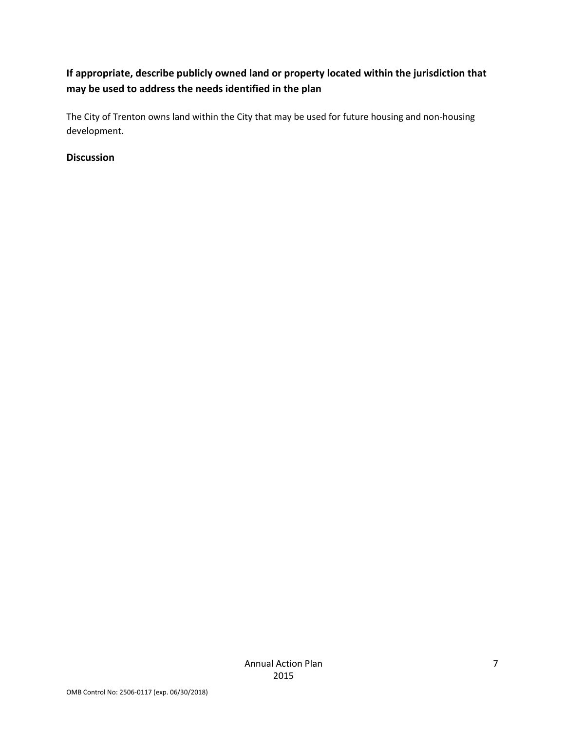### **If appropriate, describe publicly owned land or property located within the jurisdiction that may be used to address the needs identified in the plan**

The City of Trenton owns land within the City that may be used for future housing and non-housing development.

### **Discussion**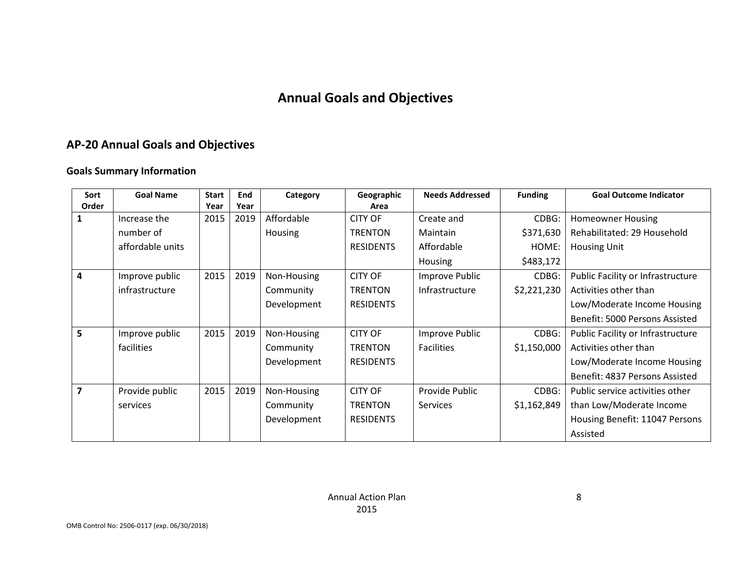# **Annual Goals and Objectives**

# **AP-20 Annual Goals and Objectives**

### **Goals Summary Information**

<span id="page-7-0"></span>

| Sort                    | <b>Goal Name</b> | <b>Start</b> | End  | Category    | Geographic       | <b>Needs Addressed</b> | <b>Funding</b> | <b>Goal Outcome Indicator</b>     |
|-------------------------|------------------|--------------|------|-------------|------------------|------------------------|----------------|-----------------------------------|
| Order                   |                  | Year         | Year |             | Area             |                        |                |                                   |
|                         | Increase the     | 2015         | 2019 | Affordable  | <b>CITY OF</b>   | Create and             | CDBG:          | <b>Homeowner Housing</b>          |
|                         | number of        |              |      | Housing     | <b>TRENTON</b>   | Maintain               | \$371,630      | Rehabilitated: 29 Household       |
|                         | affordable units |              |      |             | <b>RESIDENTS</b> | Affordable             | HOME:          | <b>Housing Unit</b>               |
|                         |                  |              |      |             |                  | Housing                | \$483,172      |                                   |
| 4                       | Improve public   | 2015         | 2019 | Non-Housing | <b>CITY OF</b>   | Improve Public         | CDBG:          | Public Facility or Infrastructure |
|                         | infrastructure   |              |      | Community   | <b>TRENTON</b>   | Infrastructure         | \$2,221,230    | Activities other than             |
|                         |                  |              |      | Development | <b>RESIDENTS</b> |                        |                | Low/Moderate Income Housing       |
|                         |                  |              |      |             |                  |                        |                | Benefit: 5000 Persons Assisted    |
| 5                       | Improve public   | 2015         | 2019 | Non-Housing | <b>CITY OF</b>   | Improve Public         | CDBG:          | Public Facility or Infrastructure |
|                         | facilities       |              |      | Community   | <b>TRENTON</b>   | <b>Facilities</b>      | \$1,150,000    | Activities other than             |
|                         |                  |              |      | Development | <b>RESIDENTS</b> |                        |                | Low/Moderate Income Housing       |
|                         |                  |              |      |             |                  |                        |                | Benefit: 4837 Persons Assisted    |
| $\overline{\mathbf{z}}$ | Provide public   | 2015         | 2019 | Non-Housing | <b>CITY OF</b>   | Provide Public         | CDBG:          | Public service activities other   |
|                         | services         |              |      | Community   | <b>TRENTON</b>   | <b>Services</b>        | \$1,162,849    | than Low/Moderate Income          |
|                         |                  |              |      | Development | <b>RESIDENTS</b> |                        |                | Housing Benefit: 11047 Persons    |
|                         |                  |              |      |             |                  |                        |                | Assisted                          |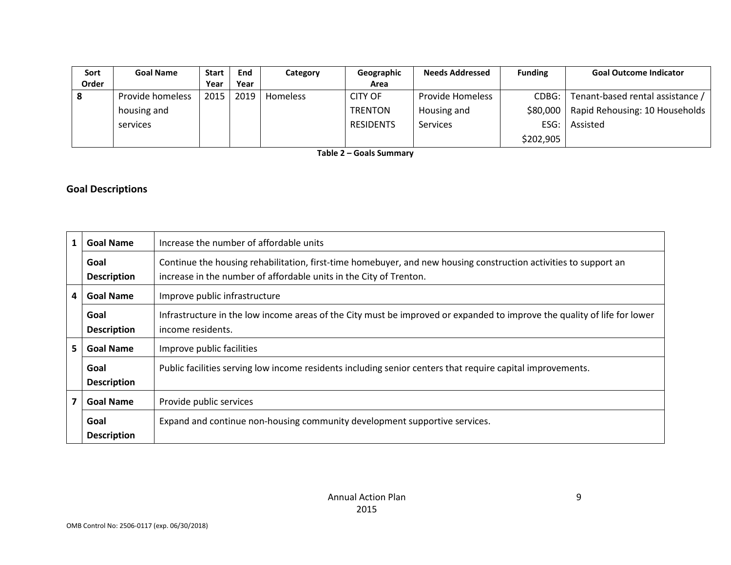| Sort  | <b>Goal Name</b> | <b>Start</b> | End  | Category        | Geographic       | <b>Needs Addressed</b> | <b>Funding</b> | <b>Goal Outcome Indicator</b>    |
|-------|------------------|--------------|------|-----------------|------------------|------------------------|----------------|----------------------------------|
| Order |                  | Year         | Year |                 | Area             |                        |                |                                  |
|       | Provide homeless | 2015         | 2019 | <b>Homeless</b> | <b>CITY OF</b>   | Provide Homeless       | CDBG:          | Tenant-based rental assistance / |
|       | housing and      |              |      |                 | <b>TRENTON</b>   | Housing and            | \$80,000       | Rapid Rehousing: 10 Households   |
|       | services         |              |      |                 | <b>RESIDENTS</b> | Services               | ESG:           | Assisted                         |
|       |                  |              |      |                 |                  |                        | \$202,905      |                                  |

**Table 2 – Goals Summary**

### **Goal Descriptions**

| $\mathbf{1}$                                           | <b>Goal Name</b>           | Increase the number of affordable units                                                                                                                                                |  |
|--------------------------------------------------------|----------------------------|----------------------------------------------------------------------------------------------------------------------------------------------------------------------------------------|--|
|                                                        | Goal<br><b>Description</b> | Continue the housing rehabilitation, first-time homebuyer, and new housing construction activities to support an<br>increase in the number of affordable units in the City of Trenton. |  |
| 4<br><b>Goal Name</b><br>Improve public infrastructure |                            |                                                                                                                                                                                        |  |
|                                                        | Goal<br><b>Description</b> | Infrastructure in the low income areas of the City must be improved or expanded to improve the quality of life for lower<br>income residents.                                          |  |
| 5.                                                     | <b>Goal Name</b>           | Improve public facilities                                                                                                                                                              |  |
|                                                        | Goal<br><b>Description</b> | Public facilities serving low income residents including senior centers that require capital improvements.                                                                             |  |
| $\overline{\mathbf{z}}$                                | <b>Goal Name</b>           | Provide public services                                                                                                                                                                |  |
|                                                        | Goal<br><b>Description</b> | Expand and continue non-housing community development supportive services.                                                                                                             |  |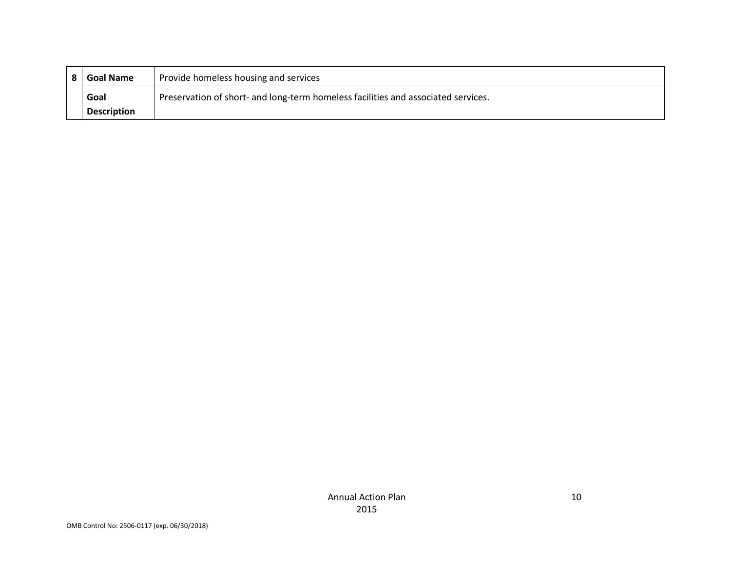| <b>Goal Name</b>   | Provide homeless housing and services                                             |
|--------------------|-----------------------------------------------------------------------------------|
| Goal               | Preservation of short- and long-term homeless facilities and associated services. |
| <b>Description</b> |                                                                                   |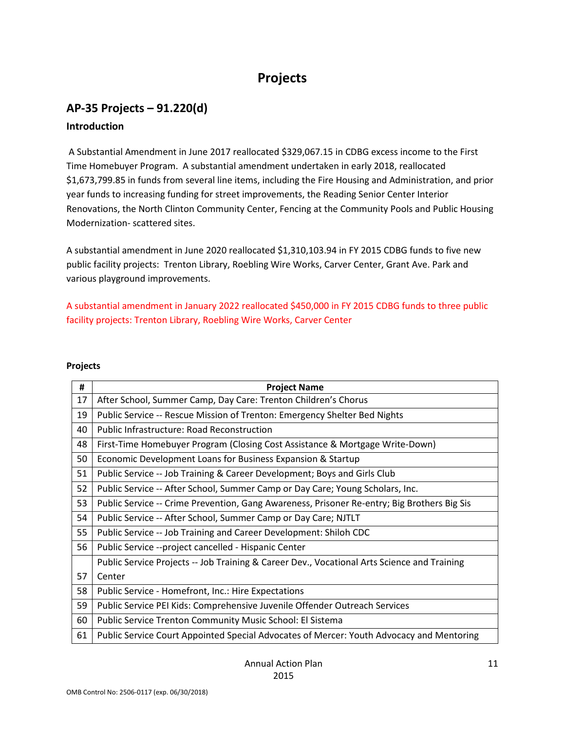# **Projects**

# <span id="page-10-1"></span><span id="page-10-0"></span>**AP-35 Projects – 91.220(d) Introduction**

A Substantial Amendment in June 2017 reallocated \$329,067.15 in CDBG excess income to the First Time Homebuyer Program. A substantial amendment undertaken in early 2018, reallocated \$1,673,799.85 in funds from several line items, including the Fire Housing and Administration, and prior year funds to increasing funding for street improvements, the Reading Senior Center Interior Renovations, the North Clinton Community Center, Fencing at the Community Pools and Public Housing Modernization- scattered sites.

A substantial amendment in June 2020 reallocated \$1,310,103.94 in FY 2015 CDBG funds to five new public facility projects: Trenton Library, Roebling Wire Works, Carver Center, Grant Ave. Park and various playground improvements.

A substantial amendment in January 2022 reallocated \$450,000 in FY 2015 CDBG funds to three public facility projects: Trenton Library, Roebling Wire Works, Carver Center

#### **Projects**

| #  | <b>Project Name</b>                                                                         |  |  |  |  |  |
|----|---------------------------------------------------------------------------------------------|--|--|--|--|--|
| 17 | After School, Summer Camp, Day Care: Trenton Children's Chorus                              |  |  |  |  |  |
| 19 | Public Service -- Rescue Mission of Trenton: Emergency Shelter Bed Nights                   |  |  |  |  |  |
| 40 | <b>Public Infrastructure: Road Reconstruction</b>                                           |  |  |  |  |  |
| 48 | First-Time Homebuyer Program (Closing Cost Assistance & Mortgage Write-Down)                |  |  |  |  |  |
| 50 | Economic Development Loans for Business Expansion & Startup                                 |  |  |  |  |  |
| 51 | Public Service -- Job Training & Career Development; Boys and Girls Club                    |  |  |  |  |  |
| 52 | Public Service -- After School, Summer Camp or Day Care; Young Scholars, Inc.               |  |  |  |  |  |
| 53 | Public Service -- Crime Prevention, Gang Awareness, Prisoner Re-entry; Big Brothers Big Sis |  |  |  |  |  |
| 54 | Public Service -- After School, Summer Camp or Day Care; NJTLT                              |  |  |  |  |  |
| 55 | Public Service -- Job Training and Career Development: Shiloh CDC                           |  |  |  |  |  |
| 56 | Public Service -- project cancelled - Hispanic Center                                       |  |  |  |  |  |
|    | Public Service Projects -- Job Training & Career Dev., Vocational Arts Science and Training |  |  |  |  |  |
| 57 | Center                                                                                      |  |  |  |  |  |
| 58 | Public Service - Homefront, Inc.: Hire Expectations                                         |  |  |  |  |  |
| 59 | Public Service PEI Kids: Comprehensive Juvenile Offender Outreach Services                  |  |  |  |  |  |
| 60 | Public Service Trenton Community Music School: El Sistema                                   |  |  |  |  |  |
| 61 | Public Service Court Appointed Special Advocates of Mercer: Youth Advocacy and Mentoring    |  |  |  |  |  |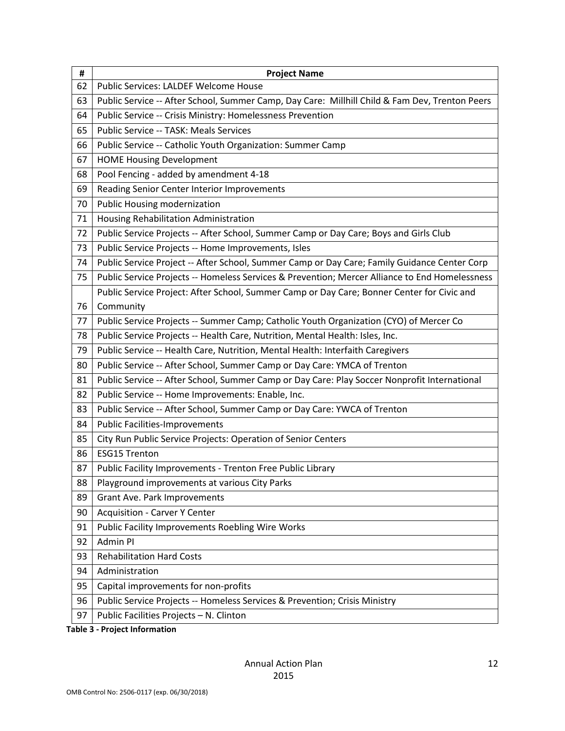| #  | <b>Project Name</b>                                                                            |
|----|------------------------------------------------------------------------------------------------|
| 62 | Public Services: LALDEF Welcome House                                                          |
| 63 | Public Service -- After School, Summer Camp, Day Care: Millhill Child & Fam Dev, Trenton Peers |
| 64 | Public Service -- Crisis Ministry: Homelessness Prevention                                     |
| 65 | Public Service -- TASK: Meals Services                                                         |
| 66 | Public Service -- Catholic Youth Organization: Summer Camp                                     |
| 67 | <b>HOME Housing Development</b>                                                                |
| 68 | Pool Fencing - added by amendment 4-18                                                         |
| 69 | Reading Senior Center Interior Improvements                                                    |
| 70 | Public Housing modernization                                                                   |
| 71 | Housing Rehabilitation Administration                                                          |
| 72 | Public Service Projects -- After School, Summer Camp or Day Care; Boys and Girls Club          |
| 73 | Public Service Projects -- Home Improvements, Isles                                            |
| 74 | Public Service Project -- After School, Summer Camp or Day Care; Family Guidance Center Corp   |
| 75 | Public Service Projects -- Homeless Services & Prevention; Mercer Alliance to End Homelessness |
|    | Public Service Project: After School, Summer Camp or Day Care; Bonner Center for Civic and     |
| 76 | Community                                                                                      |
| 77 | Public Service Projects -- Summer Camp; Catholic Youth Organization (CYO) of Mercer Co         |
| 78 | Public Service Projects -- Health Care, Nutrition, Mental Health: Isles, Inc.                  |
| 79 | Public Service -- Health Care, Nutrition, Mental Health: Interfaith Caregivers                 |
| 80 | Public Service -- After School, Summer Camp or Day Care: YMCA of Trenton                       |
| 81 | Public Service -- After School, Summer Camp or Day Care: Play Soccer Nonprofit International   |
| 82 | Public Service -- Home Improvements: Enable, Inc.                                              |
| 83 | Public Service -- After School, Summer Camp or Day Care: YWCA of Trenton                       |
| 84 | <b>Public Facilities-Improvements</b>                                                          |
| 85 | City Run Public Service Projects: Operation of Senior Centers                                  |
| 86 | <b>ESG15 Trenton</b>                                                                           |
| 87 | Public Facility Improvements - Trenton Free Public Library                                     |
| 88 | Playground improvements at various City Parks                                                  |
| 89 | Grant Ave. Park Improvements                                                                   |
| 90 | <b>Acquisition - Carver Y Center</b>                                                           |
| 91 | <b>Public Facility Improvements Roebling Wire Works</b>                                        |
| 92 | Admin PI                                                                                       |
| 93 | <b>Rehabilitation Hard Costs</b>                                                               |
| 94 | Administration                                                                                 |
| 95 | Capital improvements for non-profits                                                           |
| 96 | Public Service Projects -- Homeless Services & Prevention; Crisis Ministry                     |
| 97 | Public Facilities Projects - N. Clinton                                                        |

**Table 3 - Project Information**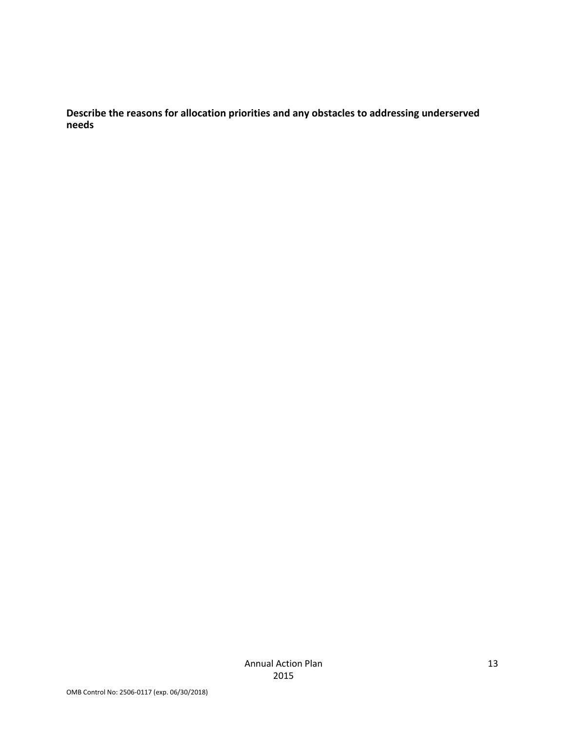**Describe the reasons for allocation priorities and any obstacles to addressing underserved needs**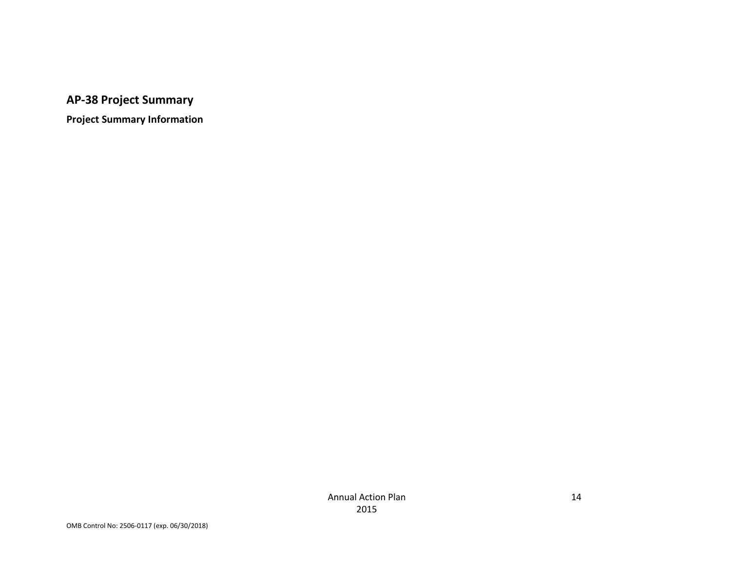**AP-38 Project Summary**

<span id="page-13-0"></span>**Project Summary Information**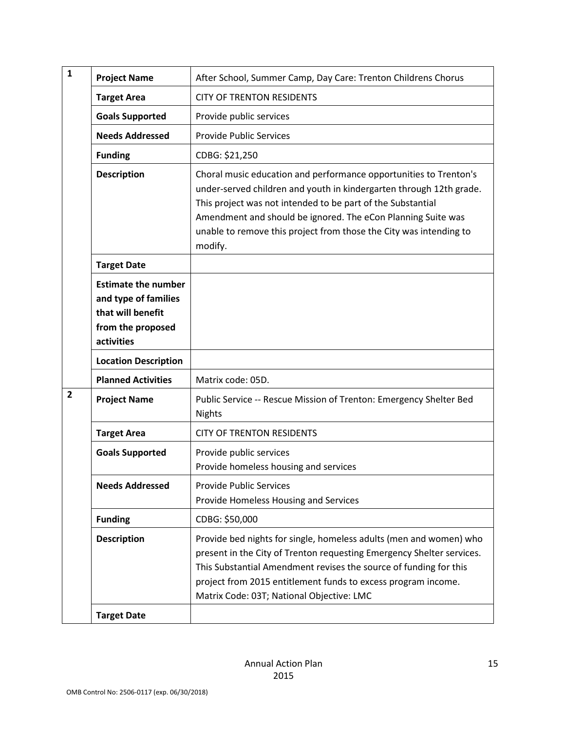| $\mathbf{1}$   | <b>Project Name</b>                                                                                        | After School, Summer Camp, Day Care: Trenton Childrens Chorus                                                                                                                                                                                                                                                                                            |
|----------------|------------------------------------------------------------------------------------------------------------|----------------------------------------------------------------------------------------------------------------------------------------------------------------------------------------------------------------------------------------------------------------------------------------------------------------------------------------------------------|
|                | <b>Target Area</b>                                                                                         | <b>CITY OF TRENTON RESIDENTS</b>                                                                                                                                                                                                                                                                                                                         |
|                | <b>Goals Supported</b>                                                                                     | Provide public services                                                                                                                                                                                                                                                                                                                                  |
|                | <b>Needs Addressed</b>                                                                                     | <b>Provide Public Services</b>                                                                                                                                                                                                                                                                                                                           |
|                | <b>Funding</b>                                                                                             | CDBG: \$21,250                                                                                                                                                                                                                                                                                                                                           |
|                | <b>Description</b>                                                                                         | Choral music education and performance opportunities to Trenton's<br>under-served children and youth in kindergarten through 12th grade.<br>This project was not intended to be part of the Substantial<br>Amendment and should be ignored. The eCon Planning Suite was<br>unable to remove this project from those the City was intending to<br>modify. |
|                | <b>Target Date</b>                                                                                         |                                                                                                                                                                                                                                                                                                                                                          |
|                | <b>Estimate the number</b><br>and type of families<br>that will benefit<br>from the proposed<br>activities |                                                                                                                                                                                                                                                                                                                                                          |
|                | <b>Location Description</b>                                                                                |                                                                                                                                                                                                                                                                                                                                                          |
|                | <b>Planned Activities</b>                                                                                  | Matrix code: 05D.                                                                                                                                                                                                                                                                                                                                        |
| $\overline{2}$ | <b>Project Name</b>                                                                                        | Public Service -- Rescue Mission of Trenton: Emergency Shelter Bed<br><b>Nights</b>                                                                                                                                                                                                                                                                      |
|                | <b>Target Area</b>                                                                                         | <b>CITY OF TRENTON RESIDENTS</b>                                                                                                                                                                                                                                                                                                                         |
|                | <b>Goals Supported</b>                                                                                     | Provide public services<br>Provide homeless housing and services                                                                                                                                                                                                                                                                                         |
|                | <b>Needs Addressed</b>                                                                                     | <b>Provide Public Services</b><br>Provide Homeless Housing and Services                                                                                                                                                                                                                                                                                  |
|                | <b>Funding</b>                                                                                             | CDBG: \$50,000                                                                                                                                                                                                                                                                                                                                           |
|                | <b>Description</b>                                                                                         | Provide bed nights for single, homeless adults (men and women) who<br>present in the City of Trenton requesting Emergency Shelter services.<br>This Substantial Amendment revises the source of funding for this<br>project from 2015 entitlement funds to excess program income.<br>Matrix Code: 03T; National Objective: LMC                           |
|                | <b>Target Date</b>                                                                                         |                                                                                                                                                                                                                                                                                                                                                          |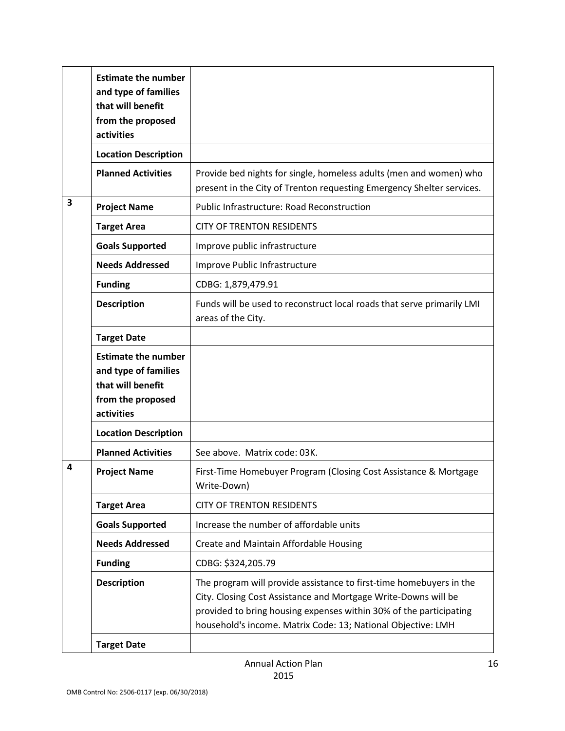|                         | <b>Estimate the number</b><br>and type of families<br>that will benefit<br>from the proposed<br>activities |                                                                                                                                                                                                                                                                             |
|-------------------------|------------------------------------------------------------------------------------------------------------|-----------------------------------------------------------------------------------------------------------------------------------------------------------------------------------------------------------------------------------------------------------------------------|
|                         | <b>Location Description</b>                                                                                |                                                                                                                                                                                                                                                                             |
|                         | <b>Planned Activities</b>                                                                                  | Provide bed nights for single, homeless adults (men and women) who<br>present in the City of Trenton requesting Emergency Shelter services.                                                                                                                                 |
| $\overline{\mathbf{3}}$ | <b>Project Name</b>                                                                                        | <b>Public Infrastructure: Road Reconstruction</b>                                                                                                                                                                                                                           |
|                         | <b>Target Area</b>                                                                                         | <b>CITY OF TRENTON RESIDENTS</b>                                                                                                                                                                                                                                            |
|                         | <b>Goals Supported</b>                                                                                     | Improve public infrastructure                                                                                                                                                                                                                                               |
|                         | <b>Needs Addressed</b>                                                                                     | Improve Public Infrastructure                                                                                                                                                                                                                                               |
|                         | <b>Funding</b>                                                                                             | CDBG: 1,879,479.91                                                                                                                                                                                                                                                          |
|                         | <b>Description</b>                                                                                         | Funds will be used to reconstruct local roads that serve primarily LMI<br>areas of the City.                                                                                                                                                                                |
|                         | <b>Target Date</b>                                                                                         |                                                                                                                                                                                                                                                                             |
|                         | <b>Estimate the number</b><br>and type of families<br>that will benefit<br>from the proposed<br>activities |                                                                                                                                                                                                                                                                             |
|                         | <b>Location Description</b>                                                                                |                                                                                                                                                                                                                                                                             |
|                         | <b>Planned Activities</b>                                                                                  | See above. Matrix code: 03K.                                                                                                                                                                                                                                                |
| 4                       | <b>Project Name</b>                                                                                        | First-Time Homebuyer Program (Closing Cost Assistance & Mortgage<br>Write-Down)                                                                                                                                                                                             |
|                         | <b>Target Area</b>                                                                                         | <b>CITY OF TRENTON RESIDENTS</b>                                                                                                                                                                                                                                            |
|                         | <b>Goals Supported</b>                                                                                     | Increase the number of affordable units                                                                                                                                                                                                                                     |
|                         | <b>Needs Addressed</b>                                                                                     | Create and Maintain Affordable Housing                                                                                                                                                                                                                                      |
|                         | <b>Funding</b>                                                                                             | CDBG: \$324,205.79                                                                                                                                                                                                                                                          |
|                         | <b>Description</b>                                                                                         | The program will provide assistance to first-time homebuyers in the<br>City. Closing Cost Assistance and Mortgage Write-Downs will be<br>provided to bring housing expenses within 30% of the participating<br>household's income. Matrix Code: 13; National Objective: LMH |
|                         | <b>Target Date</b>                                                                                         |                                                                                                                                                                                                                                                                             |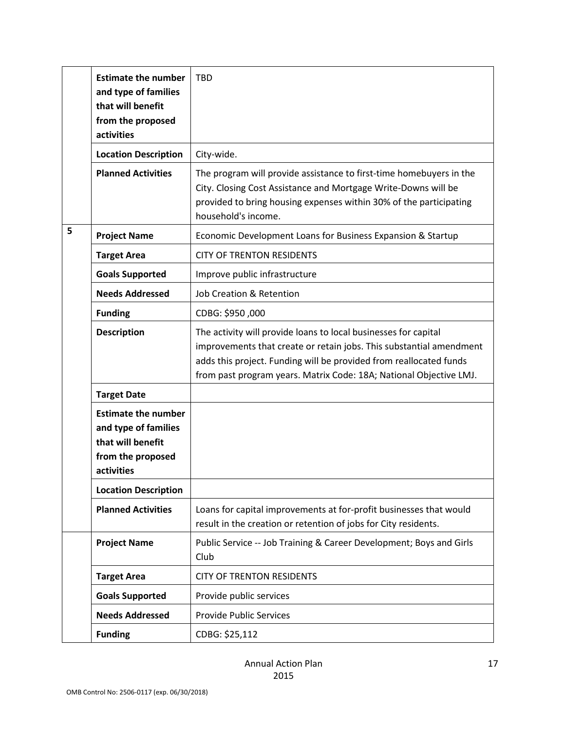|   | <b>Estimate the number</b><br>and type of families<br>that will benefit<br>from the proposed<br>activities | <b>TBD</b>                                                                                                                                                                                                                                                                         |
|---|------------------------------------------------------------------------------------------------------------|------------------------------------------------------------------------------------------------------------------------------------------------------------------------------------------------------------------------------------------------------------------------------------|
|   | <b>Location Description</b>                                                                                | City-wide.                                                                                                                                                                                                                                                                         |
|   | <b>Planned Activities</b>                                                                                  | The program will provide assistance to first-time homebuyers in the<br>City. Closing Cost Assistance and Mortgage Write-Downs will be<br>provided to bring housing expenses within 30% of the participating<br>household's income.                                                 |
| 5 | <b>Project Name</b>                                                                                        | Economic Development Loans for Business Expansion & Startup                                                                                                                                                                                                                        |
|   | <b>Target Area</b>                                                                                         | <b>CITY OF TRENTON RESIDENTS</b>                                                                                                                                                                                                                                                   |
|   | <b>Goals Supported</b>                                                                                     | Improve public infrastructure                                                                                                                                                                                                                                                      |
|   | <b>Needs Addressed</b>                                                                                     | Job Creation & Retention                                                                                                                                                                                                                                                           |
|   | <b>Funding</b>                                                                                             | CDBG: \$950,000                                                                                                                                                                                                                                                                    |
|   | <b>Description</b>                                                                                         | The activity will provide loans to local businesses for capital<br>improvements that create or retain jobs. This substantial amendment<br>adds this project. Funding will be provided from reallocated funds<br>from past program years. Matrix Code: 18A; National Objective LMJ. |
|   | <b>Target Date</b>                                                                                         |                                                                                                                                                                                                                                                                                    |
|   | <b>Estimate the number</b><br>and type of families<br>that will benefit<br>from the proposed<br>activities |                                                                                                                                                                                                                                                                                    |
|   | <b>Location Description</b>                                                                                |                                                                                                                                                                                                                                                                                    |
|   | <b>Planned Activities</b>                                                                                  | Loans for capital improvements at for-profit businesses that would<br>result in the creation or retention of jobs for City residents.                                                                                                                                              |
|   | <b>Project Name</b>                                                                                        | Public Service -- Job Training & Career Development; Boys and Girls<br>Club                                                                                                                                                                                                        |
|   | <b>Target Area</b>                                                                                         | <b>CITY OF TRENTON RESIDENTS</b>                                                                                                                                                                                                                                                   |
|   | <b>Goals Supported</b>                                                                                     | Provide public services                                                                                                                                                                                                                                                            |
|   | <b>Needs Addressed</b>                                                                                     | <b>Provide Public Services</b>                                                                                                                                                                                                                                                     |
|   | <b>Funding</b>                                                                                             | CDBG: \$25,112                                                                                                                                                                                                                                                                     |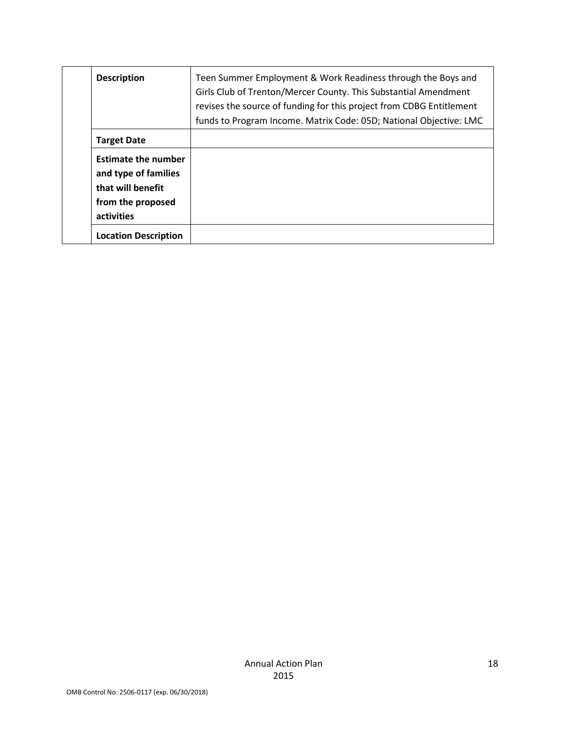| <b>Description</b>                                                                                         | Teen Summer Employment & Work Readiness through the Boys and<br>Girls Club of Trenton/Mercer County. This Substantial Amendment<br>revises the source of funding for this project from CDBG Entitlement<br>funds to Program Income. Matrix Code: 05D; National Objective: LMC |
|------------------------------------------------------------------------------------------------------------|-------------------------------------------------------------------------------------------------------------------------------------------------------------------------------------------------------------------------------------------------------------------------------|
| <b>Target Date</b>                                                                                         |                                                                                                                                                                                                                                                                               |
| <b>Estimate the number</b><br>and type of families<br>that will benefit<br>from the proposed<br>activities |                                                                                                                                                                                                                                                                               |
| <b>Location Description</b>                                                                                |                                                                                                                                                                                                                                                                               |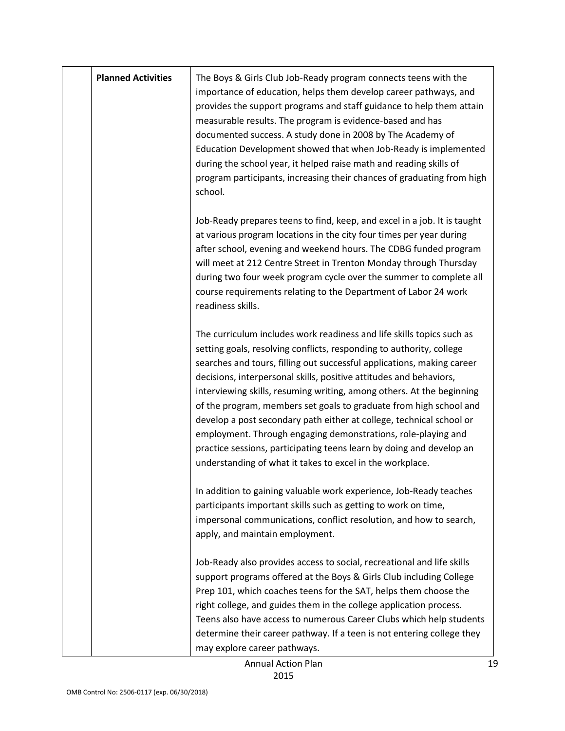| <b>Planned Activities</b> | The Boys & Girls Club Job-Ready program connects teens with the<br>importance of education, helps them develop career pathways, and<br>provides the support programs and staff guidance to help them attain<br>measurable results. The program is evidence-based and has<br>documented success. A study done in 2008 by The Academy of<br>Education Development showed that when Job-Ready is implemented<br>during the school year, it helped raise math and reading skills of<br>program participants, increasing their chances of graduating from high<br>school.                                                                                                                                                       |
|---------------------------|----------------------------------------------------------------------------------------------------------------------------------------------------------------------------------------------------------------------------------------------------------------------------------------------------------------------------------------------------------------------------------------------------------------------------------------------------------------------------------------------------------------------------------------------------------------------------------------------------------------------------------------------------------------------------------------------------------------------------|
|                           | Job-Ready prepares teens to find, keep, and excel in a job. It is taught<br>at various program locations in the city four times per year during<br>after school, evening and weekend hours. The CDBG funded program<br>will meet at 212 Centre Street in Trenton Monday through Thursday<br>during two four week program cycle over the summer to complete all<br>course requirements relating to the Department of Labor 24 work<br>readiness skills.                                                                                                                                                                                                                                                                     |
|                           | The curriculum includes work readiness and life skills topics such as<br>setting goals, resolving conflicts, responding to authority, college<br>searches and tours, filling out successful applications, making career<br>decisions, interpersonal skills, positive attitudes and behaviors,<br>interviewing skills, resuming writing, among others. At the beginning<br>of the program, members set goals to graduate from high school and<br>develop a post secondary path either at college, technical school or<br>employment. Through engaging demonstrations, role-playing and<br>practice sessions, participating teens learn by doing and develop an<br>understanding of what it takes to excel in the workplace. |
|                           | In addition to gaining valuable work experience, Job-Ready teaches<br>participants important skills such as getting to work on time,<br>impersonal communications, conflict resolution, and how to search,<br>apply, and maintain employment.                                                                                                                                                                                                                                                                                                                                                                                                                                                                              |
|                           | Job-Ready also provides access to social, recreational and life skills<br>support programs offered at the Boys & Girls Club including College<br>Prep 101, which coaches teens for the SAT, helps them choose the<br>right college, and guides them in the college application process.<br>Teens also have access to numerous Career Clubs which help students<br>determine their career pathway. If a teen is not entering college they<br>may explore career pathways.                                                                                                                                                                                                                                                   |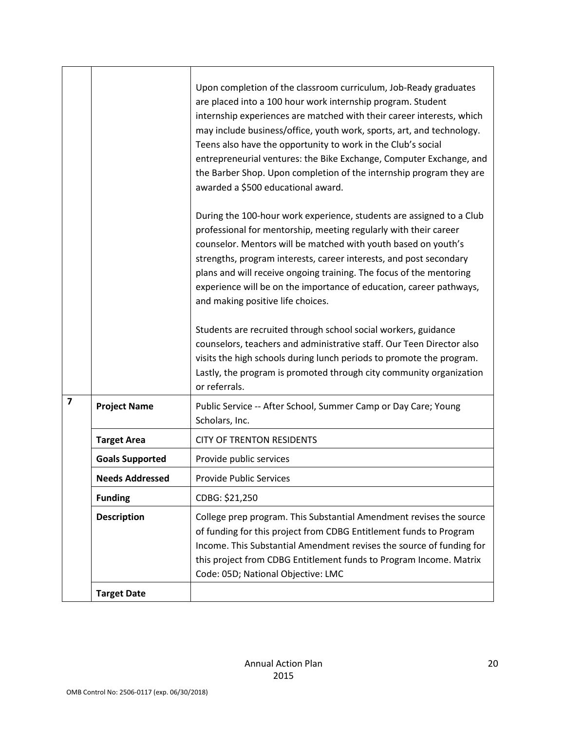|                         |                        | Upon completion of the classroom curriculum, Job-Ready graduates<br>are placed into a 100 hour work internship program. Student<br>internship experiences are matched with their career interests, which<br>may include business/office, youth work, sports, art, and technology.<br>Teens also have the opportunity to work in the Club's social<br>entrepreneurial ventures: the Bike Exchange, Computer Exchange, and<br>the Barber Shop. Upon completion of the internship program they are<br>awarded a \$500 educational award. |
|-------------------------|------------------------|---------------------------------------------------------------------------------------------------------------------------------------------------------------------------------------------------------------------------------------------------------------------------------------------------------------------------------------------------------------------------------------------------------------------------------------------------------------------------------------------------------------------------------------|
|                         |                        | During the 100-hour work experience, students are assigned to a Club<br>professional for mentorship, meeting regularly with their career<br>counselor. Mentors will be matched with youth based on youth's<br>strengths, program interests, career interests, and post secondary<br>plans and will receive ongoing training. The focus of the mentoring<br>experience will be on the importance of education, career pathways,<br>and making positive life choices.                                                                   |
|                         |                        | Students are recruited through school social workers, guidance<br>counselors, teachers and administrative staff. Our Teen Director also<br>visits the high schools during lunch periods to promote the program.<br>Lastly, the program is promoted through city community organization<br>or referrals.                                                                                                                                                                                                                               |
| $\overline{\mathbf{z}}$ | <b>Project Name</b>    | Public Service -- After School, Summer Camp or Day Care; Young<br>Scholars, Inc.                                                                                                                                                                                                                                                                                                                                                                                                                                                      |
|                         | <b>Target Area</b>     | <b>CITY OF TRENTON RESIDENTS</b>                                                                                                                                                                                                                                                                                                                                                                                                                                                                                                      |
|                         | <b>Goals Supported</b> | Provide public services                                                                                                                                                                                                                                                                                                                                                                                                                                                                                                               |
|                         | <b>Needs Addressed</b> | <b>Provide Public Services</b>                                                                                                                                                                                                                                                                                                                                                                                                                                                                                                        |
|                         | <b>Funding</b>         | CDBG: \$21,250                                                                                                                                                                                                                                                                                                                                                                                                                                                                                                                        |
|                         | <b>Description</b>     | College prep program. This Substantial Amendment revises the source<br>of funding for this project from CDBG Entitlement funds to Program<br>Income. This Substantial Amendment revises the source of funding for<br>this project from CDBG Entitlement funds to Program Income. Matrix<br>Code: 05D; National Objective: LMC                                                                                                                                                                                                         |
|                         | <b>Target Date</b>     |                                                                                                                                                                                                                                                                                                                                                                                                                                                                                                                                       |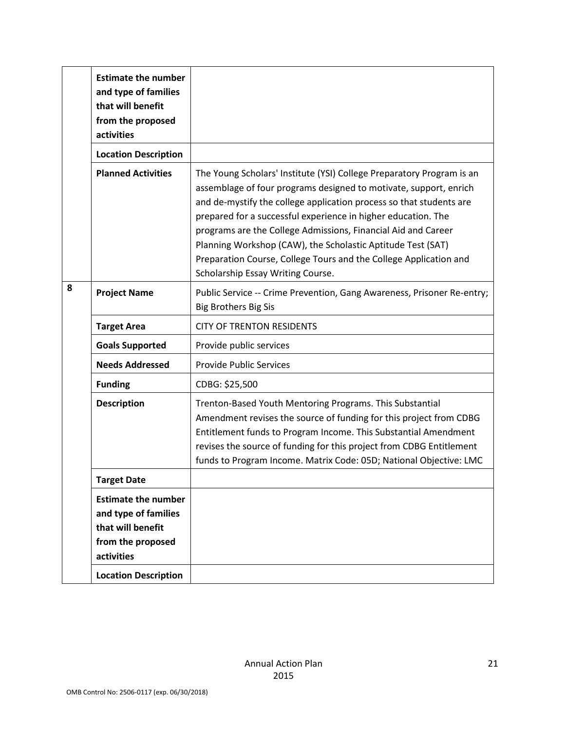|   | <b>Estimate the number</b><br>and type of families<br>that will benefit<br>from the proposed<br>activities |                                                                                                                                                                                                                                                                                                                                                                                                                                                                                                                              |
|---|------------------------------------------------------------------------------------------------------------|------------------------------------------------------------------------------------------------------------------------------------------------------------------------------------------------------------------------------------------------------------------------------------------------------------------------------------------------------------------------------------------------------------------------------------------------------------------------------------------------------------------------------|
|   | <b>Location Description</b>                                                                                |                                                                                                                                                                                                                                                                                                                                                                                                                                                                                                                              |
|   | <b>Planned Activities</b>                                                                                  | The Young Scholars' Institute (YSI) College Preparatory Program is an<br>assemblage of four programs designed to motivate, support, enrich<br>and de-mystify the college application process so that students are<br>prepared for a successful experience in higher education. The<br>programs are the College Admissions, Financial Aid and Career<br>Planning Workshop (CAW), the Scholastic Aptitude Test (SAT)<br>Preparation Course, College Tours and the College Application and<br>Scholarship Essay Writing Course. |
| 8 | <b>Project Name</b>                                                                                        | Public Service -- Crime Prevention, Gang Awareness, Prisoner Re-entry;<br><b>Big Brothers Big Sis</b>                                                                                                                                                                                                                                                                                                                                                                                                                        |
|   | <b>Target Area</b>                                                                                         | <b>CITY OF TRENTON RESIDENTS</b>                                                                                                                                                                                                                                                                                                                                                                                                                                                                                             |
|   | <b>Goals Supported</b>                                                                                     | Provide public services                                                                                                                                                                                                                                                                                                                                                                                                                                                                                                      |
|   | <b>Needs Addressed</b>                                                                                     | <b>Provide Public Services</b>                                                                                                                                                                                                                                                                                                                                                                                                                                                                                               |
|   | <b>Funding</b>                                                                                             | CDBG: \$25,500                                                                                                                                                                                                                                                                                                                                                                                                                                                                                                               |
|   | <b>Description</b>                                                                                         | Trenton-Based Youth Mentoring Programs. This Substantial<br>Amendment revises the source of funding for this project from CDBG<br>Entitlement funds to Program Income. This Substantial Amendment<br>revises the source of funding for this project from CDBG Entitlement<br>funds to Program Income. Matrix Code: 05D; National Objective: LMC                                                                                                                                                                              |
|   | Target Date                                                                                                |                                                                                                                                                                                                                                                                                                                                                                                                                                                                                                                              |
|   | <b>Estimate the number</b><br>and type of families<br>that will benefit<br>from the proposed<br>activities |                                                                                                                                                                                                                                                                                                                                                                                                                                                                                                                              |
|   | <b>Location Description</b>                                                                                |                                                                                                                                                                                                                                                                                                                                                                                                                                                                                                                              |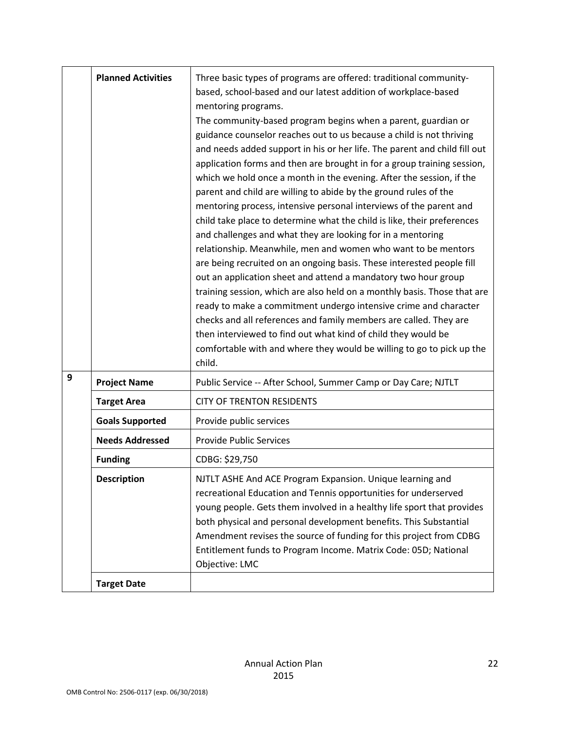|   | <b>Planned Activities</b> | Three basic types of programs are offered: traditional community-<br>based, school-based and our latest addition of workplace-based<br>mentoring programs.<br>The community-based program begins when a parent, guardian or<br>guidance counselor reaches out to us because a child is not thriving<br>and needs added support in his or her life. The parent and child fill out<br>application forms and then are brought in for a group training session,<br>which we hold once a month in the evening. After the session, if the<br>parent and child are willing to abide by the ground rules of the<br>mentoring process, intensive personal interviews of the parent and<br>child take place to determine what the child is like, their preferences<br>and challenges and what they are looking for in a mentoring<br>relationship. Meanwhile, men and women who want to be mentors<br>are being recruited on an ongoing basis. These interested people fill<br>out an application sheet and attend a mandatory two hour group<br>training session, which are also held on a monthly basis. Those that are<br>ready to make a commitment undergo intensive crime and character<br>checks and all references and family members are called. They are<br>then interviewed to find out what kind of child they would be<br>comfortable with and where they would be willing to go to pick up the<br>child. |
|---|---------------------------|--------------------------------------------------------------------------------------------------------------------------------------------------------------------------------------------------------------------------------------------------------------------------------------------------------------------------------------------------------------------------------------------------------------------------------------------------------------------------------------------------------------------------------------------------------------------------------------------------------------------------------------------------------------------------------------------------------------------------------------------------------------------------------------------------------------------------------------------------------------------------------------------------------------------------------------------------------------------------------------------------------------------------------------------------------------------------------------------------------------------------------------------------------------------------------------------------------------------------------------------------------------------------------------------------------------------------------------------------------------------------------------------------------------|
| 9 | <b>Project Name</b>       | Public Service -- After School, Summer Camp or Day Care; NJTLT                                                                                                                                                                                                                                                                                                                                                                                                                                                                                                                                                                                                                                                                                                                                                                                                                                                                                                                                                                                                                                                                                                                                                                                                                                                                                                                                               |
|   | <b>Target Area</b>        | <b>CITY OF TRENTON RESIDENTS</b>                                                                                                                                                                                                                                                                                                                                                                                                                                                                                                                                                                                                                                                                                                                                                                                                                                                                                                                                                                                                                                                                                                                                                                                                                                                                                                                                                                             |
|   | <b>Goals Supported</b>    | Provide public services                                                                                                                                                                                                                                                                                                                                                                                                                                                                                                                                                                                                                                                                                                                                                                                                                                                                                                                                                                                                                                                                                                                                                                                                                                                                                                                                                                                      |
|   | <b>Needs Addressed</b>    | <b>Provide Public Services</b>                                                                                                                                                                                                                                                                                                                                                                                                                                                                                                                                                                                                                                                                                                                                                                                                                                                                                                                                                                                                                                                                                                                                                                                                                                                                                                                                                                               |
|   | <b>Funding</b>            | CDBG: \$29,750                                                                                                                                                                                                                                                                                                                                                                                                                                                                                                                                                                                                                                                                                                                                                                                                                                                                                                                                                                                                                                                                                                                                                                                                                                                                                                                                                                                               |
|   | <b>Description</b>        | NJTLT ASHE And ACE Program Expansion. Unique learning and<br>recreational Education and Tennis opportunities for underserved<br>young people. Gets them involved in a healthy life sport that provides<br>both physical and personal development benefits. This Substantial<br>Amendment revises the source of funding for this project from CDBG<br>Entitlement funds to Program Income. Matrix Code: 05D; National<br>Objective: LMC                                                                                                                                                                                                                                                                                                                                                                                                                                                                                                                                                                                                                                                                                                                                                                                                                                                                                                                                                                       |
|   | <b>Target Date</b>        |                                                                                                                                                                                                                                                                                                                                                                                                                                                                                                                                                                                                                                                                                                                                                                                                                                                                                                                                                                                                                                                                                                                                                                                                                                                                                                                                                                                                              |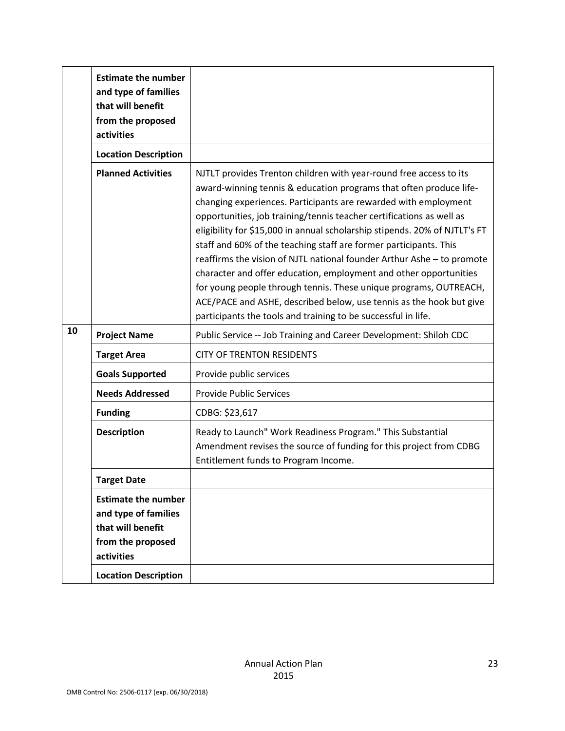|    | <b>Estimate the number</b><br>and type of families<br>that will benefit<br>from the proposed<br>activities |                                                                                                                                                                                                                                                                                                                                                                                                                                                                                                                                                                                                                                                                                                                                                                                                    |
|----|------------------------------------------------------------------------------------------------------------|----------------------------------------------------------------------------------------------------------------------------------------------------------------------------------------------------------------------------------------------------------------------------------------------------------------------------------------------------------------------------------------------------------------------------------------------------------------------------------------------------------------------------------------------------------------------------------------------------------------------------------------------------------------------------------------------------------------------------------------------------------------------------------------------------|
|    | <b>Location Description</b>                                                                                |                                                                                                                                                                                                                                                                                                                                                                                                                                                                                                                                                                                                                                                                                                                                                                                                    |
|    | <b>Planned Activities</b>                                                                                  | NJTLT provides Trenton children with year-round free access to its<br>award-winning tennis & education programs that often produce life-<br>changing experiences. Participants are rewarded with employment<br>opportunities, job training/tennis teacher certifications as well as<br>eligibility for \$15,000 in annual scholarship stipends. 20% of NJTLT's FT<br>staff and 60% of the teaching staff are former participants. This<br>reaffirms the vision of NJTL national founder Arthur Ashe - to promote<br>character and offer education, employment and other opportunities<br>for young people through tennis. These unique programs, OUTREACH,<br>ACE/PACE and ASHE, described below, use tennis as the hook but give<br>participants the tools and training to be successful in life. |
| 10 | <b>Project Name</b>                                                                                        | Public Service -- Job Training and Career Development: Shiloh CDC                                                                                                                                                                                                                                                                                                                                                                                                                                                                                                                                                                                                                                                                                                                                  |
|    | <b>Target Area</b>                                                                                         | <b>CITY OF TRENTON RESIDENTS</b>                                                                                                                                                                                                                                                                                                                                                                                                                                                                                                                                                                                                                                                                                                                                                                   |
|    | <b>Goals Supported</b>                                                                                     | Provide public services                                                                                                                                                                                                                                                                                                                                                                                                                                                                                                                                                                                                                                                                                                                                                                            |
|    | <b>Needs Addressed</b>                                                                                     | <b>Provide Public Services</b>                                                                                                                                                                                                                                                                                                                                                                                                                                                                                                                                                                                                                                                                                                                                                                     |
|    | <b>Funding</b>                                                                                             | CDBG: \$23,617                                                                                                                                                                                                                                                                                                                                                                                                                                                                                                                                                                                                                                                                                                                                                                                     |
|    | <b>Description</b>                                                                                         | Ready to Launch" Work Readiness Program." This Substantial<br>Amendment revises the source of funding for this project from CDBG<br>Entitlement funds to Program Income.                                                                                                                                                                                                                                                                                                                                                                                                                                                                                                                                                                                                                           |
|    | <b>Target Date</b>                                                                                         |                                                                                                                                                                                                                                                                                                                                                                                                                                                                                                                                                                                                                                                                                                                                                                                                    |
|    | <b>Estimate the number</b><br>and type of families<br>that will benefit<br>from the proposed<br>activities |                                                                                                                                                                                                                                                                                                                                                                                                                                                                                                                                                                                                                                                                                                                                                                                                    |
|    | <b>Location Description</b>                                                                                |                                                                                                                                                                                                                                                                                                                                                                                                                                                                                                                                                                                                                                                                                                                                                                                                    |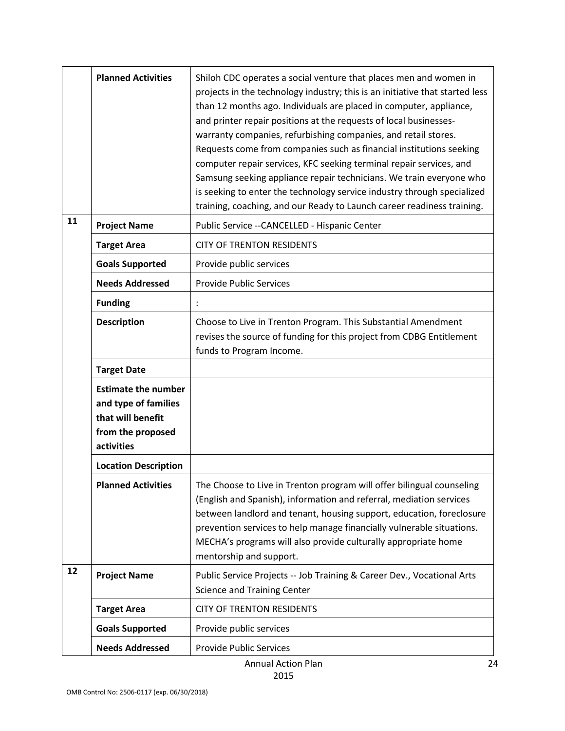|    | <b>Planned Activities</b>                                                                                  | Shiloh CDC operates a social venture that places men and women in<br>projects in the technology industry; this is an initiative that started less<br>than 12 months ago. Individuals are placed in computer, appliance,<br>and printer repair positions at the requests of local businesses-<br>warranty companies, refurbishing companies, and retail stores.<br>Requests come from companies such as financial institutions seeking<br>computer repair services, KFC seeking terminal repair services, and<br>Samsung seeking appliance repair technicians. We train everyone who<br>is seeking to enter the technology service industry through specialized<br>training, coaching, and our Ready to Launch career readiness training. |
|----|------------------------------------------------------------------------------------------------------------|------------------------------------------------------------------------------------------------------------------------------------------------------------------------------------------------------------------------------------------------------------------------------------------------------------------------------------------------------------------------------------------------------------------------------------------------------------------------------------------------------------------------------------------------------------------------------------------------------------------------------------------------------------------------------------------------------------------------------------------|
| 11 | <b>Project Name</b>                                                                                        | Public Service -- CANCELLED - Hispanic Center                                                                                                                                                                                                                                                                                                                                                                                                                                                                                                                                                                                                                                                                                            |
|    | <b>Target Area</b>                                                                                         | <b>CITY OF TRENTON RESIDENTS</b>                                                                                                                                                                                                                                                                                                                                                                                                                                                                                                                                                                                                                                                                                                         |
|    | <b>Goals Supported</b>                                                                                     | Provide public services                                                                                                                                                                                                                                                                                                                                                                                                                                                                                                                                                                                                                                                                                                                  |
|    | <b>Needs Addressed</b>                                                                                     | <b>Provide Public Services</b>                                                                                                                                                                                                                                                                                                                                                                                                                                                                                                                                                                                                                                                                                                           |
|    | <b>Funding</b>                                                                                             |                                                                                                                                                                                                                                                                                                                                                                                                                                                                                                                                                                                                                                                                                                                                          |
|    | <b>Description</b>                                                                                         | Choose to Live in Trenton Program. This Substantial Amendment<br>revises the source of funding for this project from CDBG Entitlement<br>funds to Program Income.                                                                                                                                                                                                                                                                                                                                                                                                                                                                                                                                                                        |
|    | <b>Target Date</b>                                                                                         |                                                                                                                                                                                                                                                                                                                                                                                                                                                                                                                                                                                                                                                                                                                                          |
|    | <b>Estimate the number</b><br>and type of families<br>that will benefit<br>from the proposed<br>activities |                                                                                                                                                                                                                                                                                                                                                                                                                                                                                                                                                                                                                                                                                                                                          |
|    | <b>Location Description</b>                                                                                |                                                                                                                                                                                                                                                                                                                                                                                                                                                                                                                                                                                                                                                                                                                                          |
|    | <b>Planned Activities</b>                                                                                  | The Choose to Live in Trenton program will offer bilingual counseling<br>(English and Spanish), information and referral, mediation services<br>between landlord and tenant, housing support, education, foreclosure<br>prevention services to help manage financially vulnerable situations.<br>MECHA's programs will also provide culturally appropriate home<br>mentorship and support.                                                                                                                                                                                                                                                                                                                                               |
| 12 | <b>Project Name</b>                                                                                        | Public Service Projects -- Job Training & Career Dev., Vocational Arts<br><b>Science and Training Center</b>                                                                                                                                                                                                                                                                                                                                                                                                                                                                                                                                                                                                                             |
|    | <b>Target Area</b>                                                                                         | <b>CITY OF TRENTON RESIDENTS</b>                                                                                                                                                                                                                                                                                                                                                                                                                                                                                                                                                                                                                                                                                                         |
|    | <b>Goals Supported</b>                                                                                     | Provide public services                                                                                                                                                                                                                                                                                                                                                                                                                                                                                                                                                                                                                                                                                                                  |
|    | <b>Needs Addressed</b>                                                                                     | <b>Provide Public Services</b>                                                                                                                                                                                                                                                                                                                                                                                                                                                                                                                                                                                                                                                                                                           |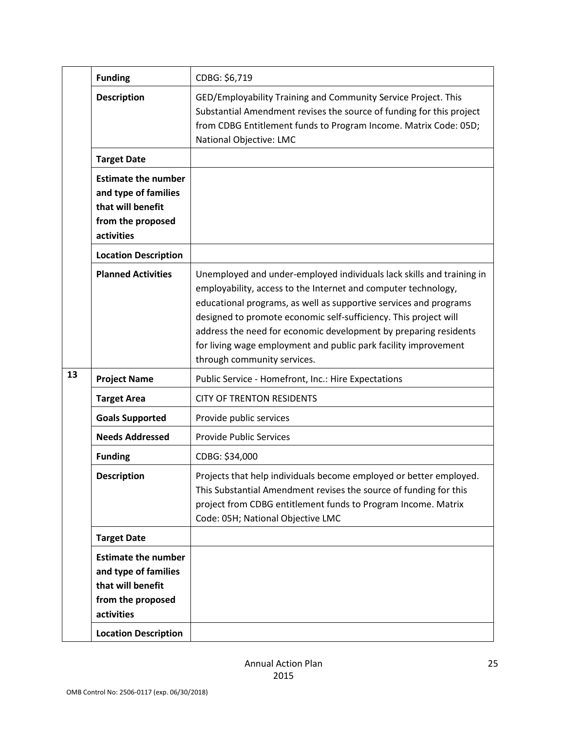|    | <b>Funding</b>                                                                                                                            | CDBG: \$6,719                                                                                                                                                                                                                                                                                                                                                                                                                                          |
|----|-------------------------------------------------------------------------------------------------------------------------------------------|--------------------------------------------------------------------------------------------------------------------------------------------------------------------------------------------------------------------------------------------------------------------------------------------------------------------------------------------------------------------------------------------------------------------------------------------------------|
|    | <b>Description</b>                                                                                                                        | GED/Employability Training and Community Service Project. This<br>Substantial Amendment revises the source of funding for this project<br>from CDBG Entitlement funds to Program Income. Matrix Code: 05D;<br>National Objective: LMC                                                                                                                                                                                                                  |
|    | <b>Target Date</b>                                                                                                                        |                                                                                                                                                                                                                                                                                                                                                                                                                                                        |
|    | <b>Estimate the number</b><br>and type of families<br>that will benefit<br>from the proposed<br>activities                                |                                                                                                                                                                                                                                                                                                                                                                                                                                                        |
|    | <b>Location Description</b>                                                                                                               |                                                                                                                                                                                                                                                                                                                                                                                                                                                        |
|    | <b>Planned Activities</b>                                                                                                                 | Unemployed and under-employed individuals lack skills and training in<br>employability, access to the Internet and computer technology,<br>educational programs, as well as supportive services and programs<br>designed to promote economic self-sufficiency. This project will<br>address the need for economic development by preparing residents<br>for living wage employment and public park facility improvement<br>through community services. |
| 13 | <b>Project Name</b>                                                                                                                       | Public Service - Homefront, Inc.: Hire Expectations                                                                                                                                                                                                                                                                                                                                                                                                    |
|    | <b>Target Area</b>                                                                                                                        | <b>CITY OF TRENTON RESIDENTS</b>                                                                                                                                                                                                                                                                                                                                                                                                                       |
|    | <b>Goals Supported</b>                                                                                                                    | Provide public services                                                                                                                                                                                                                                                                                                                                                                                                                                |
|    | <b>Needs Addressed</b>                                                                                                                    | <b>Provide Public Services</b>                                                                                                                                                                                                                                                                                                                                                                                                                         |
|    | <b>Funding</b>                                                                                                                            | CDBG: \$34,000                                                                                                                                                                                                                                                                                                                                                                                                                                         |
|    | <b>Description</b>                                                                                                                        | Projects that help individuals become employed or better employed.<br>This Substantial Amendment revises the source of funding for this<br>project from CDBG entitlement funds to Program Income. Matrix<br>Code: 05H; National Objective LMC                                                                                                                                                                                                          |
|    | <b>Target Date</b>                                                                                                                        |                                                                                                                                                                                                                                                                                                                                                                                                                                                        |
|    | <b>Estimate the number</b><br>and type of families<br>that will benefit<br>from the proposed<br>activities<br><b>Location Description</b> |                                                                                                                                                                                                                                                                                                                                                                                                                                                        |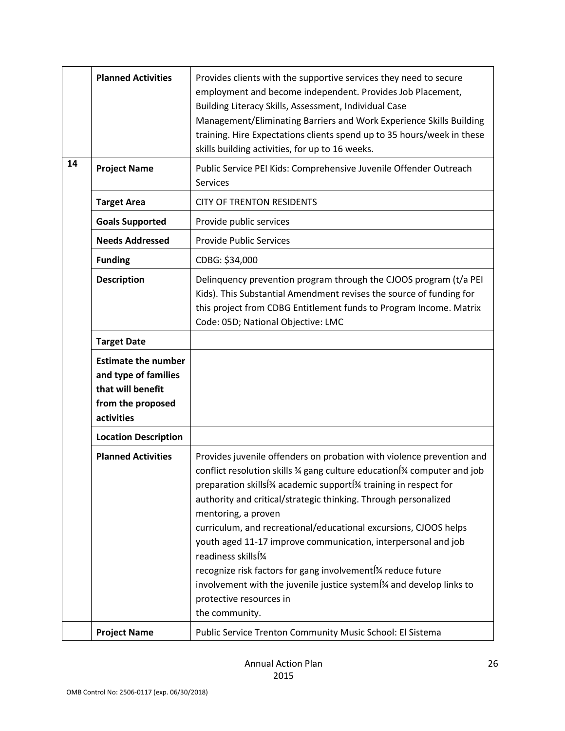|    | <b>Planned Activities</b>                                                                                  | Provides clients with the supportive services they need to secure<br>employment and become independent. Provides Job Placement,<br>Building Literacy Skills, Assessment, Individual Case<br>Management/Eliminating Barriers and Work Experience Skills Building<br>training. Hire Expectations clients spend up to 35 hours/week in these<br>skills building activities, for up to 16 weeks.                                                                                                                                                                                                                                                                                                                                                |
|----|------------------------------------------------------------------------------------------------------------|---------------------------------------------------------------------------------------------------------------------------------------------------------------------------------------------------------------------------------------------------------------------------------------------------------------------------------------------------------------------------------------------------------------------------------------------------------------------------------------------------------------------------------------------------------------------------------------------------------------------------------------------------------------------------------------------------------------------------------------------|
| 14 | <b>Project Name</b>                                                                                        | Public Service PEI Kids: Comprehensive Juvenile Offender Outreach<br>Services                                                                                                                                                                                                                                                                                                                                                                                                                                                                                                                                                                                                                                                               |
|    | <b>Target Area</b>                                                                                         | <b>CITY OF TRENTON RESIDENTS</b>                                                                                                                                                                                                                                                                                                                                                                                                                                                                                                                                                                                                                                                                                                            |
|    | <b>Goals Supported</b>                                                                                     | Provide public services                                                                                                                                                                                                                                                                                                                                                                                                                                                                                                                                                                                                                                                                                                                     |
|    | <b>Needs Addressed</b>                                                                                     | <b>Provide Public Services</b>                                                                                                                                                                                                                                                                                                                                                                                                                                                                                                                                                                                                                                                                                                              |
|    | <b>Funding</b>                                                                                             | CDBG: \$34,000                                                                                                                                                                                                                                                                                                                                                                                                                                                                                                                                                                                                                                                                                                                              |
|    | <b>Description</b>                                                                                         | Delinquency prevention program through the CJOOS program (t/a PEI<br>Kids). This Substantial Amendment revises the source of funding for<br>this project from CDBG Entitlement funds to Program Income. Matrix<br>Code: 05D; National Objective: LMC                                                                                                                                                                                                                                                                                                                                                                                                                                                                                        |
|    | <b>Target Date</b>                                                                                         |                                                                                                                                                                                                                                                                                                                                                                                                                                                                                                                                                                                                                                                                                                                                             |
|    | <b>Estimate the number</b><br>and type of families<br>that will benefit<br>from the proposed<br>activities |                                                                                                                                                                                                                                                                                                                                                                                                                                                                                                                                                                                                                                                                                                                                             |
|    | <b>Location Description</b>                                                                                |                                                                                                                                                                                                                                                                                                                                                                                                                                                                                                                                                                                                                                                                                                                                             |
|    | <b>Planned Activities</b>                                                                                  | Provides juvenile offenders on probation with violence prevention and<br>conflict resolution skills % gang culture education <sup>[34</sup> computer and job<br>preparation skills <sup>[34</sup> academic support <sup>[34</sup> training in respect for<br>authority and critical/strategic thinking. Through personalized<br>mentoring, a proven<br>curriculum, and recreational/educational excursions, CJOOS helps<br>youth aged 11-17 improve communication, interpersonal and job<br>readiness skills <sup>[3</sup> /4]<br>recognize risk factors for gang involvement <sup>[34</sup> reduce future<br>involvement with the juvenile justice system <sup>[34</sup> and develop links to<br>protective resources in<br>the community. |
|    | <b>Project Name</b>                                                                                        | Public Service Trenton Community Music School: El Sistema                                                                                                                                                                                                                                                                                                                                                                                                                                                                                                                                                                                                                                                                                   |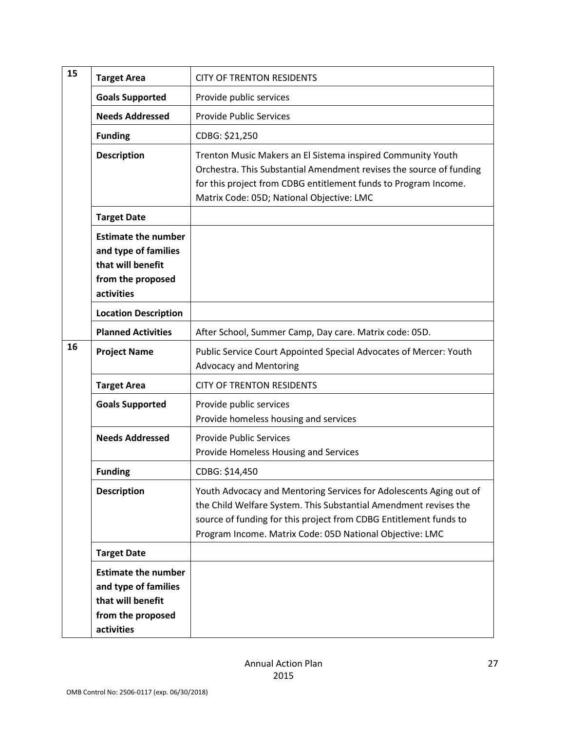| 15 |                                                                                                            |                                                                                                                                                                                                                                                                         |
|----|------------------------------------------------------------------------------------------------------------|-------------------------------------------------------------------------------------------------------------------------------------------------------------------------------------------------------------------------------------------------------------------------|
|    | <b>Target Area</b>                                                                                         | <b>CITY OF TRENTON RESIDENTS</b>                                                                                                                                                                                                                                        |
|    | <b>Goals Supported</b>                                                                                     | Provide public services                                                                                                                                                                                                                                                 |
|    | <b>Needs Addressed</b>                                                                                     | <b>Provide Public Services</b>                                                                                                                                                                                                                                          |
|    | <b>Funding</b>                                                                                             | CDBG: \$21,250                                                                                                                                                                                                                                                          |
|    | <b>Description</b>                                                                                         | Trenton Music Makers an El Sistema inspired Community Youth<br>Orchestra. This Substantial Amendment revises the source of funding<br>for this project from CDBG entitlement funds to Program Income.<br>Matrix Code: 05D; National Objective: LMC                      |
|    | <b>Target Date</b>                                                                                         |                                                                                                                                                                                                                                                                         |
|    | <b>Estimate the number</b><br>and type of families<br>that will benefit<br>from the proposed<br>activities |                                                                                                                                                                                                                                                                         |
|    | <b>Location Description</b>                                                                                |                                                                                                                                                                                                                                                                         |
|    | <b>Planned Activities</b>                                                                                  | After School, Summer Camp, Day care. Matrix code: 05D.                                                                                                                                                                                                                  |
| 16 | <b>Project Name</b>                                                                                        | Public Service Court Appointed Special Advocates of Mercer: Youth<br><b>Advocacy and Mentoring</b>                                                                                                                                                                      |
|    | <b>Target Area</b>                                                                                         | <b>CITY OF TRENTON RESIDENTS</b>                                                                                                                                                                                                                                        |
|    | <b>Goals Supported</b>                                                                                     | Provide public services<br>Provide homeless housing and services                                                                                                                                                                                                        |
|    | <b>Needs Addressed</b>                                                                                     | <b>Provide Public Services</b><br>Provide Homeless Housing and Services                                                                                                                                                                                                 |
|    | <b>Funding</b>                                                                                             | CDBG: \$14,450                                                                                                                                                                                                                                                          |
|    | <b>Description</b>                                                                                         | Youth Advocacy and Mentoring Services for Adolescents Aging out of<br>the Child Welfare System. This Substantial Amendment revises the<br>source of funding for this project from CDBG Entitlement funds to<br>Program Income. Matrix Code: 05D National Objective: LMC |
|    | <b>Target Date</b>                                                                                         |                                                                                                                                                                                                                                                                         |
|    | <b>Estimate the number</b><br>and type of families<br>that will benefit<br>from the proposed<br>activities |                                                                                                                                                                                                                                                                         |
|    |                                                                                                            |                                                                                                                                                                                                                                                                         |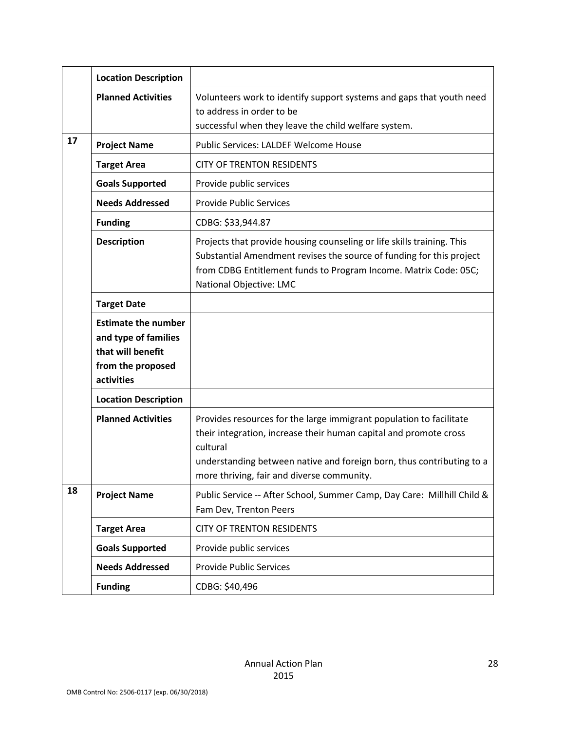|    | <b>Location Description</b>                                                                                |                                                                                                                                                                                                                                                                             |
|----|------------------------------------------------------------------------------------------------------------|-----------------------------------------------------------------------------------------------------------------------------------------------------------------------------------------------------------------------------------------------------------------------------|
|    | <b>Planned Activities</b>                                                                                  | Volunteers work to identify support systems and gaps that youth need<br>to address in order to be<br>successful when they leave the child welfare system.                                                                                                                   |
| 17 | <b>Project Name</b>                                                                                        | Public Services: LALDEF Welcome House                                                                                                                                                                                                                                       |
|    | <b>Target Area</b>                                                                                         | <b>CITY OF TRENTON RESIDENTS</b>                                                                                                                                                                                                                                            |
|    | <b>Goals Supported</b>                                                                                     | Provide public services                                                                                                                                                                                                                                                     |
|    | <b>Needs Addressed</b>                                                                                     | <b>Provide Public Services</b>                                                                                                                                                                                                                                              |
|    | <b>Funding</b>                                                                                             | CDBG: \$33,944.87                                                                                                                                                                                                                                                           |
|    | <b>Description</b>                                                                                         | Projects that provide housing counseling or life skills training. This<br>Substantial Amendment revises the source of funding for this project<br>from CDBG Entitlement funds to Program Income. Matrix Code: 05C;<br>National Objective: LMC                               |
|    | <b>Target Date</b>                                                                                         |                                                                                                                                                                                                                                                                             |
|    | <b>Estimate the number</b><br>and type of families<br>that will benefit<br>from the proposed<br>activities |                                                                                                                                                                                                                                                                             |
|    | <b>Location Description</b>                                                                                |                                                                                                                                                                                                                                                                             |
|    | <b>Planned Activities</b>                                                                                  | Provides resources for the large immigrant population to facilitate<br>their integration, increase their human capital and promote cross<br>cultural<br>understanding between native and foreign born, thus contributing to a<br>more thriving, fair and diverse community. |
| 18 | <b>Project Name</b>                                                                                        | Public Service -- After School, Summer Camp, Day Care: Millhill Child &<br>Fam Dev, Trenton Peers                                                                                                                                                                           |
|    | <b>Target Area</b>                                                                                         | <b>CITY OF TRENTON RESIDENTS</b>                                                                                                                                                                                                                                            |
|    | <b>Goals Supported</b>                                                                                     | Provide public services                                                                                                                                                                                                                                                     |
|    | <b>Needs Addressed</b>                                                                                     | <b>Provide Public Services</b>                                                                                                                                                                                                                                              |
|    | <b>Funding</b>                                                                                             | CDBG: \$40,496                                                                                                                                                                                                                                                              |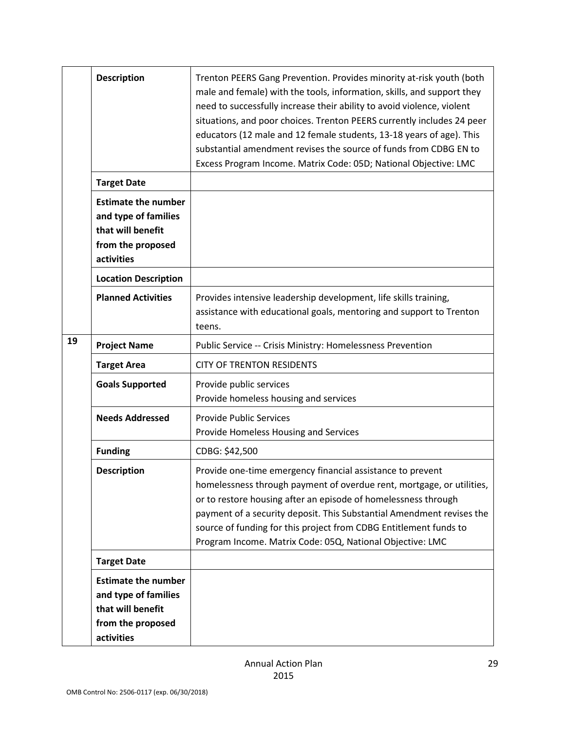|    | <b>Description</b>                                                                                         | Trenton PEERS Gang Prevention. Provides minority at-risk youth (both<br>male and female) with the tools, information, skills, and support they<br>need to successfully increase their ability to avoid violence, violent<br>situations, and poor choices. Trenton PEERS currently includes 24 peer<br>educators (12 male and 12 female students, 13-18 years of age). This<br>substantial amendment revises the source of funds from CDBG EN to<br>Excess Program Income. Matrix Code: 05D; National Objective: LMC |
|----|------------------------------------------------------------------------------------------------------------|---------------------------------------------------------------------------------------------------------------------------------------------------------------------------------------------------------------------------------------------------------------------------------------------------------------------------------------------------------------------------------------------------------------------------------------------------------------------------------------------------------------------|
|    | <b>Target Date</b>                                                                                         |                                                                                                                                                                                                                                                                                                                                                                                                                                                                                                                     |
|    | <b>Estimate the number</b><br>and type of families<br>that will benefit<br>from the proposed<br>activities |                                                                                                                                                                                                                                                                                                                                                                                                                                                                                                                     |
|    | <b>Location Description</b>                                                                                |                                                                                                                                                                                                                                                                                                                                                                                                                                                                                                                     |
|    | <b>Planned Activities</b>                                                                                  | Provides intensive leadership development, life skills training,<br>assistance with educational goals, mentoring and support to Trenton<br>teens.                                                                                                                                                                                                                                                                                                                                                                   |
| 19 | <b>Project Name</b>                                                                                        | Public Service -- Crisis Ministry: Homelessness Prevention                                                                                                                                                                                                                                                                                                                                                                                                                                                          |
|    | <b>Target Area</b>                                                                                         | <b>CITY OF TRENTON RESIDENTS</b>                                                                                                                                                                                                                                                                                                                                                                                                                                                                                    |
|    | <b>Goals Supported</b>                                                                                     | Provide public services<br>Provide homeless housing and services                                                                                                                                                                                                                                                                                                                                                                                                                                                    |
|    | <b>Needs Addressed</b>                                                                                     | <b>Provide Public Services</b><br>Provide Homeless Housing and Services                                                                                                                                                                                                                                                                                                                                                                                                                                             |
|    | <b>Funding</b>                                                                                             | CDBG: \$42,500                                                                                                                                                                                                                                                                                                                                                                                                                                                                                                      |
|    | <b>Description</b>                                                                                         | Provide one-time emergency financial assistance to prevent<br>homelessness through payment of overdue rent, mortgage, or utilities,<br>or to restore housing after an episode of homelessness through<br>payment of a security deposit. This Substantial Amendment revises the<br>source of funding for this project from CDBG Entitlement funds to<br>Program Income. Matrix Code: 05Q, National Objective: LMC                                                                                                    |
|    | <b>Target Date</b>                                                                                         |                                                                                                                                                                                                                                                                                                                                                                                                                                                                                                                     |
|    | <b>Estimate the number</b><br>and type of families<br>that will benefit<br>from the proposed<br>activities |                                                                                                                                                                                                                                                                                                                                                                                                                                                                                                                     |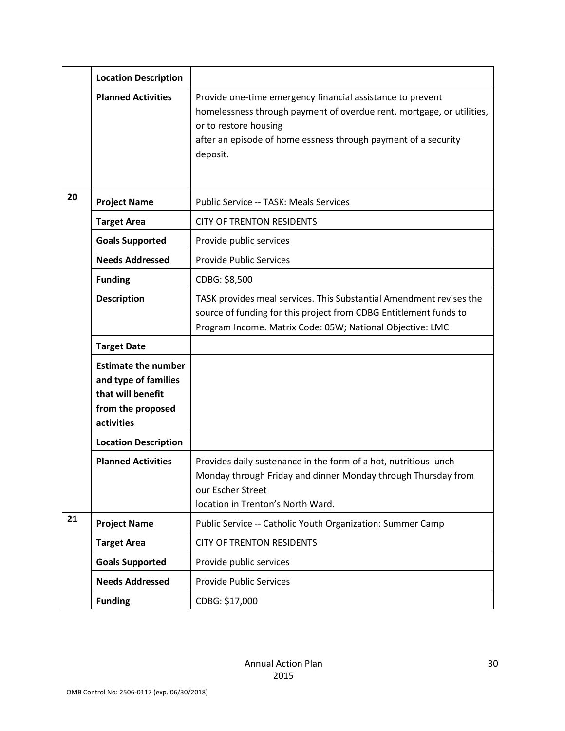|    | <b>Location Description</b>                                                                                |                                                                                                                                                                                                                                            |
|----|------------------------------------------------------------------------------------------------------------|--------------------------------------------------------------------------------------------------------------------------------------------------------------------------------------------------------------------------------------------|
|    | <b>Planned Activities</b>                                                                                  | Provide one-time emergency financial assistance to prevent<br>homelessness through payment of overdue rent, mortgage, or utilities,<br>or to restore housing<br>after an episode of homelessness through payment of a security<br>deposit. |
| 20 | <b>Project Name</b>                                                                                        | Public Service -- TASK: Meals Services                                                                                                                                                                                                     |
|    | <b>Target Area</b>                                                                                         | <b>CITY OF TRENTON RESIDENTS</b>                                                                                                                                                                                                           |
|    | <b>Goals Supported</b>                                                                                     | Provide public services                                                                                                                                                                                                                    |
|    | <b>Needs Addressed</b>                                                                                     | <b>Provide Public Services</b>                                                                                                                                                                                                             |
|    | <b>Funding</b>                                                                                             | CDBG: \$8,500                                                                                                                                                                                                                              |
|    | <b>Description</b>                                                                                         | TASK provides meal services. This Substantial Amendment revises the<br>source of funding for this project from CDBG Entitlement funds to<br>Program Income. Matrix Code: 05W; National Objective: LMC                                      |
|    | <b>Target Date</b>                                                                                         |                                                                                                                                                                                                                                            |
|    | <b>Estimate the number</b><br>and type of families<br>that will benefit<br>from the proposed<br>activities |                                                                                                                                                                                                                                            |
|    | <b>Location Description</b>                                                                                |                                                                                                                                                                                                                                            |
|    | <b>Planned Activities</b>                                                                                  | Provides daily sustenance in the form of a hot, nutritious lunch<br>Monday through Friday and dinner Monday through Thursday from<br>our Escher Street<br>location in Trenton's North Ward.                                                |
| 21 | <b>Project Name</b>                                                                                        | Public Service -- Catholic Youth Organization: Summer Camp                                                                                                                                                                                 |
|    | <b>Target Area</b>                                                                                         | <b>CITY OF TRENTON RESIDENTS</b>                                                                                                                                                                                                           |
|    | <b>Goals Supported</b>                                                                                     | Provide public services                                                                                                                                                                                                                    |
|    | <b>Needs Addressed</b>                                                                                     | <b>Provide Public Services</b>                                                                                                                                                                                                             |
|    | <b>Funding</b>                                                                                             | CDBG: \$17,000                                                                                                                                                                                                                             |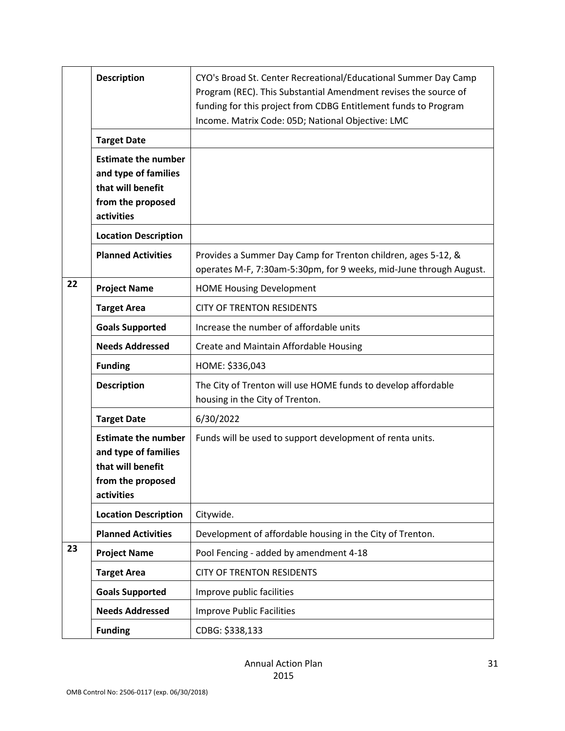|    | <b>Description</b>                                                                                         | CYO's Broad St. Center Recreational/Educational Summer Day Camp<br>Program (REC). This Substantial Amendment revises the source of<br>funding for this project from CDBG Entitlement funds to Program<br>Income. Matrix Code: 05D; National Objective: LMC |
|----|------------------------------------------------------------------------------------------------------------|------------------------------------------------------------------------------------------------------------------------------------------------------------------------------------------------------------------------------------------------------------|
|    | <b>Target Date</b>                                                                                         |                                                                                                                                                                                                                                                            |
|    | <b>Estimate the number</b><br>and type of families<br>that will benefit<br>from the proposed<br>activities |                                                                                                                                                                                                                                                            |
|    | <b>Location Description</b>                                                                                |                                                                                                                                                                                                                                                            |
|    | <b>Planned Activities</b>                                                                                  | Provides a Summer Day Camp for Trenton children, ages 5-12, &<br>operates M-F, 7:30am-5:30pm, for 9 weeks, mid-June through August.                                                                                                                        |
| 22 | <b>Project Name</b>                                                                                        | <b>HOME Housing Development</b>                                                                                                                                                                                                                            |
|    | <b>Target Area</b>                                                                                         | <b>CITY OF TRENTON RESIDENTS</b>                                                                                                                                                                                                                           |
|    | <b>Goals Supported</b>                                                                                     | Increase the number of affordable units                                                                                                                                                                                                                    |
|    | <b>Needs Addressed</b>                                                                                     | Create and Maintain Affordable Housing                                                                                                                                                                                                                     |
|    | <b>Funding</b>                                                                                             | HOME: \$336,043                                                                                                                                                                                                                                            |
|    | <b>Description</b>                                                                                         | The City of Trenton will use HOME funds to develop affordable<br>housing in the City of Trenton.                                                                                                                                                           |
|    | <b>Target Date</b>                                                                                         | 6/30/2022                                                                                                                                                                                                                                                  |
|    | <b>Estimate the number</b><br>and type of families<br>that will benefit<br>from the proposed<br>activities | Funds will be used to support development of renta units.                                                                                                                                                                                                  |
|    | <b>Location Description</b>                                                                                | Citywide.                                                                                                                                                                                                                                                  |
|    | <b>Planned Activities</b>                                                                                  | Development of affordable housing in the City of Trenton.                                                                                                                                                                                                  |
| 23 | <b>Project Name</b>                                                                                        | Pool Fencing - added by amendment 4-18                                                                                                                                                                                                                     |
|    | <b>Target Area</b>                                                                                         | <b>CITY OF TRENTON RESIDENTS</b>                                                                                                                                                                                                                           |
|    | <b>Goals Supported</b>                                                                                     | Improve public facilities                                                                                                                                                                                                                                  |
|    | <b>Needs Addressed</b>                                                                                     | <b>Improve Public Facilities</b>                                                                                                                                                                                                                           |
|    | <b>Funding</b>                                                                                             | CDBG: \$338,133                                                                                                                                                                                                                                            |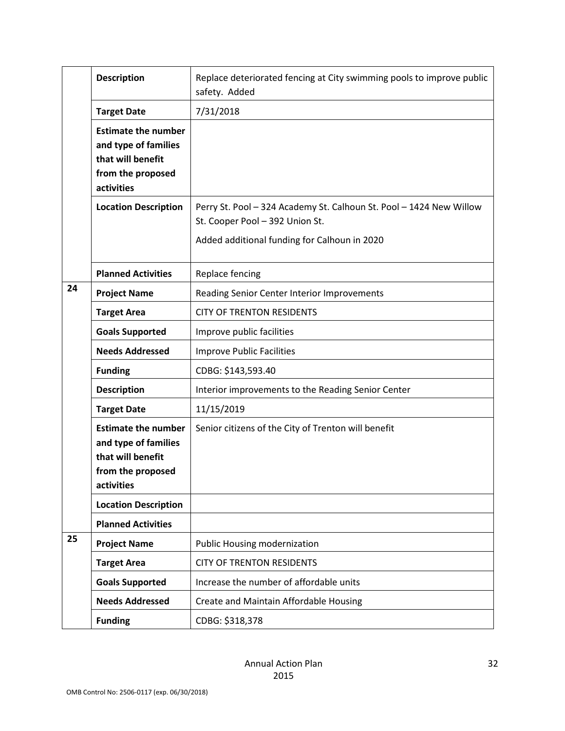|    | <b>Description</b>                                                                                         | Replace deteriorated fencing at City swimming pools to improve public<br>safety. Added                                                                 |
|----|------------------------------------------------------------------------------------------------------------|--------------------------------------------------------------------------------------------------------------------------------------------------------|
|    | <b>Target Date</b>                                                                                         | 7/31/2018                                                                                                                                              |
|    | <b>Estimate the number</b><br>and type of families<br>that will benefit<br>from the proposed<br>activities |                                                                                                                                                        |
|    | <b>Location Description</b>                                                                                | Perry St. Pool - 324 Academy St. Calhoun St. Pool - 1424 New Willow<br>St. Cooper Pool - 392 Union St.<br>Added additional funding for Calhoun in 2020 |
|    |                                                                                                            |                                                                                                                                                        |
|    | <b>Planned Activities</b>                                                                                  | Replace fencing                                                                                                                                        |
| 24 | <b>Project Name</b>                                                                                        | Reading Senior Center Interior Improvements                                                                                                            |
|    | <b>Target Area</b>                                                                                         | <b>CITY OF TRENTON RESIDENTS</b>                                                                                                                       |
|    | <b>Goals Supported</b>                                                                                     | Improve public facilities                                                                                                                              |
|    | <b>Needs Addressed</b>                                                                                     | <b>Improve Public Facilities</b>                                                                                                                       |
|    | <b>Funding</b>                                                                                             | CDBG: \$143,593.40                                                                                                                                     |
|    | <b>Description</b>                                                                                         | Interior improvements to the Reading Senior Center                                                                                                     |
|    | <b>Target Date</b>                                                                                         | 11/15/2019                                                                                                                                             |
|    | <b>Estimate the number</b><br>and type of families<br>that will benefit<br>from the proposed<br>activities | Senior citizens of the City of Trenton will benefit                                                                                                    |
|    | <b>Location Description</b>                                                                                |                                                                                                                                                        |
|    | <b>Planned Activities</b>                                                                                  |                                                                                                                                                        |
| 25 | <b>Project Name</b>                                                                                        | <b>Public Housing modernization</b>                                                                                                                    |
|    | <b>Target Area</b>                                                                                         | <b>CITY OF TRENTON RESIDENTS</b>                                                                                                                       |
|    | <b>Goals Supported</b>                                                                                     | Increase the number of affordable units                                                                                                                |
|    | <b>Needs Addressed</b>                                                                                     | Create and Maintain Affordable Housing                                                                                                                 |
|    | <b>Funding</b>                                                                                             | CDBG: \$318,378                                                                                                                                        |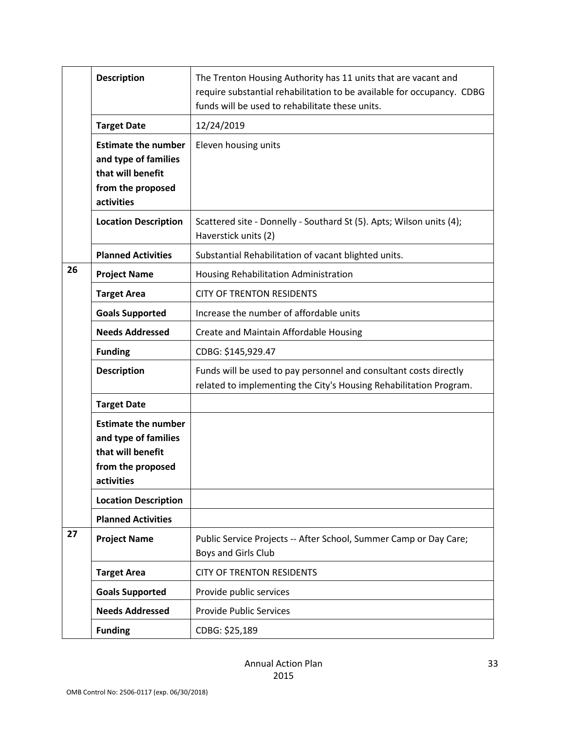|    | <b>Description</b>                                                                                         | The Trenton Housing Authority has 11 units that are vacant and<br>require substantial rehabilitation to be available for occupancy. CDBG<br>funds will be used to rehabilitate these units. |
|----|------------------------------------------------------------------------------------------------------------|---------------------------------------------------------------------------------------------------------------------------------------------------------------------------------------------|
|    | <b>Target Date</b>                                                                                         | 12/24/2019                                                                                                                                                                                  |
|    | <b>Estimate the number</b><br>and type of families<br>that will benefit<br>from the proposed<br>activities | Eleven housing units                                                                                                                                                                        |
|    | <b>Location Description</b>                                                                                | Scattered site - Donnelly - Southard St (5). Apts; Wilson units (4);<br>Haverstick units (2)                                                                                                |
|    | <b>Planned Activities</b>                                                                                  | Substantial Rehabilitation of vacant blighted units.                                                                                                                                        |
| 26 | <b>Project Name</b>                                                                                        | Housing Rehabilitation Administration                                                                                                                                                       |
|    | <b>Target Area</b>                                                                                         | <b>CITY OF TRENTON RESIDENTS</b>                                                                                                                                                            |
|    | <b>Goals Supported</b>                                                                                     | Increase the number of affordable units                                                                                                                                                     |
|    | <b>Needs Addressed</b>                                                                                     | Create and Maintain Affordable Housing                                                                                                                                                      |
|    | <b>Funding</b>                                                                                             | CDBG: \$145,929.47                                                                                                                                                                          |
|    | <b>Description</b>                                                                                         | Funds will be used to pay personnel and consultant costs directly<br>related to implementing the City's Housing Rehabilitation Program.                                                     |
|    | <b>Target Date</b>                                                                                         |                                                                                                                                                                                             |
|    | <b>Estimate the number</b><br>and type of families<br>that will benefit<br>from the proposed<br>activities |                                                                                                                                                                                             |
|    | <b>Location Description</b>                                                                                |                                                                                                                                                                                             |
|    | <b>Planned Activities</b>                                                                                  |                                                                                                                                                                                             |
| 27 | <b>Project Name</b>                                                                                        | Public Service Projects -- After School, Summer Camp or Day Care;<br>Boys and Girls Club                                                                                                    |
|    | <b>Target Area</b>                                                                                         | <b>CITY OF TRENTON RESIDENTS</b>                                                                                                                                                            |
|    | <b>Goals Supported</b>                                                                                     | Provide public services                                                                                                                                                                     |
|    | <b>Needs Addressed</b>                                                                                     | <b>Provide Public Services</b>                                                                                                                                                              |
|    | <b>Funding</b>                                                                                             | CDBG: \$25,189                                                                                                                                                                              |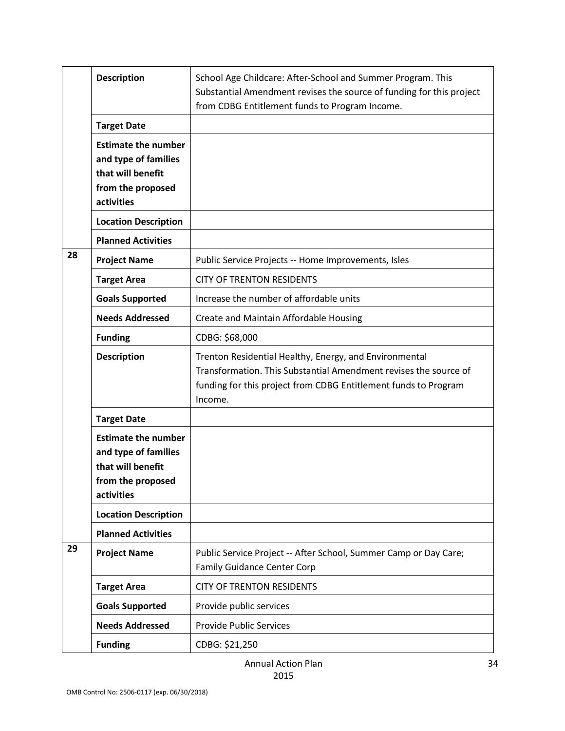|    | <b>Description</b>                                                                                         | School Age Childcare: After-School and Summer Program. This<br>Substantial Amendment revises the source of funding for this project<br>from CDBG Entitlement funds to Program Income.                    |
|----|------------------------------------------------------------------------------------------------------------|----------------------------------------------------------------------------------------------------------------------------------------------------------------------------------------------------------|
|    | <b>Target Date</b>                                                                                         |                                                                                                                                                                                                          |
|    | <b>Estimate the number</b><br>and type of families<br>that will benefit<br>from the proposed<br>activities |                                                                                                                                                                                                          |
|    | <b>Location Description</b>                                                                                |                                                                                                                                                                                                          |
|    | <b>Planned Activities</b>                                                                                  |                                                                                                                                                                                                          |
| 28 | <b>Project Name</b>                                                                                        | Public Service Projects -- Home Improvements, Isles                                                                                                                                                      |
|    | <b>Target Area</b>                                                                                         | <b>CITY OF TRENTON RESIDENTS</b>                                                                                                                                                                         |
|    | <b>Goals Supported</b>                                                                                     | Increase the number of affordable units                                                                                                                                                                  |
|    | <b>Needs Addressed</b>                                                                                     | Create and Maintain Affordable Housing                                                                                                                                                                   |
|    | <b>Funding</b>                                                                                             | CDBG: \$68,000                                                                                                                                                                                           |
|    | <b>Description</b>                                                                                         | Trenton Residential Healthy, Energy, and Environmental<br>Transformation. This Substantial Amendment revises the source of<br>funding for this project from CDBG Entitlement funds to Program<br>Income. |
|    | <b>Target Date</b>                                                                                         |                                                                                                                                                                                                          |
|    | <b>Estimate the number</b><br>and type of families<br>that will benefit<br>from the proposed<br>activities |                                                                                                                                                                                                          |
|    | <b>Location Description</b>                                                                                |                                                                                                                                                                                                          |
|    | <b>Planned Activities</b>                                                                                  |                                                                                                                                                                                                          |
| 29 | <b>Project Name</b>                                                                                        | Public Service Project -- After School, Summer Camp or Day Care;<br><b>Family Guidance Center Corp</b>                                                                                                   |
|    | <b>Target Area</b>                                                                                         | <b>CITY OF TRENTON RESIDENTS</b>                                                                                                                                                                         |
|    | <b>Goals Supported</b>                                                                                     | Provide public services                                                                                                                                                                                  |
|    | <b>Needs Addressed</b>                                                                                     | <b>Provide Public Services</b>                                                                                                                                                                           |
|    | <b>Funding</b>                                                                                             | CDBG: \$21,250                                                                                                                                                                                           |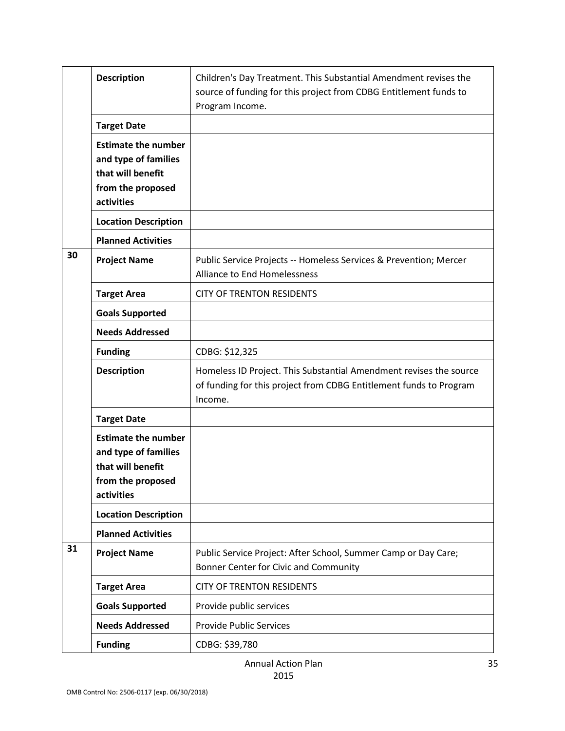|    | <b>Description</b>                                                                                         | Children's Day Treatment. This Substantial Amendment revises the<br>source of funding for this project from CDBG Entitlement funds to<br>Program Income. |
|----|------------------------------------------------------------------------------------------------------------|----------------------------------------------------------------------------------------------------------------------------------------------------------|
|    | <b>Target Date</b>                                                                                         |                                                                                                                                                          |
|    | <b>Estimate the number</b><br>and type of families<br>that will benefit<br>from the proposed<br>activities |                                                                                                                                                          |
|    | <b>Location Description</b>                                                                                |                                                                                                                                                          |
|    | <b>Planned Activities</b>                                                                                  |                                                                                                                                                          |
| 30 | <b>Project Name</b>                                                                                        | Public Service Projects -- Homeless Services & Prevention; Mercer<br><b>Alliance to End Homelessness</b>                                                 |
|    | <b>Target Area</b>                                                                                         | <b>CITY OF TRENTON RESIDENTS</b>                                                                                                                         |
|    | <b>Goals Supported</b>                                                                                     |                                                                                                                                                          |
|    | <b>Needs Addressed</b>                                                                                     |                                                                                                                                                          |
|    | <b>Funding</b>                                                                                             | CDBG: \$12,325                                                                                                                                           |
|    | <b>Description</b>                                                                                         | Homeless ID Project. This Substantial Amendment revises the source<br>of funding for this project from CDBG Entitlement funds to Program<br>Income.      |
|    | <b>Target Date</b>                                                                                         |                                                                                                                                                          |
|    | <b>Estimate the number</b><br>and type of families<br>that will benefit<br>from the proposed<br>activities |                                                                                                                                                          |
|    | <b>Location Description</b>                                                                                |                                                                                                                                                          |
|    | <b>Planned Activities</b>                                                                                  |                                                                                                                                                          |
| 31 | <b>Project Name</b>                                                                                        | Public Service Project: After School, Summer Camp or Day Care;<br>Bonner Center for Civic and Community                                                  |
|    | <b>Target Area</b>                                                                                         | <b>CITY OF TRENTON RESIDENTS</b>                                                                                                                         |
|    | <b>Goals Supported</b>                                                                                     | Provide public services                                                                                                                                  |
|    | <b>Needs Addressed</b>                                                                                     | <b>Provide Public Services</b>                                                                                                                           |
|    | <b>Funding</b>                                                                                             | CDBG: \$39,780                                                                                                                                           |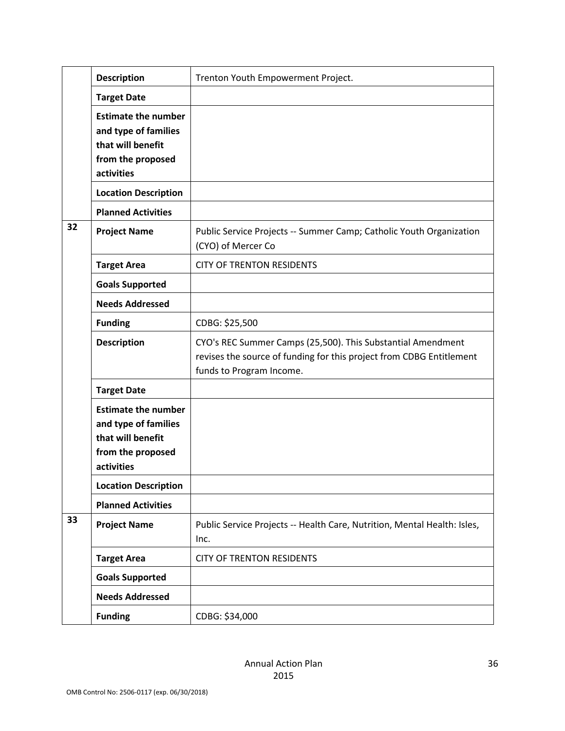|    | <b>Description</b>                                                                                         | Trenton Youth Empowerment Project.                                                                                                                              |
|----|------------------------------------------------------------------------------------------------------------|-----------------------------------------------------------------------------------------------------------------------------------------------------------------|
|    | <b>Target Date</b>                                                                                         |                                                                                                                                                                 |
|    | <b>Estimate the number</b><br>and type of families<br>that will benefit<br>from the proposed<br>activities |                                                                                                                                                                 |
|    | <b>Location Description</b>                                                                                |                                                                                                                                                                 |
|    | <b>Planned Activities</b>                                                                                  |                                                                                                                                                                 |
| 32 | <b>Project Name</b>                                                                                        | Public Service Projects -- Summer Camp; Catholic Youth Organization<br>(CYO) of Mercer Co                                                                       |
|    | <b>Target Area</b>                                                                                         | <b>CITY OF TRENTON RESIDENTS</b>                                                                                                                                |
|    | <b>Goals Supported</b>                                                                                     |                                                                                                                                                                 |
|    | <b>Needs Addressed</b>                                                                                     |                                                                                                                                                                 |
|    | <b>Funding</b>                                                                                             | CDBG: \$25,500                                                                                                                                                  |
|    | <b>Description</b>                                                                                         | CYO's REC Summer Camps (25,500). This Substantial Amendment<br>revises the source of funding for this project from CDBG Entitlement<br>funds to Program Income. |
|    | <b>Target Date</b>                                                                                         |                                                                                                                                                                 |
|    | <b>Estimate the number</b><br>and type of families<br>that will benefit<br>from the proposed<br>activities |                                                                                                                                                                 |
|    | <b>Location Description</b>                                                                                |                                                                                                                                                                 |
|    | <b>Planned Activities</b>                                                                                  |                                                                                                                                                                 |
| 33 | <b>Project Name</b>                                                                                        | Public Service Projects -- Health Care, Nutrition, Mental Health: Isles,<br>Inc.                                                                                |
|    | <b>Target Area</b>                                                                                         | <b>CITY OF TRENTON RESIDENTS</b>                                                                                                                                |
|    | <b>Goals Supported</b>                                                                                     |                                                                                                                                                                 |
|    | <b>Needs Addressed</b>                                                                                     |                                                                                                                                                                 |
|    | <b>Funding</b>                                                                                             | CDBG: \$34,000                                                                                                                                                  |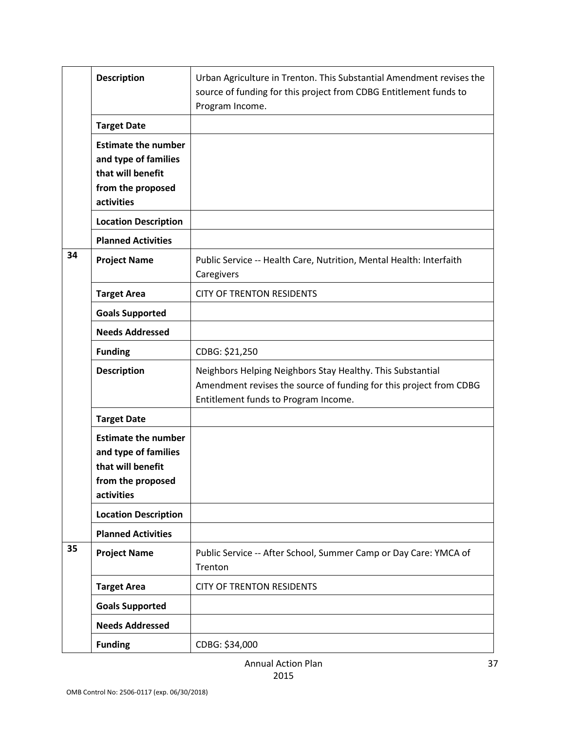|    | <b>Description</b>                                                                                         | Urban Agriculture in Trenton. This Substantial Amendment revises the<br>source of funding for this project from CDBG Entitlement funds to<br>Program Income.             |
|----|------------------------------------------------------------------------------------------------------------|--------------------------------------------------------------------------------------------------------------------------------------------------------------------------|
|    | <b>Target Date</b>                                                                                         |                                                                                                                                                                          |
|    | <b>Estimate the number</b><br>and type of families<br>that will benefit<br>from the proposed<br>activities |                                                                                                                                                                          |
|    | <b>Location Description</b>                                                                                |                                                                                                                                                                          |
|    | <b>Planned Activities</b>                                                                                  |                                                                                                                                                                          |
| 34 | <b>Project Name</b>                                                                                        | Public Service -- Health Care, Nutrition, Mental Health: Interfaith<br>Caregivers                                                                                        |
|    | <b>Target Area</b>                                                                                         | <b>CITY OF TRENTON RESIDENTS</b>                                                                                                                                         |
|    | <b>Goals Supported</b>                                                                                     |                                                                                                                                                                          |
|    | <b>Needs Addressed</b>                                                                                     |                                                                                                                                                                          |
|    | <b>Funding</b>                                                                                             | CDBG: \$21,250                                                                                                                                                           |
|    | <b>Description</b>                                                                                         | Neighbors Helping Neighbors Stay Healthy. This Substantial<br>Amendment revises the source of funding for this project from CDBG<br>Entitlement funds to Program Income. |
|    | <b>Target Date</b>                                                                                         |                                                                                                                                                                          |
|    | <b>Estimate the number</b><br>and type of families<br>that will benefit<br>from the proposed<br>activities |                                                                                                                                                                          |
|    | <b>Location Description</b>                                                                                |                                                                                                                                                                          |
|    | <b>Planned Activities</b>                                                                                  |                                                                                                                                                                          |
| 35 | <b>Project Name</b>                                                                                        | Public Service -- After School, Summer Camp or Day Care: YMCA of<br>Trenton                                                                                              |
|    | <b>Target Area</b>                                                                                         | <b>CITY OF TRENTON RESIDENTS</b>                                                                                                                                         |
|    | <b>Goals Supported</b>                                                                                     |                                                                                                                                                                          |
|    | <b>Needs Addressed</b>                                                                                     |                                                                                                                                                                          |
|    | <b>Funding</b>                                                                                             | CDBG: \$34,000                                                                                                                                                           |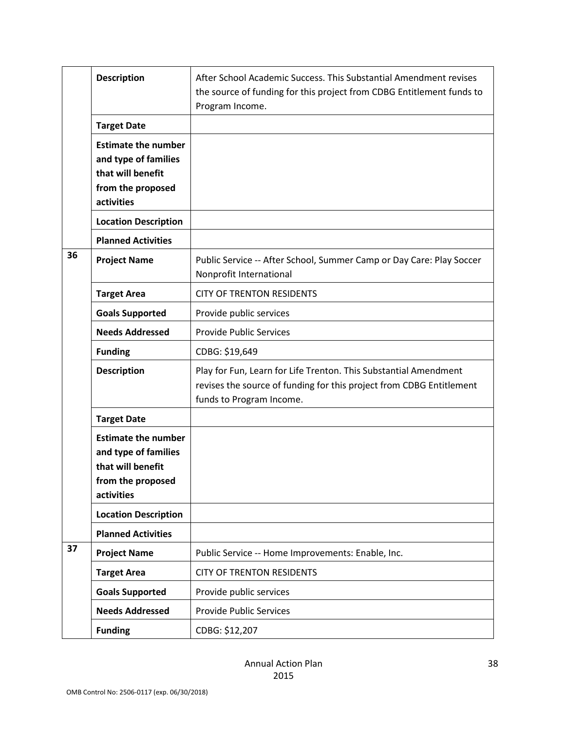|    | <b>Description</b>                                                                                         | After School Academic Success. This Substantial Amendment revises<br>the source of funding for this project from CDBG Entitlement funds to<br>Program Income.        |
|----|------------------------------------------------------------------------------------------------------------|----------------------------------------------------------------------------------------------------------------------------------------------------------------------|
|    | <b>Target Date</b>                                                                                         |                                                                                                                                                                      |
|    | <b>Estimate the number</b><br>and type of families<br>that will benefit<br>from the proposed<br>activities |                                                                                                                                                                      |
|    | <b>Location Description</b>                                                                                |                                                                                                                                                                      |
|    | <b>Planned Activities</b>                                                                                  |                                                                                                                                                                      |
| 36 | <b>Project Name</b>                                                                                        | Public Service -- After School, Summer Camp or Day Care: Play Soccer<br>Nonprofit International                                                                      |
|    | <b>Target Area</b>                                                                                         | <b>CITY OF TRENTON RESIDENTS</b>                                                                                                                                     |
|    | <b>Goals Supported</b>                                                                                     | Provide public services                                                                                                                                              |
|    | <b>Needs Addressed</b>                                                                                     | <b>Provide Public Services</b>                                                                                                                                       |
|    | <b>Funding</b>                                                                                             | CDBG: \$19,649                                                                                                                                                       |
|    | <b>Description</b>                                                                                         | Play for Fun, Learn for Life Trenton. This Substantial Amendment<br>revises the source of funding for this project from CDBG Entitlement<br>funds to Program Income. |
|    | <b>Target Date</b>                                                                                         |                                                                                                                                                                      |
|    | <b>Estimate the number</b><br>and type of families<br>that will benefit<br>from the proposed<br>activities |                                                                                                                                                                      |
|    | <b>Location Description</b>                                                                                |                                                                                                                                                                      |
|    | <b>Planned Activities</b>                                                                                  |                                                                                                                                                                      |
| 37 | <b>Project Name</b>                                                                                        | Public Service -- Home Improvements: Enable, Inc.                                                                                                                    |
|    | <b>Target Area</b>                                                                                         | <b>CITY OF TRENTON RESIDENTS</b>                                                                                                                                     |
|    | <b>Goals Supported</b>                                                                                     | Provide public services                                                                                                                                              |
|    | <b>Needs Addressed</b>                                                                                     | <b>Provide Public Services</b>                                                                                                                                       |
|    | <b>Funding</b>                                                                                             | CDBG: \$12,207                                                                                                                                                       |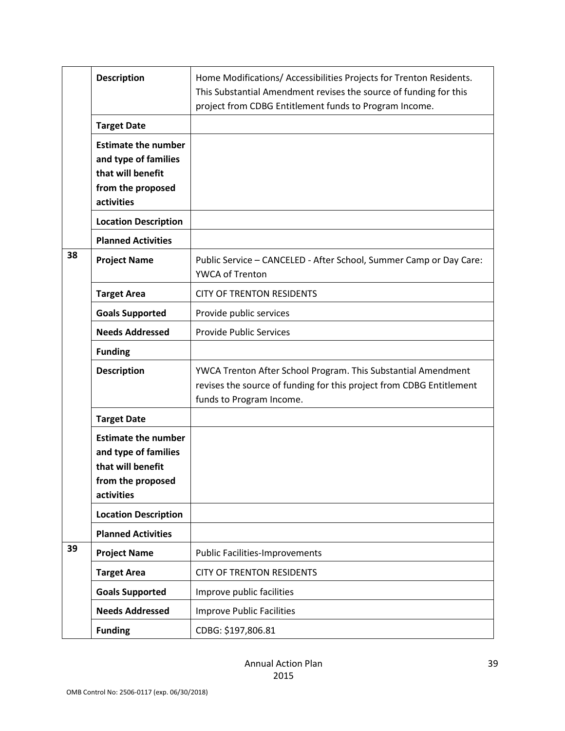|    | <b>Description</b>                                                                                         | Home Modifications/ Accessibilities Projects for Trenton Residents.<br>This Substantial Amendment revises the source of funding for this<br>project from CDBG Entitlement funds to Program Income. |
|----|------------------------------------------------------------------------------------------------------------|----------------------------------------------------------------------------------------------------------------------------------------------------------------------------------------------------|
|    | <b>Target Date</b>                                                                                         |                                                                                                                                                                                                    |
|    | <b>Estimate the number</b><br>and type of families<br>that will benefit<br>from the proposed<br>activities |                                                                                                                                                                                                    |
|    | <b>Location Description</b>                                                                                |                                                                                                                                                                                                    |
|    | <b>Planned Activities</b>                                                                                  |                                                                                                                                                                                                    |
| 38 | <b>Project Name</b>                                                                                        | Public Service - CANCELED - After School, Summer Camp or Day Care:<br>YWCA of Trenton                                                                                                              |
|    | <b>Target Area</b>                                                                                         | <b>CITY OF TRENTON RESIDENTS</b>                                                                                                                                                                   |
|    | <b>Goals Supported</b>                                                                                     | Provide public services                                                                                                                                                                            |
|    | <b>Needs Addressed</b>                                                                                     | <b>Provide Public Services</b>                                                                                                                                                                     |
|    | <b>Funding</b>                                                                                             |                                                                                                                                                                                                    |
|    | <b>Description</b>                                                                                         | YWCA Trenton After School Program. This Substantial Amendment<br>revises the source of funding for this project from CDBG Entitlement<br>funds to Program Income.                                  |
|    | <b>Target Date</b>                                                                                         |                                                                                                                                                                                                    |
|    | <b>Estimate the number</b><br>and type of families<br>that will benefit<br>from the proposed<br>activities |                                                                                                                                                                                                    |
|    | <b>Location Description</b>                                                                                |                                                                                                                                                                                                    |
|    | <b>Planned Activities</b>                                                                                  |                                                                                                                                                                                                    |
| 39 | <b>Project Name</b>                                                                                        | <b>Public Facilities-Improvements</b>                                                                                                                                                              |
|    | <b>Target Area</b>                                                                                         | <b>CITY OF TRENTON RESIDENTS</b>                                                                                                                                                                   |
|    | <b>Goals Supported</b>                                                                                     | Improve public facilities                                                                                                                                                                          |
|    | <b>Needs Addressed</b>                                                                                     | <b>Improve Public Facilities</b>                                                                                                                                                                   |
|    | <b>Funding</b>                                                                                             | CDBG: \$197,806.81                                                                                                                                                                                 |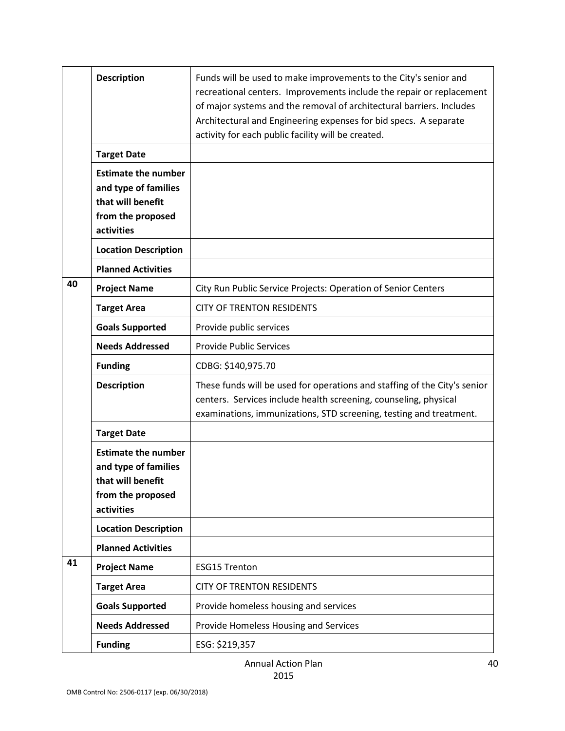|    | <b>Description</b>                                                                                         | Funds will be used to make improvements to the City's senior and<br>recreational centers. Improvements include the repair or replacement<br>of major systems and the removal of architectural barriers. Includes<br>Architectural and Engineering expenses for bid specs. A separate<br>activity for each public facility will be created. |
|----|------------------------------------------------------------------------------------------------------------|--------------------------------------------------------------------------------------------------------------------------------------------------------------------------------------------------------------------------------------------------------------------------------------------------------------------------------------------|
|    | <b>Target Date</b>                                                                                         |                                                                                                                                                                                                                                                                                                                                            |
|    | <b>Estimate the number</b><br>and type of families<br>that will benefit<br>from the proposed<br>activities |                                                                                                                                                                                                                                                                                                                                            |
|    | <b>Location Description</b>                                                                                |                                                                                                                                                                                                                                                                                                                                            |
|    | <b>Planned Activities</b>                                                                                  |                                                                                                                                                                                                                                                                                                                                            |
| 40 | <b>Project Name</b>                                                                                        | City Run Public Service Projects: Operation of Senior Centers                                                                                                                                                                                                                                                                              |
|    | <b>Target Area</b>                                                                                         | <b>CITY OF TRENTON RESIDENTS</b>                                                                                                                                                                                                                                                                                                           |
|    | <b>Goals Supported</b>                                                                                     | Provide public services                                                                                                                                                                                                                                                                                                                    |
|    | <b>Needs Addressed</b>                                                                                     | <b>Provide Public Services</b>                                                                                                                                                                                                                                                                                                             |
|    | <b>Funding</b>                                                                                             | CDBG: \$140,975.70                                                                                                                                                                                                                                                                                                                         |
|    | <b>Description</b>                                                                                         | These funds will be used for operations and staffing of the City's senior<br>centers. Services include health screening, counseling, physical<br>examinations, immunizations, STD screening, testing and treatment.                                                                                                                        |
|    | <b>Target Date</b>                                                                                         |                                                                                                                                                                                                                                                                                                                                            |
|    | <b>Estimate the number</b><br>and type of families<br>that will benefit<br>from the proposed<br>activities |                                                                                                                                                                                                                                                                                                                                            |
|    | <b>Location Description</b>                                                                                |                                                                                                                                                                                                                                                                                                                                            |
|    | <b>Planned Activities</b>                                                                                  |                                                                                                                                                                                                                                                                                                                                            |
| 41 | <b>Project Name</b>                                                                                        | <b>ESG15 Trenton</b>                                                                                                                                                                                                                                                                                                                       |
|    | <b>Target Area</b>                                                                                         | <b>CITY OF TRENTON RESIDENTS</b>                                                                                                                                                                                                                                                                                                           |
|    | <b>Goals Supported</b>                                                                                     | Provide homeless housing and services                                                                                                                                                                                                                                                                                                      |
|    | <b>Needs Addressed</b>                                                                                     | Provide Homeless Housing and Services                                                                                                                                                                                                                                                                                                      |
|    | <b>Funding</b>                                                                                             | ESG: \$219,357                                                                                                                                                                                                                                                                                                                             |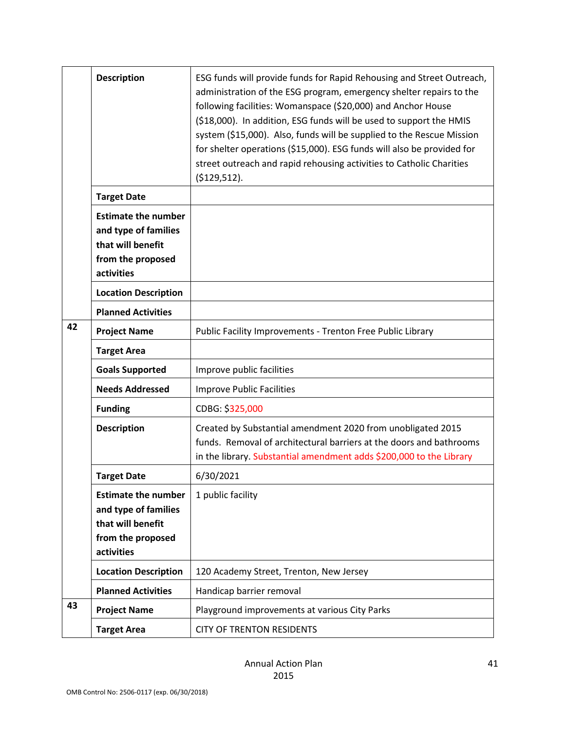|    | <b>Description</b>                                                                                         | ESG funds will provide funds for Rapid Rehousing and Street Outreach,<br>administration of the ESG program, emergency shelter repairs to the<br>following facilities: Womanspace (\$20,000) and Anchor House<br>(\$18,000). In addition, ESG funds will be used to support the HMIS<br>system (\$15,000). Also, funds will be supplied to the Rescue Mission<br>for shelter operations (\$15,000). ESG funds will also be provided for<br>street outreach and rapid rehousing activities to Catholic Charities<br>( \$129, 512). |
|----|------------------------------------------------------------------------------------------------------------|----------------------------------------------------------------------------------------------------------------------------------------------------------------------------------------------------------------------------------------------------------------------------------------------------------------------------------------------------------------------------------------------------------------------------------------------------------------------------------------------------------------------------------|
|    | <b>Target Date</b>                                                                                         |                                                                                                                                                                                                                                                                                                                                                                                                                                                                                                                                  |
|    | <b>Estimate the number</b><br>and type of families<br>that will benefit<br>from the proposed<br>activities |                                                                                                                                                                                                                                                                                                                                                                                                                                                                                                                                  |
|    | <b>Location Description</b>                                                                                |                                                                                                                                                                                                                                                                                                                                                                                                                                                                                                                                  |
|    | <b>Planned Activities</b>                                                                                  |                                                                                                                                                                                                                                                                                                                                                                                                                                                                                                                                  |
| 42 | <b>Project Name</b>                                                                                        | Public Facility Improvements - Trenton Free Public Library                                                                                                                                                                                                                                                                                                                                                                                                                                                                       |
|    | <b>Target Area</b>                                                                                         |                                                                                                                                                                                                                                                                                                                                                                                                                                                                                                                                  |
|    | <b>Goals Supported</b>                                                                                     | Improve public facilities                                                                                                                                                                                                                                                                                                                                                                                                                                                                                                        |
|    | <b>Needs Addressed</b>                                                                                     | <b>Improve Public Facilities</b>                                                                                                                                                                                                                                                                                                                                                                                                                                                                                                 |
|    | <b>Funding</b>                                                                                             | CDBG: \$325,000                                                                                                                                                                                                                                                                                                                                                                                                                                                                                                                  |
|    | <b>Description</b>                                                                                         | Created by Substantial amendment 2020 from unobligated 2015<br>funds. Removal of architectural barriers at the doors and bathrooms<br>in the library. Substantial amendment adds \$200,000 to the Library                                                                                                                                                                                                                                                                                                                        |
|    | <b>Target Date</b>                                                                                         | 6/30/2021                                                                                                                                                                                                                                                                                                                                                                                                                                                                                                                        |
|    | <b>Estimate the number</b><br>and type of families<br>that will benefit<br>from the proposed<br>activities | 1 public facility                                                                                                                                                                                                                                                                                                                                                                                                                                                                                                                |
|    | <b>Location Description</b>                                                                                | 120 Academy Street, Trenton, New Jersey                                                                                                                                                                                                                                                                                                                                                                                                                                                                                          |
|    | <b>Planned Activities</b>                                                                                  | Handicap barrier removal                                                                                                                                                                                                                                                                                                                                                                                                                                                                                                         |
| 43 | <b>Project Name</b>                                                                                        | Playground improvements at various City Parks                                                                                                                                                                                                                                                                                                                                                                                                                                                                                    |
|    | <b>Target Area</b>                                                                                         | <b>CITY OF TRENTON RESIDENTS</b>                                                                                                                                                                                                                                                                                                                                                                                                                                                                                                 |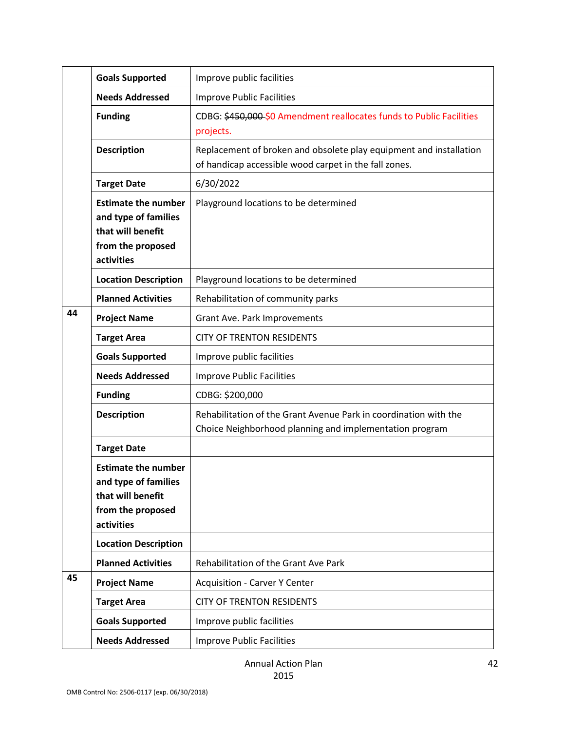|    | <b>Goals Supported</b>                                                                                     | Improve public facilities                                                                                                   |
|----|------------------------------------------------------------------------------------------------------------|-----------------------------------------------------------------------------------------------------------------------------|
|    | <b>Needs Addressed</b>                                                                                     | <b>Improve Public Facilities</b>                                                                                            |
|    | <b>Funding</b>                                                                                             | CDBG: \$450,000 \$0 Amendment reallocates funds to Public Facilities<br>projects.                                           |
|    | <b>Description</b>                                                                                         | Replacement of broken and obsolete play equipment and installation<br>of handicap accessible wood carpet in the fall zones. |
|    | <b>Target Date</b>                                                                                         | 6/30/2022                                                                                                                   |
|    | <b>Estimate the number</b><br>and type of families<br>that will benefit<br>from the proposed<br>activities | Playground locations to be determined                                                                                       |
|    | <b>Location Description</b>                                                                                | Playground locations to be determined                                                                                       |
|    | <b>Planned Activities</b>                                                                                  | Rehabilitation of community parks                                                                                           |
| 44 | <b>Project Name</b>                                                                                        | Grant Ave. Park Improvements                                                                                                |
|    | <b>Target Area</b>                                                                                         | <b>CITY OF TRENTON RESIDENTS</b>                                                                                            |
|    | <b>Goals Supported</b>                                                                                     | Improve public facilities                                                                                                   |
|    | <b>Needs Addressed</b>                                                                                     | <b>Improve Public Facilities</b>                                                                                            |
|    | <b>Funding</b>                                                                                             | CDBG: \$200,000                                                                                                             |
|    | <b>Description</b>                                                                                         | Rehabilitation of the Grant Avenue Park in coordination with the<br>Choice Neighborhood planning and implementation program |
|    | <b>Target Date</b>                                                                                         |                                                                                                                             |
|    | <b>Estimate the number</b><br>and type of families<br>that will benefit<br>from the proposed<br>activities |                                                                                                                             |
|    | <b>Location Description</b>                                                                                |                                                                                                                             |
|    | <b>Planned Activities</b>                                                                                  | Rehabilitation of the Grant Ave Park                                                                                        |
| 45 | <b>Project Name</b>                                                                                        | <b>Acquisition - Carver Y Center</b>                                                                                        |
|    | <b>Target Area</b>                                                                                         | <b>CITY OF TRENTON RESIDENTS</b>                                                                                            |
|    | <b>Goals Supported</b>                                                                                     | Improve public facilities                                                                                                   |
|    | <b>Needs Addressed</b>                                                                                     | <b>Improve Public Facilities</b>                                                                                            |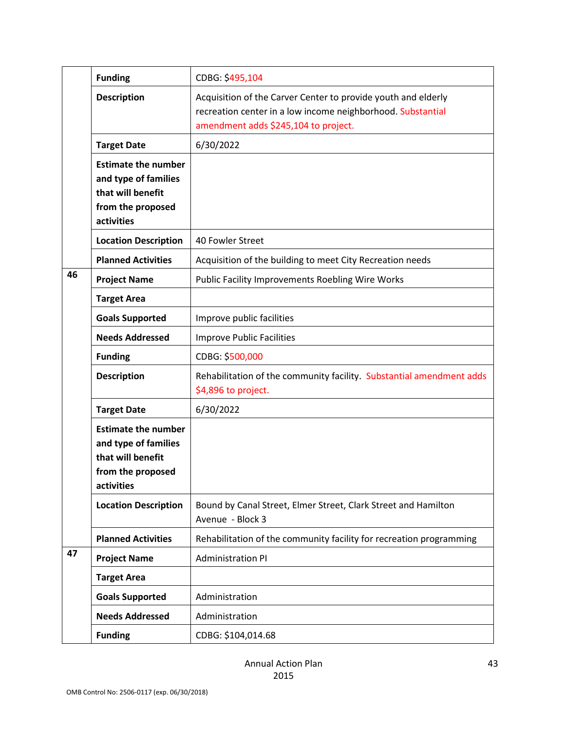|    | <b>Funding</b>                                                                                             | CDBG: \$495,104                                                                                                                                                      |
|----|------------------------------------------------------------------------------------------------------------|----------------------------------------------------------------------------------------------------------------------------------------------------------------------|
|    | <b>Description</b>                                                                                         | Acquisition of the Carver Center to provide youth and elderly<br>recreation center in a low income neighborhood. Substantial<br>amendment adds \$245,104 to project. |
|    | <b>Target Date</b>                                                                                         | 6/30/2022                                                                                                                                                            |
|    | <b>Estimate the number</b><br>and type of families<br>that will benefit<br>from the proposed<br>activities |                                                                                                                                                                      |
|    | <b>Location Description</b>                                                                                | 40 Fowler Street                                                                                                                                                     |
|    | <b>Planned Activities</b>                                                                                  | Acquisition of the building to meet City Recreation needs                                                                                                            |
| 46 | <b>Project Name</b>                                                                                        | <b>Public Facility Improvements Roebling Wire Works</b>                                                                                                              |
|    | <b>Target Area</b>                                                                                         |                                                                                                                                                                      |
|    | <b>Goals Supported</b>                                                                                     | Improve public facilities                                                                                                                                            |
|    | <b>Needs Addressed</b>                                                                                     | <b>Improve Public Facilities</b>                                                                                                                                     |
|    | <b>Funding</b>                                                                                             | CDBG: \$500,000                                                                                                                                                      |
|    | <b>Description</b>                                                                                         | Rehabilitation of the community facility. Substantial amendment adds<br>\$4,896 to project.                                                                          |
|    | <b>Target Date</b>                                                                                         | 6/30/2022                                                                                                                                                            |
|    | <b>Estimate the number</b><br>and type of families<br>that will benefit<br>from the proposed<br>activities |                                                                                                                                                                      |
|    | <b>Location Description</b>                                                                                | Bound by Canal Street, Elmer Street, Clark Street and Hamilton<br>Avenue - Block 3                                                                                   |
|    | <b>Planned Activities</b>                                                                                  | Rehabilitation of the community facility for recreation programming                                                                                                  |
| 47 | <b>Project Name</b>                                                                                        | <b>Administration PI</b>                                                                                                                                             |
|    | <b>Target Area</b>                                                                                         |                                                                                                                                                                      |
|    | <b>Goals Supported</b>                                                                                     | Administration                                                                                                                                                       |
|    | <b>Needs Addressed</b>                                                                                     | Administration                                                                                                                                                       |
|    | <b>Funding</b>                                                                                             | CDBG: \$104,014.68                                                                                                                                                   |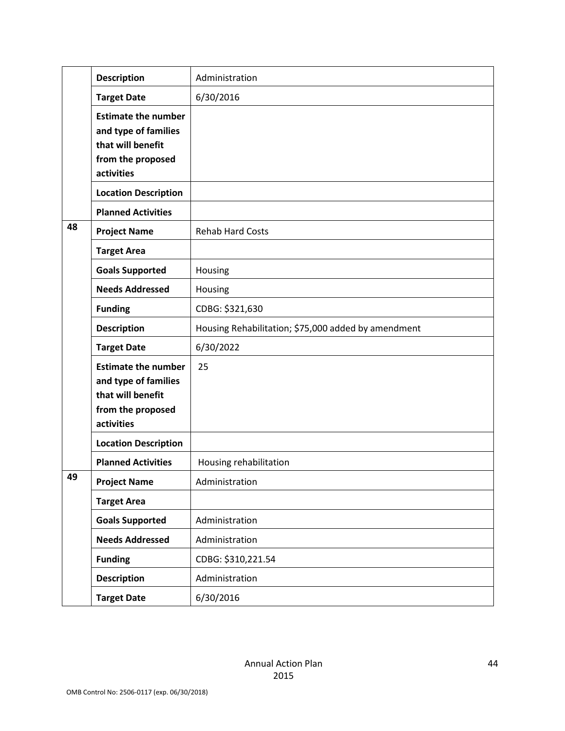|    | <b>Description</b>                                                                                         | Administration                                      |
|----|------------------------------------------------------------------------------------------------------------|-----------------------------------------------------|
|    | <b>Target Date</b>                                                                                         | 6/30/2016                                           |
|    | <b>Estimate the number</b><br>and type of families<br>that will benefit<br>from the proposed<br>activities |                                                     |
|    | <b>Location Description</b>                                                                                |                                                     |
|    | <b>Planned Activities</b>                                                                                  |                                                     |
| 48 | <b>Project Name</b>                                                                                        | <b>Rehab Hard Costs</b>                             |
|    | <b>Target Area</b>                                                                                         |                                                     |
|    | <b>Goals Supported</b>                                                                                     | Housing                                             |
|    | <b>Needs Addressed</b>                                                                                     | Housing                                             |
|    | <b>Funding</b>                                                                                             | CDBG: \$321,630                                     |
|    | <b>Description</b>                                                                                         | Housing Rehabilitation; \$75,000 added by amendment |
|    | <b>Target Date</b>                                                                                         | 6/30/2022                                           |
|    | <b>Estimate the number</b><br>and type of families<br>that will benefit<br>from the proposed<br>activities | 25                                                  |
|    | <b>Location Description</b>                                                                                |                                                     |
|    | <b>Planned Activities</b>                                                                                  | Housing rehabilitation                              |
| 49 | <b>Project Name</b>                                                                                        | Administration                                      |
|    | <b>Target Area</b>                                                                                         |                                                     |
|    | <b>Goals Supported</b>                                                                                     | Administration                                      |
|    | <b>Needs Addressed</b>                                                                                     | Administration                                      |
|    | <b>Funding</b>                                                                                             | CDBG: \$310,221.54                                  |
|    | <b>Description</b>                                                                                         | Administration                                      |
|    | <b>Target Date</b>                                                                                         | 6/30/2016                                           |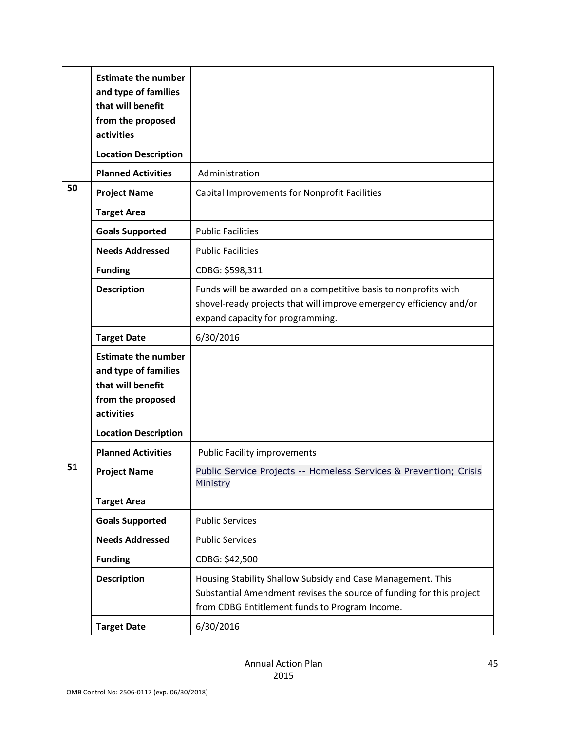|    | <b>Estimate the number</b><br>and type of families<br>that will benefit<br>from the proposed<br>activities |                                                                                                                                                                                       |
|----|------------------------------------------------------------------------------------------------------------|---------------------------------------------------------------------------------------------------------------------------------------------------------------------------------------|
|    | <b>Location Description</b>                                                                                |                                                                                                                                                                                       |
|    | <b>Planned Activities</b>                                                                                  | Administration                                                                                                                                                                        |
| 50 | <b>Project Name</b>                                                                                        | Capital Improvements for Nonprofit Facilities                                                                                                                                         |
|    | <b>Target Area</b>                                                                                         |                                                                                                                                                                                       |
|    | <b>Goals Supported</b>                                                                                     | <b>Public Facilities</b>                                                                                                                                                              |
|    | <b>Needs Addressed</b>                                                                                     | <b>Public Facilities</b>                                                                                                                                                              |
|    | <b>Funding</b>                                                                                             | CDBG: \$598,311                                                                                                                                                                       |
|    | <b>Description</b>                                                                                         | Funds will be awarded on a competitive basis to nonprofits with<br>shovel-ready projects that will improve emergency efficiency and/or<br>expand capacity for programming.            |
|    | <b>Target Date</b>                                                                                         | 6/30/2016                                                                                                                                                                             |
|    | <b>Estimate the number</b><br>and type of families<br>that will benefit<br>from the proposed<br>activities |                                                                                                                                                                                       |
|    | <b>Location Description</b>                                                                                |                                                                                                                                                                                       |
|    | <b>Planned Activities</b>                                                                                  | <b>Public Facility improvements</b>                                                                                                                                                   |
| 51 | <b>Project Name</b>                                                                                        | Public Service Projects -- Homeless Services & Prevention; Crisis<br>Ministry                                                                                                         |
|    | <b>Target Area</b>                                                                                         |                                                                                                                                                                                       |
|    | <b>Goals Supported</b>                                                                                     | <b>Public Services</b>                                                                                                                                                                |
|    | <b>Needs Addressed</b>                                                                                     | <b>Public Services</b>                                                                                                                                                                |
|    | <b>Funding</b>                                                                                             | CDBG: \$42,500                                                                                                                                                                        |
|    | <b>Description</b>                                                                                         | Housing Stability Shallow Subsidy and Case Management. This<br>Substantial Amendment revises the source of funding for this project<br>from CDBG Entitlement funds to Program Income. |
|    | <b>Target Date</b>                                                                                         | 6/30/2016                                                                                                                                                                             |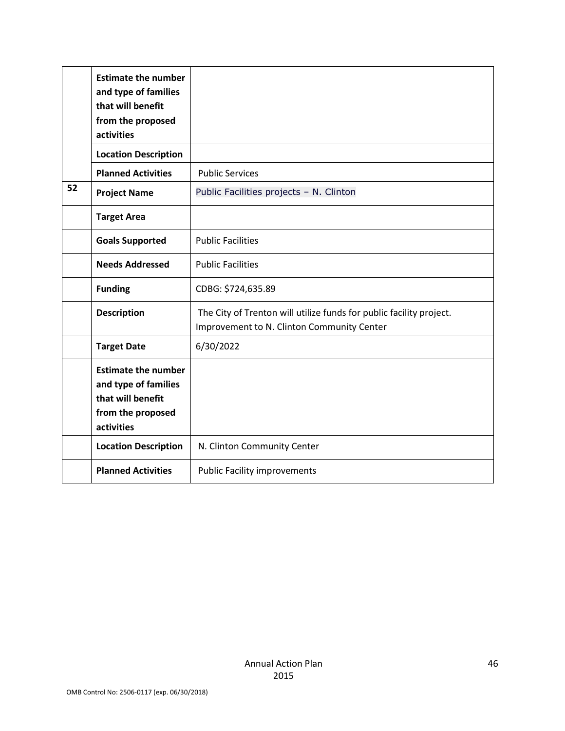|    | <b>Estimate the number</b><br>and type of families<br>that will benefit<br>from the proposed<br>activities |                                                                                                                   |
|----|------------------------------------------------------------------------------------------------------------|-------------------------------------------------------------------------------------------------------------------|
|    | <b>Location Description</b>                                                                                |                                                                                                                   |
|    | <b>Planned Activities</b>                                                                                  | <b>Public Services</b>                                                                                            |
| 52 | <b>Project Name</b>                                                                                        | Public Facilities projects - N. Clinton                                                                           |
|    | <b>Target Area</b>                                                                                         |                                                                                                                   |
|    | <b>Goals Supported</b>                                                                                     | <b>Public Facilities</b>                                                                                          |
|    | <b>Needs Addressed</b>                                                                                     | <b>Public Facilities</b>                                                                                          |
|    | <b>Funding</b>                                                                                             | CDBG: \$724,635.89                                                                                                |
|    | <b>Description</b>                                                                                         | The City of Trenton will utilize funds for public facility project.<br>Improvement to N. Clinton Community Center |
|    | <b>Target Date</b>                                                                                         | 6/30/2022                                                                                                         |
|    | <b>Estimate the number</b><br>and type of families<br>that will benefit<br>from the proposed<br>activities |                                                                                                                   |
|    | <b>Location Description</b>                                                                                | N. Clinton Community Center                                                                                       |
|    | <b>Planned Activities</b>                                                                                  | <b>Public Facility improvements</b>                                                                               |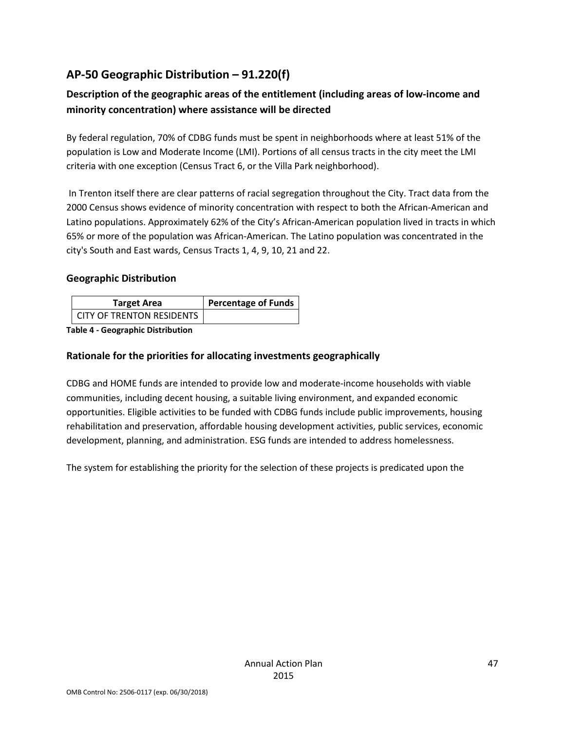# <span id="page-46-0"></span>**AP-50 Geographic Distribution – 91.220(f)**

### **Description of the geographic areas of the entitlement (including areas of low-income and minority concentration) where assistance will be directed**

By federal regulation, 70% of CDBG funds must be spent in neighborhoods where at least 51% of the population is Low and Moderate Income (LMI). Portions of all census tracts in the city meet the LMI criteria with one exception (Census Tract 6, or the Villa Park neighborhood).

In Trenton itself there are clear patterns of racial segregation throughout the City. Tract data from the 2000 Census shows evidence of minority concentration with respect to both the African-American and Latino populations. Approximately 62% of the City's African-American population lived in tracts in which 65% or more of the population was African-American. The Latino population was concentrated in the city's South and East wards, Census Tracts 1, 4, 9, 10, 21 and 22.

#### **Geographic Distribution**

| <b>Target Area</b>               | <b>Percentage of Funds</b> |
|----------------------------------|----------------------------|
| <b>CITY OF TRENTON RESIDENTS</b> |                            |

**Table 4 - Geographic Distribution** 

### **Rationale for the priorities for allocating investments geographically**

CDBG and HOME funds are intended to provide low and moderate-income households with viable communities, including decent housing, a suitable living environment, and expanded economic opportunities. Eligible activities to be funded with CDBG funds include public improvements, housing rehabilitation and preservation, affordable housing development activities, public services, economic development, planning, and administration. ESG funds are intended to address homelessness.

The system for establishing the priority for the selection of these projects is predicated upon the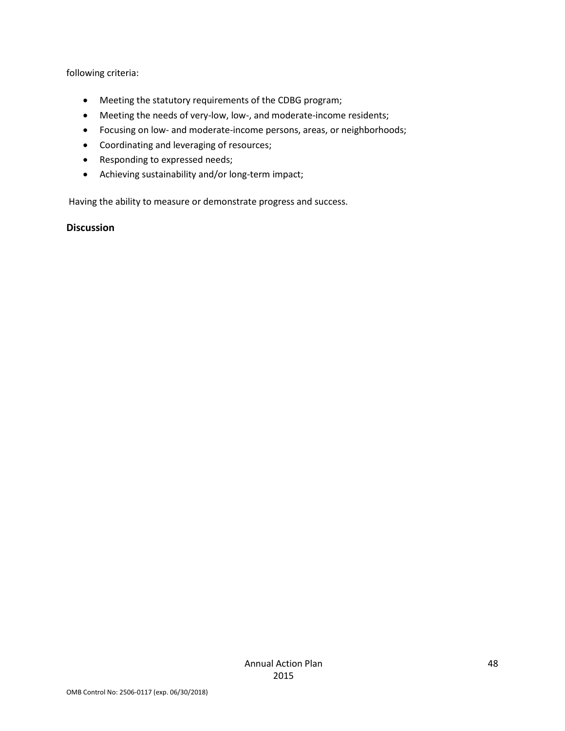following criteria:

- Meeting the statutory requirements of the CDBG program;
- Meeting the needs of very-low, low-, and moderate-income residents;
- Focusing on low- and moderate-income persons, areas, or neighborhoods;
- Coordinating and leveraging of resources;
- Responding to expressed needs;
- Achieving sustainability and/or long-term impact;

Having the ability to measure or demonstrate progress and success.

#### **Discussion**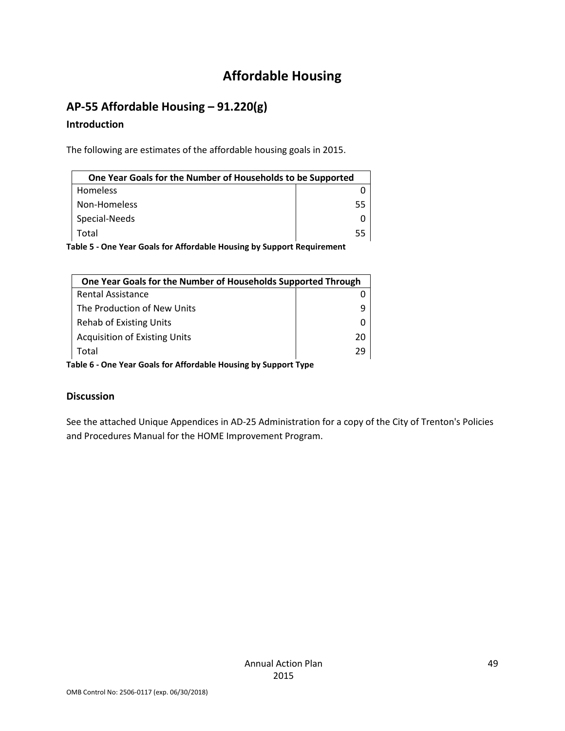# **Affordable Housing**

# <span id="page-48-1"></span><span id="page-48-0"></span>**AP-55 Affordable Housing – 91.220(g)**

### **Introduction**

The following are estimates of the affordable housing goals in 2015.

| One Year Goals for the Number of Households to be Supported |    |
|-------------------------------------------------------------|----|
| Homeless                                                    |    |
| Non-Homeless                                                | 55 |
| Special-Needs                                               |    |
| Total                                                       | 55 |

**Table 5 - One Year Goals for Affordable Housing by Support Requirement**

| One Year Goals for the Number of Households Supported Through |    |
|---------------------------------------------------------------|----|
| <b>Rental Assistance</b>                                      |    |
| The Production of New Units                                   |    |
| <b>Rehab of Existing Units</b>                                |    |
| <b>Acquisition of Existing Units</b>                          | 20 |
| Total                                                         | 29 |

**Table 6 - One Year Goals for Affordable Housing by Support Type**

### **Discussion**

See the attached Unique Appendices in AD-25 Administration for a copy of the City of Trenton's Policies and Procedures Manual for the HOME Improvement Program.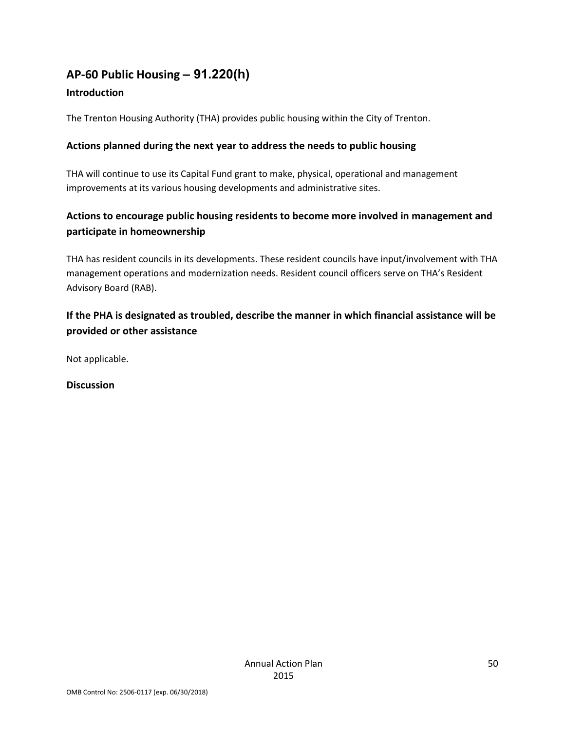# <span id="page-49-0"></span>**AP-60 Public Housing** *–* **91.220(h)**

### **Introduction**

The Trenton Housing Authority (THA) provides public housing within the City of Trenton.

### **Actions planned during the next year to address the needs to public housing**

THA will continue to use its Capital Fund grant to make, physical, operational and management improvements at its various housing developments and administrative sites.

### **Actions to encourage public housing residents to become more involved in management and participate in homeownership**

THA has resident councils in its developments. These resident councils have input/involvement with THA management operations and modernization needs. Resident council officers serve on THA's Resident Advisory Board (RAB).

### **If the PHA is designated as troubled, describe the manner in which financial assistance will be provided or other assistance**

Not applicable.

**Discussion**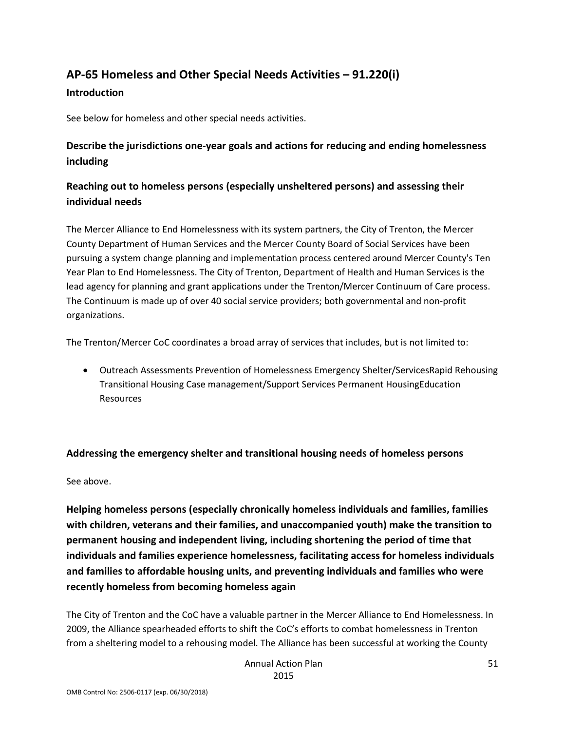# <span id="page-50-0"></span>**AP-65 Homeless and Other Special Needs Activities – 91.220(i)**

#### **Introduction**

See below for homeless and other special needs activities.

### **Describe the jurisdictions one-year goals and actions for reducing and ending homelessness including**

### **Reaching out to homeless persons (especially unsheltered persons) and assessing their individual needs**

The Mercer Alliance to End Homelessness with its system partners, the City of Trenton, the Mercer County Department of Human Services and the Mercer County Board of Social Services have been pursuing a system change planning and implementation process centered around Mercer County's Ten Year Plan to End Homelessness. The City of Trenton, Department of Health and Human Services is the lead agency for planning and grant applications under the Trenton/Mercer Continuum of Care process. The Continuum is made up of over 40 social service providers; both governmental and non-profit organizations.

The Trenton/Mercer CoC coordinates a broad array of services that includes, but is not limited to:

• Outreach Assessments Prevention of Homelessness Emergency Shelter/ServicesRapid Rehousing Transitional Housing Case management/Support Services Permanent HousingEducation Resources

### **Addressing the emergency shelter and transitional housing needs of homeless persons**

See above.

**Helping homeless persons (especially chronically homeless individuals and families, families with children, veterans and their families, and unaccompanied youth) make the transition to permanent housing and independent living, including shortening the period of time that individuals and families experience homelessness, facilitating access for homeless individuals and families to affordable housing units, and preventing individuals and families who were recently homeless from becoming homeless again**

The City of Trenton and the CoC have a valuable partner in the Mercer Alliance to End Homelessness. In 2009, the Alliance spearheaded efforts to shift the CoC's efforts to combat homelessness in Trenton from a sheltering model to a rehousing model. The Alliance has been successful at working the County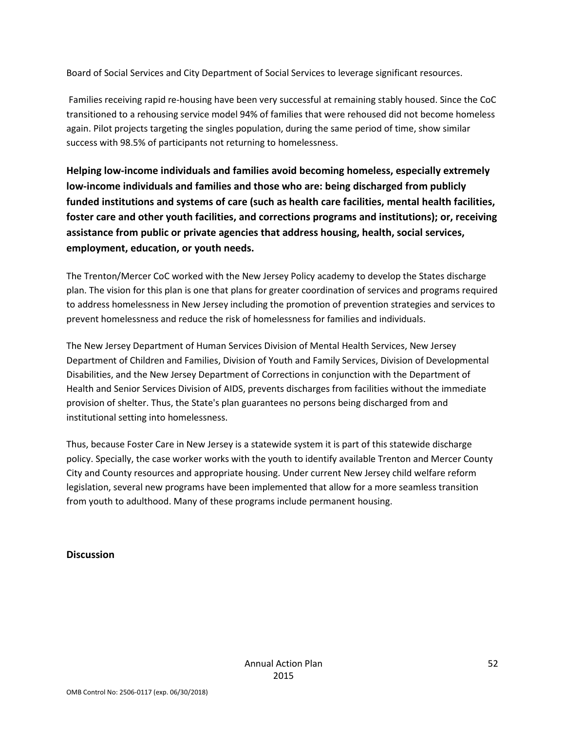Board of Social Services and City Department of Social Services to leverage significant resources.

Families receiving rapid re-housing have been very successful at remaining stably housed. Since the CoC transitioned to a rehousing service model 94% of families that were rehoused did not become homeless again. Pilot projects targeting the singles population, during the same period of time, show similar success with 98.5% of participants not returning to homelessness.

**Helping low-income individuals and families avoid becoming homeless, especially extremely low-income individuals and families and those who are: being discharged from publicly funded institutions and systems of care (such as health care facilities, mental health facilities, foster care and other youth facilities, and corrections programs and institutions); or, receiving assistance from public or private agencies that address housing, health, social services, employment, education, or youth needs.**

The Trenton/Mercer CoC worked with the New Jersey Policy academy to develop the States discharge plan. The vision for this plan is one that plans for greater coordination of services and programs required to address homelessness in New Jersey including the promotion of prevention strategies and services to prevent homelessness and reduce the risk of homelessness for families and individuals.

The New Jersey Department of Human Services Division of Mental Health Services, New Jersey Department of Children and Families, Division of Youth and Family Services, Division of Developmental Disabilities, and the New Jersey Department of Corrections in conjunction with the Department of Health and Senior Services Division of AIDS, prevents discharges from facilities without the immediate provision of shelter. Thus, the State's plan guarantees no persons being discharged from and institutional setting into homelessness.

Thus, because Foster Care in New Jersey is a statewide system it is part of this statewide discharge policy. Specially, the case worker works with the youth to identify available Trenton and Mercer County City and County resources and appropriate housing. Under current New Jersey child welfare reform legislation, several new programs have been implemented that allow for a more seamless transition from youth to adulthood. Many of these programs include permanent housing.

#### **Discussion**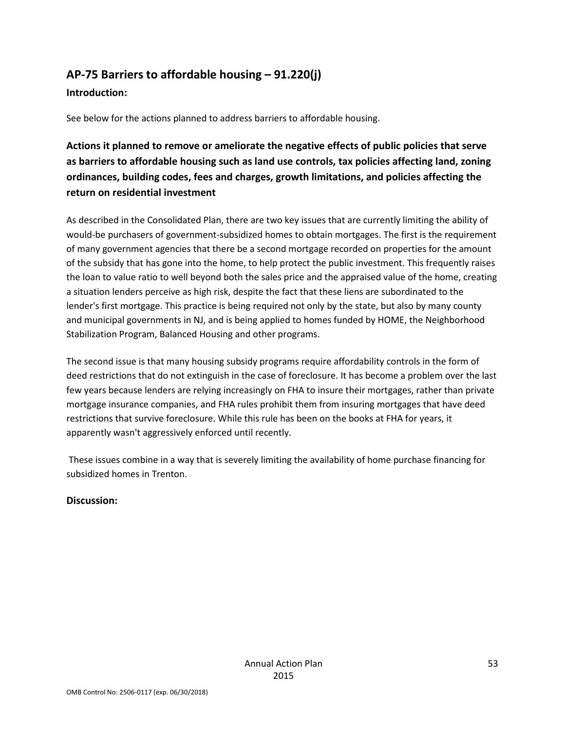# <span id="page-52-0"></span>**AP-75 Barriers to affordable housing – 91.220(j)**

#### **Introduction:**

See below for the actions planned to address barriers to affordable housing.

**Actions it planned to remove or ameliorate the negative effects of public policies that serve as barriers to affordable housing such as land use controls, tax policies affecting land, zoning ordinances, building codes, fees and charges, growth limitations, and policies affecting the return on residential investment**

As described in the Consolidated Plan, there are two key issues that are currently limiting the ability of would-be purchasers of government-subsidized homes to obtain mortgages. The first is the requirement of many government agencies that there be a second mortgage recorded on properties for the amount of the subsidy that has gone into the home, to help protect the public investment. This frequently raises the loan to value ratio to well beyond both the sales price and the appraised value of the home, creating a situation lenders perceive as high risk, despite the fact that these liens are subordinated to the lender's first mortgage. This practice is being required not only by the state, but also by many county and municipal governments in NJ, and is being applied to homes funded by HOME, the Neighborhood Stabilization Program, Balanced Housing and other programs.

The second issue is that many housing subsidy programs require affordability controls in the form of deed restrictions that do not extinguish in the case of foreclosure. It has become a problem over the last few years because lenders are relying increasingly on FHA to insure their mortgages, rather than private mortgage insurance companies, and FHA rules prohibit them from insuring mortgages that have deed restrictions that survive foreclosure. While this rule has been on the books at FHA for years, it apparently wasn't aggressively enforced until recently.

These issues combine in a way that is severely limiting the availability of home purchase financing for subsidized homes in Trenton.

### **Discussion:**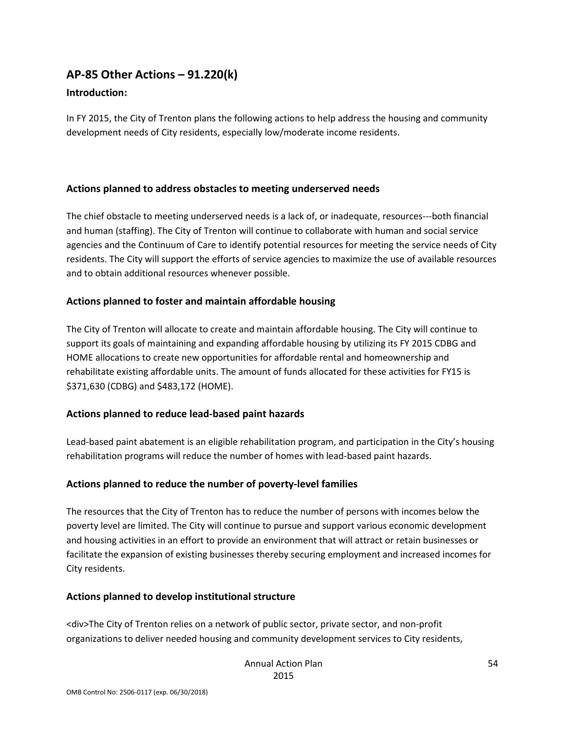# <span id="page-53-0"></span>**AP-85 Other Actions – 91.220(k)**

### **Introduction:**

In FY 2015, the City of Trenton plans the following actions to help address the housing and community development needs of City residents, especially low/moderate income residents.

#### **Actions planned to address obstacles to meeting underserved needs**

The chief obstacle to meeting underserved needs is a lack of, or inadequate, resources---both financial and human (staffing). The City of Trenton will continue to collaborate with human and social service agencies and the Continuum of Care to identify potential resources for meeting the service needs of City residents. The City will support the efforts of service agencies to maximize the use of available resources and to obtain additional resources whenever possible.

#### **Actions planned to foster and maintain affordable housing**

The City of Trenton will allocate to create and maintain affordable housing. The City will continue to support its goals of maintaining and expanding affordable housing by utilizing its FY 2015 CDBG and HOME allocations to create new opportunities for affordable rental and homeownership and rehabilitate existing affordable units. The amount of funds allocated for these activities for FY15 is \$371,630 (CDBG) and \$483,172 (HOME).

### **Actions planned to reduce lead-based paint hazards**

Lead-based paint abatement is an eligible rehabilitation program, and participation in the City's housing rehabilitation programs will reduce the number of homes with lead-based paint hazards.

### **Actions planned to reduce the number of poverty-level families**

The resources that the City of Trenton has to reduce the number of persons with incomes below the poverty level are limited. The City will continue to pursue and support various economic development and housing activities in an effort to provide an environment that will attract or retain businesses or facilitate the expansion of existing businesses thereby securing employment and increased incomes for City residents.

#### **Actions planned to develop institutional structure**

<div>The City of Trenton relies on a network of public sector, private sector, and non-profit organizations to deliver needed housing and community development services to City residents,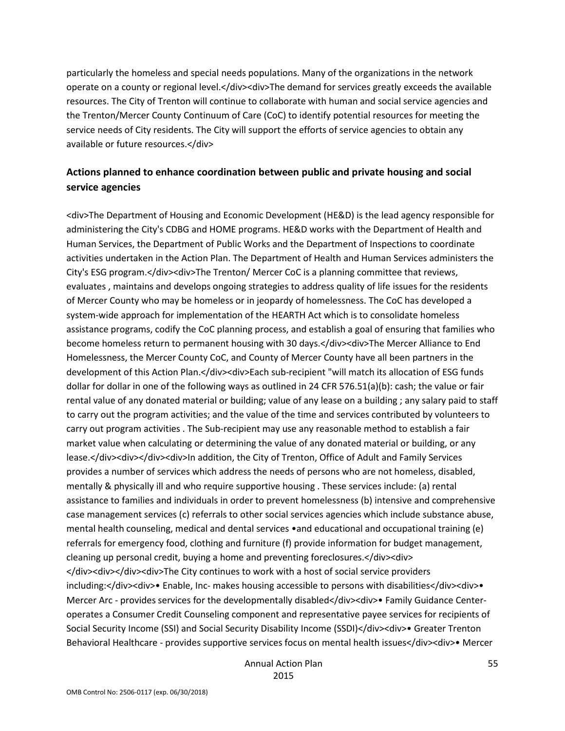particularly the homeless and special needs populations. Many of the organizations in the network operate on a county or regional level.</div><div>The demand for services greatly exceeds the available resources. The City of Trenton will continue to collaborate with human and social service agencies and the Trenton/Mercer County Continuum of Care (CoC) to identify potential resources for meeting the service needs of City residents. The City will support the efforts of service agencies to obtain any available or future resources.</div>

### **Actions planned to enhance coordination between public and private housing and social service agencies**

<div>The Department of Housing and Economic Development (HE&D) is the lead agency responsible for administering the City's CDBG and HOME programs. HE&D works with the Department of Health and Human Services, the Department of Public Works and the Department of Inspections to coordinate activities undertaken in the Action Plan. The Department of Health and Human Services administers the City's ESG program.</div><div>The Trenton/ Mercer CoC is a planning committee that reviews, evaluates , maintains and develops ongoing strategies to address quality of life issues for the residents of Mercer County who may be homeless or in jeopardy of homelessness. The CoC has developed a system-wide approach for implementation of the HEARTH Act which is to consolidate homeless assistance programs, codify the CoC planning process, and establish a goal of ensuring that families who become homeless return to permanent housing with 30 days.</div><div>The Mercer Alliance to End Homelessness, the Mercer County CoC, and County of Mercer County have all been partners in the development of this Action Plan.</div><div>Each sub-recipient "will match its allocation of ESG funds dollar for dollar in one of the following ways as outlined in 24 CFR 576.51(a)(b): cash; the value or fair rental value of any donated material or building; value of any lease on a building ; any salary paid to staff to carry out the program activities; and the value of the time and services contributed by volunteers to carry out program activities . The Sub-recipient may use any reasonable method to establish a fair market value when calculating or determining the value of any donated material or building, or any lease.</div><div></div><div>ln addition, the City of Trenton, Office of Adult and Family Services provides a number of services which address the needs of persons who are not homeless, disabled, mentally & physically ill and who require supportive housing . These services include: (a) rental assistance to families and individuals in order to prevent homelessness (b) intensive and comprehensive case management services (c) referrals to other social services agencies which include substance abuse, mental health counseling, medical and dental services •and educational and occupational training (e) referrals for emergency food, clothing and furniture (f) provide information for budget management, cleaning up personal credit, buying a home and preventing foreclosures.</div><div> </div><div></div><div><div>The City continues to work with a host of social service providers including:</div><div>> Enable, Inc- makes housing accessible to persons with disabilities</div><div> Mercer Arc - provides services for the developmentally disabled</div><div>• Family Guidance Centeroperates a Consumer Credit Counseling component and representative payee services for recipients of Social Security Income (SSI) and Social Security Disability Income (SSDI)</div><div>• Greater Trenton Behavioral Healthcare - provides supportive services focus on mental health issues</div><div>• Mercer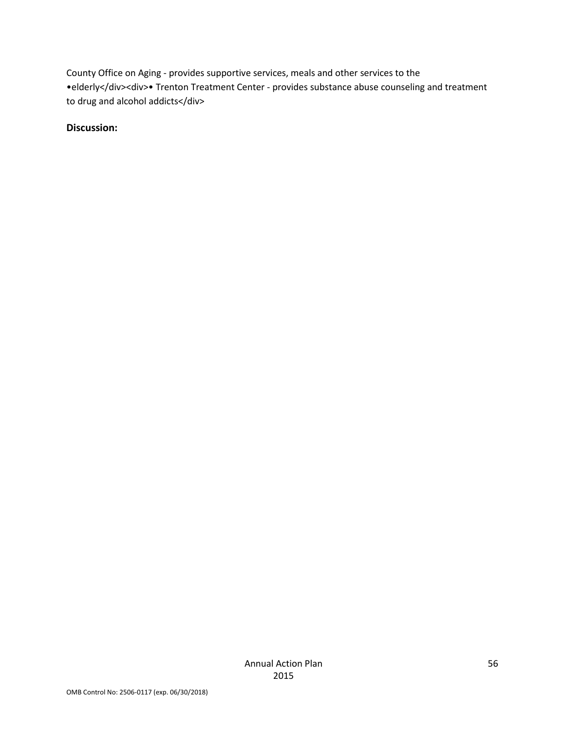County Office on Aging - provides supportive services, meals and other services to the •elderly</div><div>• Trenton Treatment Center - provides substance abuse counseling and treatment to drug and alcohol addicts</div>

**Discussion:**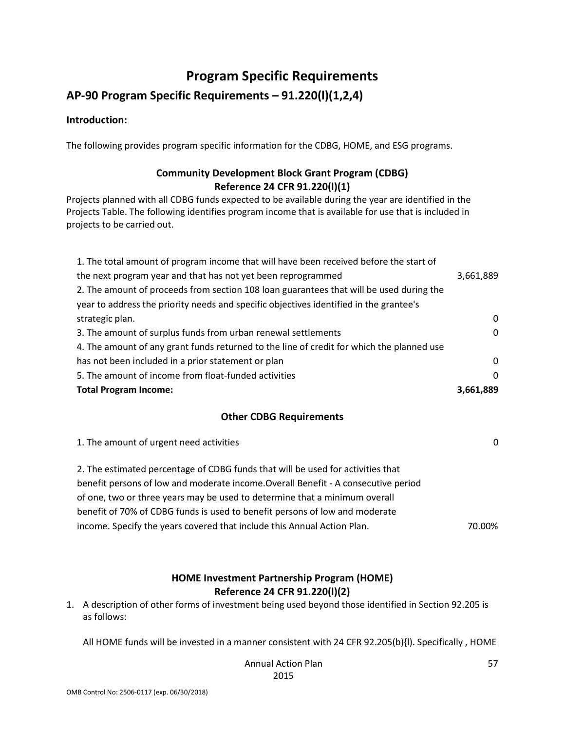# **Program Specific Requirements**

### <span id="page-56-0"></span>**AP-90 Program Specific Requirements – 91.220(l)(1,2,4)**

#### **Introduction:**

The following provides program specific information for the CDBG, HOME, and ESG programs.

### **Community Development Block Grant Program (CDBG) Reference 24 CFR 91.220(l)(1)**

Projects planned with all CDBG funds expected to be available during the year are identified in the Projects Table. The following identifies program income that is available for use that is included in projects to be carried out.

| 1. The total amount of program income that will have been received before the start of    |           |
|-------------------------------------------------------------------------------------------|-----------|
| the next program year and that has not yet been reprogrammed                              | 3,661,889 |
| 2. The amount of proceeds from section 108 loan guarantees that will be used during the   |           |
| year to address the priority needs and specific objectives identified in the grantee's    |           |
| strategic plan.                                                                           | 0         |
| 3. The amount of surplus funds from urban renewal settlements                             | 0         |
| 4. The amount of any grant funds returned to the line of credit for which the planned use |           |
| has not been included in a prior statement or plan                                        | 0         |
| 5. The amount of income from float-funded activities                                      | $\Omega$  |
| <b>Total Program Income:</b>                                                              | 3,661,889 |

#### **Other CDBG Requirements**

| 1. The amount of urgent need activities                                            | 0      |
|------------------------------------------------------------------------------------|--------|
| 2. The estimated percentage of CDBG funds that will be used for activities that    |        |
| benefit persons of low and moderate income. Overall Benefit - A consecutive period |        |
| of one, two or three years may be used to determine that a minimum overall         |        |
| benefit of 70% of CDBG funds is used to benefit persons of low and moderate        |        |
| income. Specify the years covered that include this Annual Action Plan.            | 70.00% |
|                                                                                    |        |

### **HOME Investment Partnership Program (HOME) Reference 24 CFR 91.220(l)(2)**

1. A description of other forms of investment being used beyond those identified in Section 92.205 is as follows:

All HOME funds will be invested in a manner consistent with 24 CFR 92.205(b){l). Specifically , HOME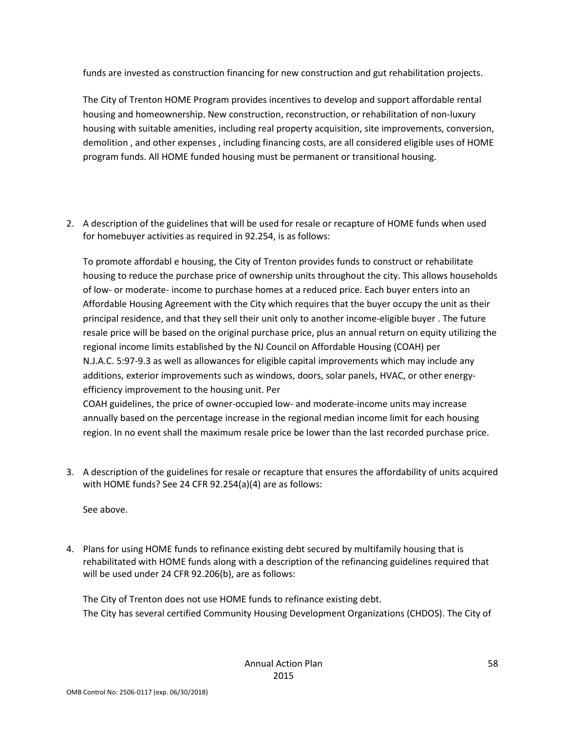funds are invested as construction financing for new construction and gut rehabilitation projects.

The City of Trenton HOME Program provides incentives to develop and support affordable rental housing and homeownership. New construction, reconstruction, or rehabilitation of non-luxury housing with suitable amenities, including real property acquisition, site improvements, conversion, demolition , and other expenses , including financing costs, are all considered eligible uses of HOME program funds. All HOME funded housing must be permanent or transitional housing.

2. A description of the guidelines that will be used for resale or recapture of HOME funds when used for homebuyer activities as required in 92.254, is as follows:

To promote affordabl e housing, the City of Trenton provides funds to construct or rehabilitate housing to reduce the purchase price of ownership units throughout the city. This allows households of low- or moderate- income to purchase homes at a reduced price. Each buyer enters into an Affordable Housing Agreement with the City which requires that the buyer occupy the unit as their principal residence, and that they sell their unit only to another income-eligible buyer . The future resale price will be based on the original purchase price, plus an annual return on equity utilizing the regional income limits established by the NJ Council on Affordable Housing (COAH) per N.J.A.C. 5:97-9.3 as well as allowances for eligible capital improvements which may include any additions, exterior improvements such as windows, doors, solar panels, HVAC, or other energyefficiency improvement to the housing unit. Per

COAH guidelines, the price of owner-occupied low- and moderate-income units may increase annually based on the percentage increase in the regional median income limit for each housing region. In no event shall the maximum resale price be lower than the last recorded purchase price.

3. A description of the guidelines for resale or recapture that ensures the affordability of units acquired with HOME funds? See 24 CFR 92.254(a)(4) are as follows:

See above.

4. Plans for using HOME funds to refinance existing debt secured by multifamily housing that is rehabilitated with HOME funds along with a description of the refinancing guidelines required that will be used under 24 CFR 92.206(b), are as follows:

The City of Trenton does not use HOME funds to refinance existing debt. The City has several certified Community Housing Development Organizations (CHDOS). The City of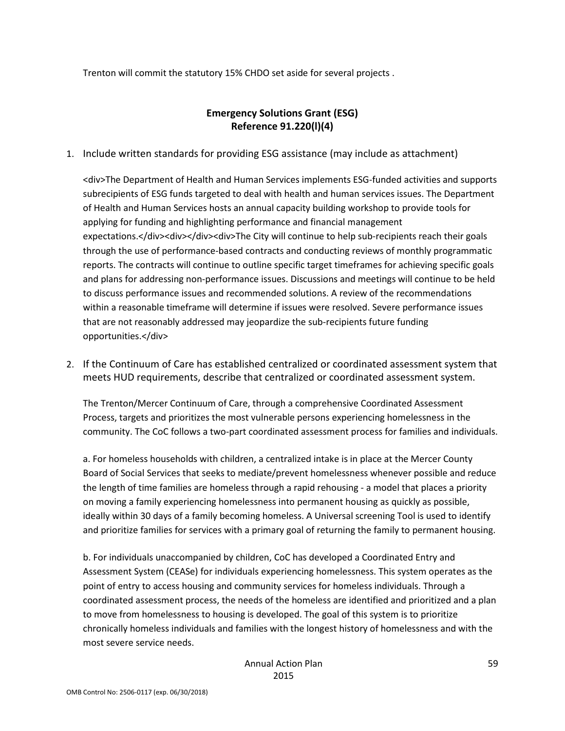Trenton will commit the statutory 15% CHDO set aside for several projects .

### **Emergency Solutions Grant (ESG) Reference 91.220(l)(4)**

1. Include written standards for providing ESG assistance (may include as attachment)

<div>The Department of Health and Human Services implements ESG-funded activities and supports subrecipients of ESG funds targeted to deal with health and human services issues. The Department of Health and Human Services hosts an annual capacity building workshop to provide tools for applying for funding and highlighting performance and financial management expectations.</div><div></div><div>The City will continue to help sub-recipients reach their goals through the use of performance-based contracts and conducting reviews of monthly programmatic reports. The contracts will continue to outline specific target timeframes for achieving specific goals and plans for addressing non-performance issues. Discussions and meetings will continue to be held to discuss performance issues and recommended solutions. A review of the recommendations within a reasonable timeframe will determine if issues were resolved. Severe performance issues that are not reasonably addressed may jeopardize the sub-recipients future funding opportunities.</div>

2. If the Continuum of Care has established centralized or coordinated assessment system that meets HUD requirements, describe that centralized or coordinated assessment system.

The Trenton/Mercer Continuum of Care, through a comprehensive Coordinated Assessment Process, targets and prioritizes the most vulnerable persons experiencing homelessness in the community. The CoC follows a two-part coordinated assessment process for families and individuals.

a. For homeless households with children, a centralized intake is in place at the Mercer County Board of Social Services that seeks to mediate/prevent homelessness whenever possible and reduce the length of time families are homeless through a rapid rehousing - a model that places a priority on moving a family experiencing homelessness into permanent housing as quickly as possible, ideally within 30 days of a family becoming homeless. A Universal screening Tool is used to identify and prioritize families for services with a primary goal of returning the family to permanent housing.

b. For individuals unaccompanied by children, CoC has developed a Coordinated Entry and Assessment System (CEASe) for individuals experiencing homelessness. This system operates as the point of entry to access housing and community services for homeless individuals. Through a coordinated assessment process, the needs of the homeless are identified and prioritized and a plan to move from homelessness to housing is developed. The goal of this system is to prioritize chronically homeless individuals and families with the longest history of homelessness and with the most severe service needs.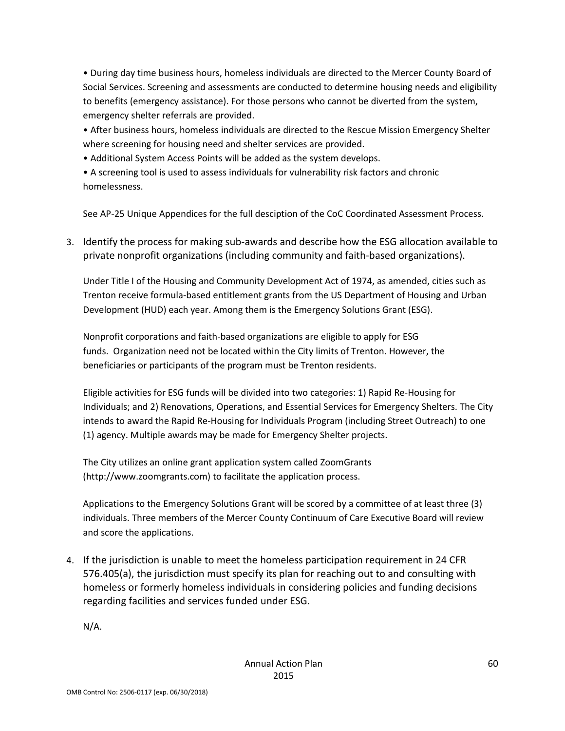• During day time business hours, homeless individuals are directed to the Mercer County Board of Social Services. Screening and assessments are conducted to determine housing needs and eligibility to benefits (emergency assistance). For those persons who cannot be diverted from the system, emergency shelter referrals are provided.

• After business hours, homeless individuals are directed to the Rescue Mission Emergency Shelter where screening for housing need and shelter services are provided.

• Additional System Access Points will be added as the system develops.

• A screening tool is used to assess individuals for vulnerability risk factors and chronic homelessness.

See AP-25 Unique Appendices for the full desciption of the CoC Coordinated Assessment Process.

3. Identify the process for making sub-awards and describe how the ESG allocation available to private nonprofit organizations (including community and faith-based organizations).

Under Title I of the Housing and Community Development Act of 1974, as amended, cities such as Trenton receive formula-based entitlement grants from the US Department of Housing and Urban Development (HUD) each year. Among them is the Emergency Solutions Grant (ESG).

Nonprofit corporations and faith-based organizations are eligible to apply for ESG funds. Organization need not be located within the City limits of Trenton. However, the beneficiaries or participants of the program must be Trenton residents.

Eligible activities for ESG funds will be divided into two categories: 1) Rapid Re-Housing for Individuals; and 2) Renovations, Operations, and Essential Services for Emergency Shelters. The City intends to award the Rapid Re-Housing for Individuals Program (including Street Outreach) to one (1) agency. Multiple awards may be made for Emergency Shelter projects.

The City utilizes an online grant application system called ZoomGrants (http://www.zoomgrants.com) to facilitate the application process.

Applications to the Emergency Solutions Grant will be scored by a committee of at least three (3) individuals. Three members of the Mercer County Continuum of Care Executive Board will review and score the applications.

4. If the jurisdiction is unable to meet the homeless participation requirement in 24 CFR 576.405(a), the jurisdiction must specify its plan for reaching out to and consulting with homeless or formerly homeless individuals in considering policies and funding decisions regarding facilities and services funded under ESG.

N/A.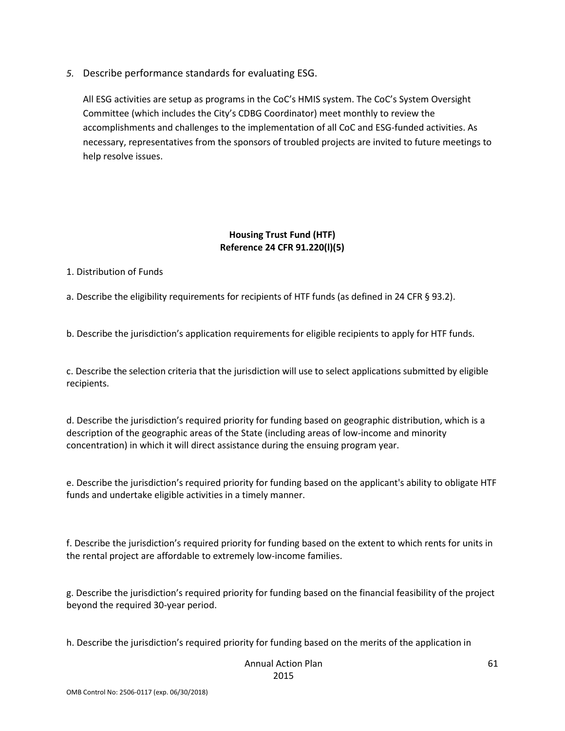*5.* Describe performance standards for evaluating ESG.

All ESG activities are setup as programs in the CoC's HMIS system. The CoC's System Oversight Committee (which includes the City's CDBG Coordinator) meet monthly to review the accomplishments and challenges to the implementation of all CoC and ESG-funded activities. As necessary, representatives from the sponsors of troubled projects are invited to future meetings to help resolve issues.

#### **Housing Trust Fund (HTF) Reference 24 CFR 91.220(l)(5)**

1. Distribution of Funds

a. Describe the eligibility requirements for recipients of HTF funds (as defined in 24 CFR § 93.2).

b. Describe the jurisdiction's application requirements for eligible recipients to apply for HTF funds.

c. Describe the selection criteria that the jurisdiction will use to select applications submitted by eligible recipients.

d. Describe the jurisdiction's required priority for funding based on geographic distribution, which is a description of the geographic areas of the State (including areas of low-income and minority concentration) in which it will direct assistance during the ensuing program year.

e. Describe the jurisdiction's required priority for funding based on the applicant's ability to obligate HTF funds and undertake eligible activities in a timely manner.

f. Describe the jurisdiction's required priority for funding based on the extent to which rents for units in the rental project are affordable to extremely low-income families.

g. Describe the jurisdiction's required priority for funding based on the financial feasibility of the project beyond the required 30-year period.

h. Describe the jurisdiction's required priority for funding based on the merits of the application in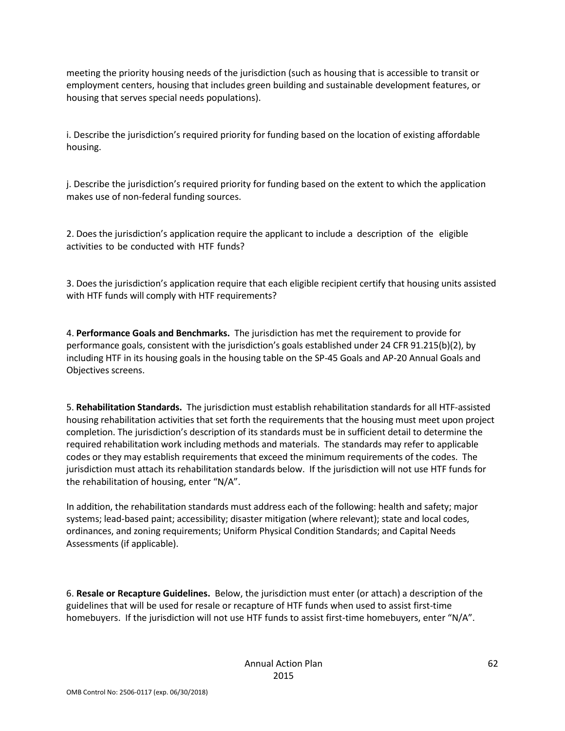meeting the priority housing needs of the jurisdiction (such as housing that is accessible to transit or employment centers, housing that includes green building and sustainable development features, or housing that serves special needs populations).

i. Describe the jurisdiction's required priority for funding based on the location of existing affordable housing.

j. Describe the jurisdiction's required priority for funding based on the extent to which the application makes use of non-federal funding sources.

2. Does the jurisdiction's application require the applicant to include a description of the eligible activities to be conducted with HTF funds?

3. Does the jurisdiction's application require that each eligible recipient certify that housing units assisted with HTF funds will comply with HTF requirements?

4. **Performance Goals and Benchmarks.** The jurisdiction has met the requirement to provide for performance goals, consistent with the jurisdiction's goals established under 24 CFR 91.215(b)(2), by including HTF in its housing goals in the housing table on the SP-45 Goals and AP-20 Annual Goals and Objectives screens.

5. **Rehabilitation Standards.** The jurisdiction must establish rehabilitation standards for all HTF-assisted housing rehabilitation activities that set forth the requirements that the housing must meet upon project completion. The jurisdiction's description of its standards must be in sufficient detail to determine the required rehabilitation work including methods and materials. The standards may refer to applicable codes or they may establish requirements that exceed the minimum requirements of the codes. The jurisdiction must attach its rehabilitation standards below. If the jurisdiction will not use HTF funds for the rehabilitation of housing, enter "N/A".

In addition, the rehabilitation standards must address each of the following: health and safety; major systems; lead-based paint; accessibility; disaster mitigation (where relevant); state and local codes, ordinances, and zoning requirements; Uniform Physical Condition Standards; and Capital Needs Assessments (if applicable).

6. **Resale or Recapture Guidelines.** Below, the jurisdiction must enter (or attach) a description of the guidelines that will be used for resale or recapture of HTF funds when used to assist first-time homebuyers. If the jurisdiction will not use HTF funds to assist first-time homebuyers, enter "N/A".